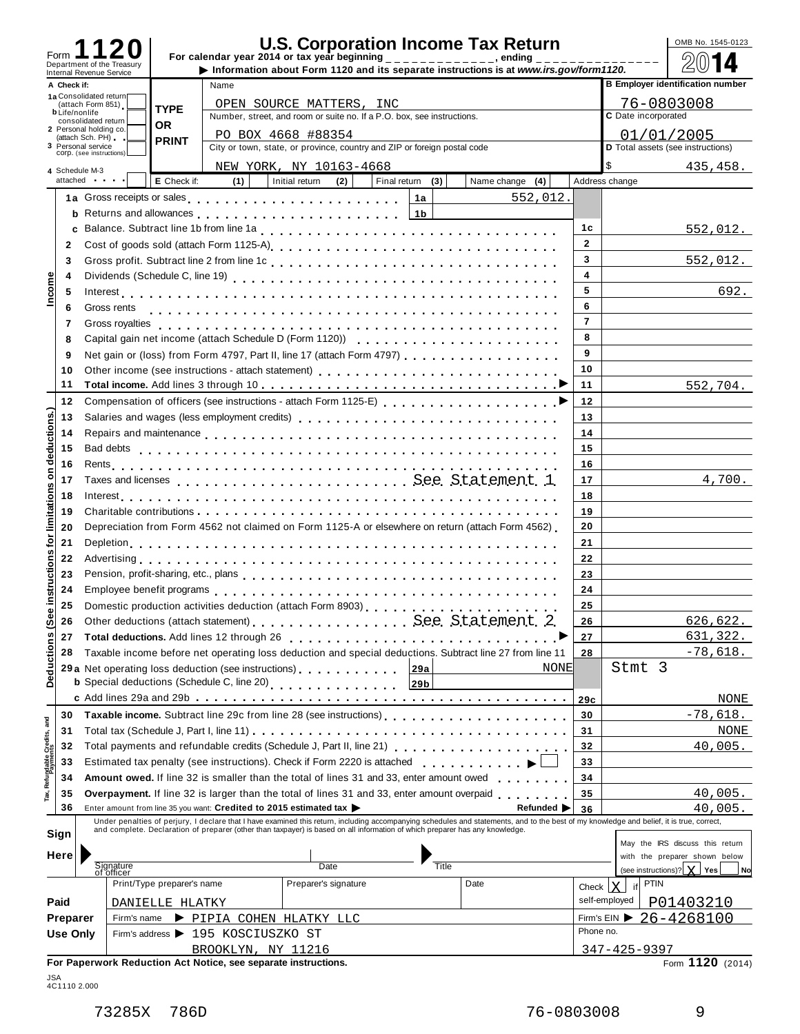| Form                    |                 |                                                        |                            |                                                                    | <b>U.S. Corporation Income Tax Return</b><br>For calendar year 2014 or tax year beginning ______________, ending                                                                                                                        |                  |                                                                                                                                                                                                                                |                |                         | OMB No. 1545-0123                       |
|-------------------------|-----------------|--------------------------------------------------------|----------------------------|--------------------------------------------------------------------|-----------------------------------------------------------------------------------------------------------------------------------------------------------------------------------------------------------------------------------------|------------------|--------------------------------------------------------------------------------------------------------------------------------------------------------------------------------------------------------------------------------|----------------|-------------------------|-----------------------------------------|
|                         |                 | Department of the Treasury<br>Internal Revenue Service |                            |                                                                    |                                                                                                                                                                                                                                         |                  | Information about Form 1120 and its separate instructions is at www.irs.gov/form1120.                                                                                                                                          |                |                         |                                         |
|                         | A Check if:     |                                                        |                            | Name                                                               |                                                                                                                                                                                                                                         |                  |                                                                                                                                                                                                                                |                |                         | <b>B Employer identification number</b> |
|                         |                 | 1a Consolidated return<br>(attach Form 851)            | <b>TYPE</b>                |                                                                    | OPEN SOURCE MATTERS, INC                                                                                                                                                                                                                |                  |                                                                                                                                                                                                                                |                |                         | 76-0803008                              |
|                         |                 | <b>b</b> Life/nonlife<br>consolidated return           |                            |                                                                    | Number, street, and room or suite no. If a P.O. box, see instructions.                                                                                                                                                                  |                  |                                                                                                                                                                                                                                |                | C Date incorporated     |                                         |
|                         |                 | 2 Personal holding co.<br>(attach Sch. PH)             | 0R                         |                                                                    | PO BOX 4668 #88354                                                                                                                                                                                                                      |                  |                                                                                                                                                                                                                                |                |                         | 01/01/2005                              |
|                         |                 | 3 Personal service                                     | <b>PRINT</b>               |                                                                    | City or town, state, or province, country and ZIP or foreign postal code                                                                                                                                                                |                  |                                                                                                                                                                                                                                |                |                         | D Total assets (see instructions)       |
|                         |                 | COrp. (see instructions)                               |                            |                                                                    | NEW YORK, NY 10163-4668                                                                                                                                                                                                                 |                  |                                                                                                                                                                                                                                |                |                         | 435,458.                                |
|                         |                 | 4 Schedule M-3<br>attached and the set                 | E Check if:                | (1)                                                                | Initial return<br>(2)                                                                                                                                                                                                                   | Final return (3) | Name change $(4)$                                                                                                                                                                                                              |                | Address change          |                                         |
|                         |                 |                                                        |                            |                                                                    | 1a Gross receipts or sales entering the series of the series of the series of the series of the series of the series of the series of the series of the series of the series of the series of the series of the series of the           | 1a               | 552,012.                                                                                                                                                                                                                       |                |                         |                                         |
|                         |                 |                                                        |                            |                                                                    |                                                                                                                                                                                                                                         | 1 <sub>b</sub>   |                                                                                                                                                                                                                                |                |                         |                                         |
|                         |                 |                                                        |                            |                                                                    |                                                                                                                                                                                                                                         |                  |                                                                                                                                                                                                                                | 1с             |                         |                                         |
|                         |                 |                                                        |                            |                                                                    |                                                                                                                                                                                                                                         |                  |                                                                                                                                                                                                                                | $\overline{2}$ |                         | 552,012.                                |
|                         | 2               |                                                        |                            |                                                                    |                                                                                                                                                                                                                                         |                  |                                                                                                                                                                                                                                |                |                         |                                         |
|                         | 3               |                                                        |                            |                                                                    |                                                                                                                                                                                                                                         |                  |                                                                                                                                                                                                                                | 3              |                         | 552,012.                                |
| Income                  | 4               |                                                        |                            |                                                                    |                                                                                                                                                                                                                                         |                  |                                                                                                                                                                                                                                | 4              |                         |                                         |
|                         | 5               |                                                        |                            |                                                                    |                                                                                                                                                                                                                                         |                  |                                                                                                                                                                                                                                | 5              |                         | 692.                                    |
|                         | 6               | Gross rents                                            |                            |                                                                    |                                                                                                                                                                                                                                         |                  |                                                                                                                                                                                                                                | 6              |                         |                                         |
|                         | 7               |                                                        |                            |                                                                    |                                                                                                                                                                                                                                         |                  |                                                                                                                                                                                                                                | $\overline{7}$ |                         |                                         |
|                         | 8               |                                                        |                            |                                                                    |                                                                                                                                                                                                                                         |                  |                                                                                                                                                                                                                                | 8              |                         |                                         |
|                         | 9               |                                                        |                            |                                                                    | Net gain or (loss) from Form 4797, Part II, line 17 (attach Form 4797)                                                                                                                                                                  |                  |                                                                                                                                                                                                                                | 9              |                         |                                         |
|                         | 10              |                                                        |                            |                                                                    |                                                                                                                                                                                                                                         |                  |                                                                                                                                                                                                                                | 10             |                         |                                         |
|                         | 11              |                                                        |                            |                                                                    |                                                                                                                                                                                                                                         |                  |                                                                                                                                                                                                                                | 11             |                         | 552,704.                                |
|                         | 12              |                                                        |                            |                                                                    |                                                                                                                                                                                                                                         |                  |                                                                                                                                                                                                                                | 12             |                         |                                         |
| deductions.)            | 13              |                                                        |                            |                                                                    | Salaries and wages (less employment credits)                                                                                                                                                                                            |                  |                                                                                                                                                                                                                                | 13             |                         |                                         |
|                         | 14              |                                                        |                            |                                                                    |                                                                                                                                                                                                                                         |                  |                                                                                                                                                                                                                                | 14             |                         |                                         |
|                         | 15              |                                                        |                            |                                                                    |                                                                                                                                                                                                                                         |                  |                                                                                                                                                                                                                                | 15             |                         |                                         |
|                         | 16              |                                                        |                            |                                                                    |                                                                                                                                                                                                                                         |                  |                                                                                                                                                                                                                                | 16             |                         |                                         |
| δ                       |                 |                                                        |                            |                                                                    |                                                                                                                                                                                                                                         |                  |                                                                                                                                                                                                                                |                |                         |                                         |
|                         | 17              |                                                        |                            |                                                                    |                                                                                                                                                                                                                                         |                  |                                                                                                                                                                                                                                | 17             |                         | 4,700.                                  |
|                         | 18              |                                                        |                            |                                                                    |                                                                                                                                                                                                                                         |                  |                                                                                                                                                                                                                                | 18             |                         |                                         |
| limitations             | 19              |                                                        |                            |                                                                    |                                                                                                                                                                                                                                         |                  |                                                                                                                                                                                                                                | 19             |                         |                                         |
|                         | 20              |                                                        |                            |                                                                    | Depreciation from Form 4562 not claimed on Form 1125-A or elsewhere on return (attach Form 4562)                                                                                                                                        |                  |                                                                                                                                                                                                                                | 20             |                         |                                         |
| ğ                       | 21              |                                                        |                            |                                                                    |                                                                                                                                                                                                                                         |                  |                                                                                                                                                                                                                                | 21             |                         |                                         |
| U)                      | 22              |                                                        |                            |                                                                    |                                                                                                                                                                                                                                         |                  |                                                                                                                                                                                                                                | 22             |                         |                                         |
| e instruction           | 23              |                                                        |                            |                                                                    |                                                                                                                                                                                                                                         |                  |                                                                                                                                                                                                                                | 23             |                         |                                         |
|                         | 24              |                                                        |                            |                                                                    |                                                                                                                                                                                                                                         |                  |                                                                                                                                                                                                                                | 24             |                         |                                         |
|                         | 25              |                                                        |                            |                                                                    | Domestic production activities deduction (attach Form 8903)<br>                                                                                                                                                                         |                  |                                                                                                                                                                                                                                | 25             |                         |                                         |
| ଢ଼                      | 26              |                                                        |                            |                                                                    | Other deductions (attach statement) See. Statement. 2.                                                                                                                                                                                  |                  |                                                                                                                                                                                                                                | 26             |                         | <u>626,622.</u>                         |
|                         | 27              |                                                        |                            |                                                                    | Total deductions. Add lines 12 through 26 [10] [10] Total deductions. Add lines 12 through 26                                                                                                                                           |                  |                                                                                                                                                                                                                                | 27             |                         | 631,322.                                |
|                         | 28              |                                                        |                            |                                                                    | Taxable income before net operating loss deduction and special deductions. Subtract line 27 from line 11                                                                                                                                |                  |                                                                                                                                                                                                                                | 28             |                         | $-78,618.$                              |
|                         |                 |                                                        |                            |                                                                    | 29 a Net operating loss deduction (see instructions)                                                                                                                                                                                    | 29a              | <b>NONE</b>                                                                                                                                                                                                                    |                | Stmt 3                  |                                         |
| Deductions              |                 |                                                        |                            | <b>b</b> Special deductions (Schedule C, line 20)                  | <u>a dia analana ana anala</u>                                                                                                                                                                                                          | 29b              |                                                                                                                                                                                                                                |                |                         |                                         |
|                         |                 |                                                        |                            |                                                                    |                                                                                                                                                                                                                                         |                  |                                                                                                                                                                                                                                |                |                         | NONE                                    |
|                         |                 |                                                        |                            |                                                                    |                                                                                                                                                                                                                                         |                  |                                                                                                                                                                                                                                | 29c            |                         |                                         |
| Refundable Credits, and | 30              |                                                        |                            |                                                                    | Taxable income. Subtract line 29c from line 28 (see instructions)                                                                                                                                                                       |                  |                                                                                                                                                                                                                                | 30             |                         | $-78,618.$                              |
|                         | 31              |                                                        |                            |                                                                    |                                                                                                                                                                                                                                         |                  |                                                                                                                                                                                                                                | 31             |                         | NONE                                    |
|                         | 32              |                                                        |                            |                                                                    |                                                                                                                                                                                                                                         |                  |                                                                                                                                                                                                                                | 32             |                         | 40,005.                                 |
|                         | 33              |                                                        |                            |                                                                    | Estimated tax penalty (see instructions). Check if Form 2220 is attached                                                                                                                                                                |                  | <u>.</u>                                                                                                                                                                                                                       | 33             |                         |                                         |
|                         | 34              |                                                        |                            |                                                                    | Amount owed. If line 32 is smaller than the total of lines 31 and 33, enter amount owed                                                                                                                                                 |                  | $\mathbf{r} = \mathbf{r} + \mathbf{r} + \mathbf{r} + \mathbf{r}$                                                                                                                                                               | 34             |                         |                                         |
|                         | 35              |                                                        |                            |                                                                    | <b>Overpayment.</b> If line 32 is larger than the total of lines 31 and 33, enter amount overpaid <b>entity</b> is a contact the set of the set of the set of the set of the set of the set of the set of the set of the set of the set |                  |                                                                                                                                                                                                                                | 35             |                         | 40,005.                                 |
|                         | 36              |                                                        |                            | Enter amount from line 35 you want: Credited to 2015 estimated tax |                                                                                                                                                                                                                                         |                  | Refunded $\blacktriangleright$                                                                                                                                                                                                 | 36             |                         | 40,005.                                 |
|                         |                 |                                                        |                            |                                                                    |                                                                                                                                                                                                                                         |                  | Under penalties of perjury, I declare that I have examined this return, including accompanying schedules and statements, and to the best of my knowledge and belief, it is true, correct, and complete. Declaration of prepare |                |                         |                                         |
|                         | Sign            |                                                        |                            |                                                                    |                                                                                                                                                                                                                                         |                  |                                                                                                                                                                                                                                |                |                         | May the IRS discuss this return         |
|                         | Here            |                                                        |                            |                                                                    |                                                                                                                                                                                                                                         |                  |                                                                                                                                                                                                                                |                |                         | with the preparer shown below           |
|                         |                 | Signature<br>of officer                                |                            |                                                                    | Date                                                                                                                                                                                                                                    | Title            |                                                                                                                                                                                                                                |                |                         | (see instructions)?   X   Yes  <br>No   |
|                         |                 |                                                        | Print/Type preparer's name |                                                                    | Preparer's signature                                                                                                                                                                                                                    |                  | Date                                                                                                                                                                                                                           | Check          | <b>PTIN</b><br>lx<br>if |                                         |
|                         | Paid            |                                                        | DANIELLE HLATKY            |                                                                    |                                                                                                                                                                                                                                         |                  |                                                                                                                                                                                                                                |                | self-employed           | P01403210                               |
|                         | Preparer        | Firm's name                                            |                            | PIPIA COHEN HLATKY LLC                                             |                                                                                                                                                                                                                                         |                  |                                                                                                                                                                                                                                |                |                         | Firm's EIN $\triangleright$ 26-4268100  |
|                         | <b>Use Only</b> |                                                        |                            | Firm's address > 195 KOSCIUSZKO ST                                 |                                                                                                                                                                                                                                         |                  |                                                                                                                                                                                                                                | Phone no.      |                         |                                         |
|                         |                 |                                                        |                            | BROOKLYN, NY 11216                                                 |                                                                                                                                                                                                                                         |                  |                                                                                                                                                                                                                                |                | $347 - 425 - 9397$      |                                         |
|                         |                 |                                                        |                            | For Paperwork Reduction Act Notice, see separate instructions.     |                                                                                                                                                                                                                                         |                  |                                                                                                                                                                                                                                |                |                         | Form 1120 (2014)                        |
|                         |                 |                                                        |                            |                                                                    |                                                                                                                                                                                                                                         |                  |                                                                                                                                                                                                                                |                |                         |                                         |

| JSA          |  |
|--------------|--|
| 4C1110 2.000 |  |
|              |  |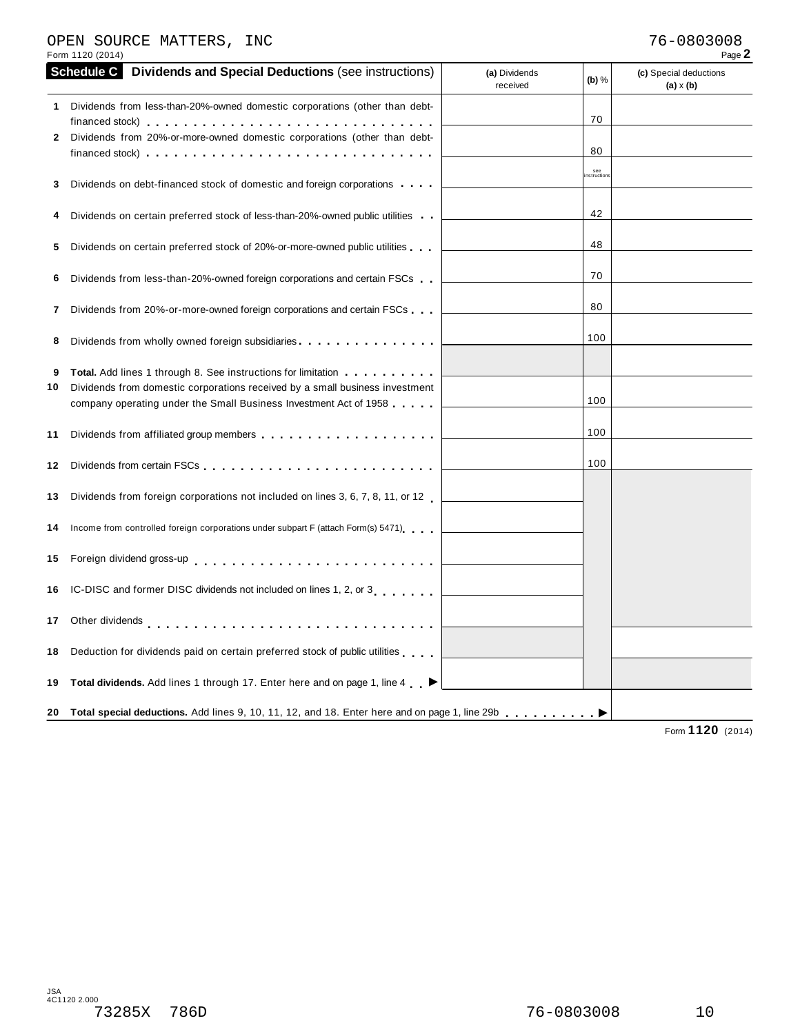#### OPEN SOURCE MATTERS, INC 76-0803008

| Form 1120 (2014)                                                                                                                                                                                                                                                                  |                                      | Page 2                                     |
|-----------------------------------------------------------------------------------------------------------------------------------------------------------------------------------------------------------------------------------------------------------------------------------|--------------------------------------|--------------------------------------------|
| <b>Schedule C</b> Dividends and Special Deductions (see instructions)                                                                                                                                                                                                             | (a) Dividends<br>(b) $%$<br>received | (c) Special deductions<br>$(a) \times (b)$ |
| 1 Dividends from less-than-20%-owned domestic corporations (other than debt-<br>Dividends from 20%-or-more-owned domestic corporations (other than debt-<br>2<br>financed stock) $\cdots$ , $\cdots$ , $\cdots$ , $\cdots$ , $\cdots$ , $\cdots$ , $\cdots$ , $\cdots$ , $\cdots$ | 70<br>80                             |                                            |
| Dividends on debt-financed stock of domestic and foreign corporations<br>3                                                                                                                                                                                                        | see<br>nstruction                    |                                            |
| Dividends on certain preferred stock of less-than-20%-owned public utilities                                                                                                                                                                                                      | 42                                   |                                            |
| Dividends on certain preferred stock of 20%-or-more-owned public utilities<br>5                                                                                                                                                                                                   | 48                                   |                                            |
| Dividends from less-than-20%-owned foreign corporations and certain FSCs<br>6                                                                                                                                                                                                     | 70                                   |                                            |
| Dividends from 20%-or-more-owned foreign corporations and certain FSCs<br>7                                                                                                                                                                                                       | 80                                   |                                            |
| Dividends from wholly owned foreign subsidiaries<br>8                                                                                                                                                                                                                             | 100                                  |                                            |
| <b>Total.</b> Add lines 1 through 8. See instructions for limitation <b></b><br>9<br>Dividends from domestic corporations received by a small business investment<br>10<br>company operating under the Small Business Investment Act of 1958                                      | 100                                  |                                            |
| 11                                                                                                                                                                                                                                                                                | 100                                  |                                            |
| 12                                                                                                                                                                                                                                                                                | 100                                  |                                            |
| Dividends from foreign corporations not included on lines 3, 6, 7, 8, 11, or 12<br>13                                                                                                                                                                                             |                                      |                                            |
| Income from controlled foreign corporations under subpart F (attach Form(s) 5471)<br>14                                                                                                                                                                                           |                                      |                                            |
| 15                                                                                                                                                                                                                                                                                |                                      |                                            |
| IC-DISC and former DISC dividends not included on lines 1, 2, or 3<br>16                                                                                                                                                                                                          |                                      |                                            |
| Other dividends enterprise response to the contract of the contract of the contract of the contract of the contract of the contract of the contract of the contract of the contract of the contract of the contract of the con<br>17                                              |                                      |                                            |
| Deduction for dividends paid on certain preferred stock of public utilities<br>18                                                                                                                                                                                                 |                                      |                                            |
| Total dividends. Add lines 1 through 17. Enter here and on page 1, line 4 ▶<br>19                                                                                                                                                                                                 |                                      |                                            |
| 20 Total special deductions. Add lines 9, 10, 11, 12, and 18. Enter here and on page 1, line 29b enterchance between                                                                                                                                                              |                                      | 4420                                       |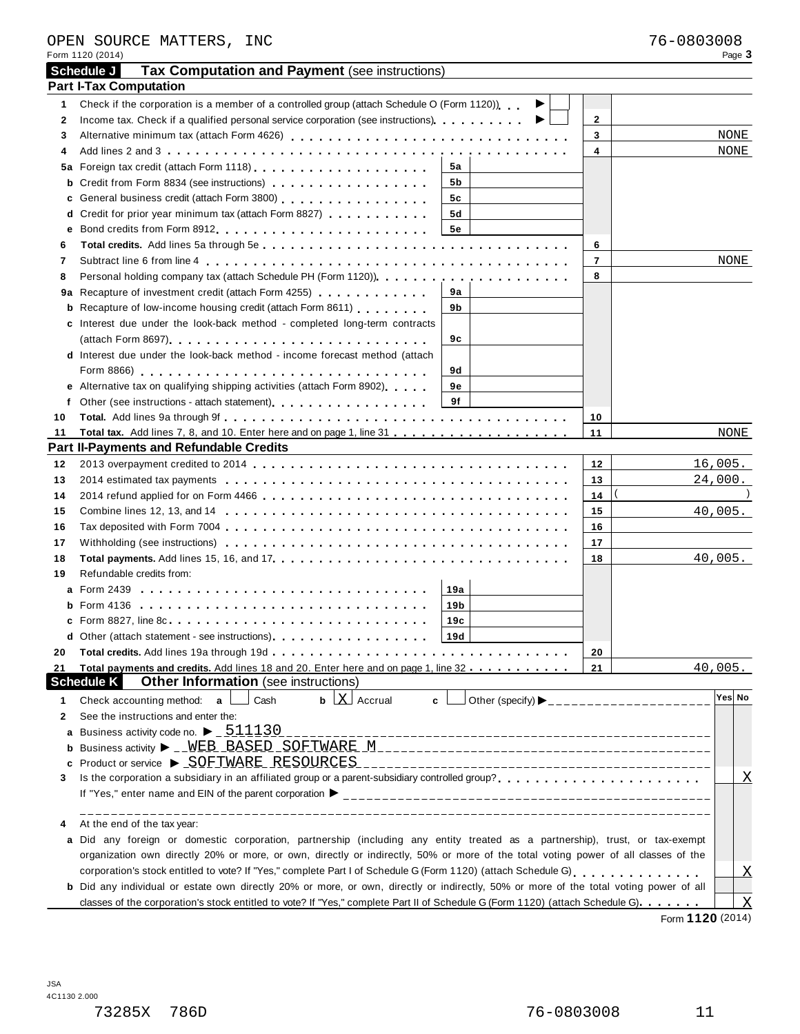| Schedule J<br>Tax Computation and Payment (see instructions)<br><b>Part I-Tax Computation</b><br>Check if the corporation is a member of a controlled group (attach Schedule O (Form 1120))<br>1<br>▶<br>$\mathbf{2}$<br>2<br>▸<br>3<br>NONE<br>3<br>4<br>NONE<br>4<br>5а<br>b Credit from Form 8834 (see instructions)<br>5b<br>c General business credit (attach Form 3800) [19] [19] Contract Contract Contract Contract Contract Contract Contract Contract Contract Contract Contract Contract Contract Contract Contract Contract Contract Contract Contr<br>5c<br>d Credit for prior year minimum tax (attach Form 8827)<br>5d<br><b>5e</b><br>е<br>6<br>6<br>$\overline{7}$<br>NONE<br>7<br>Personal holding company tax (attach Schedule PH (Form 1120)).<br>8<br>8<br>9a Recapture of investment credit (attach Form 4255)<br>9а<br><b>b</b> Recapture of low-income housing credit (attach Form 8611)<br>9b<br>c Interest due under the look-back method - completed long-term contracts<br>9с<br><b>d</b> Interest due under the look-back method - income forecast method (attach<br>9d<br>e Alternative tax on qualifying shipping activities (attach Form 8902)<br>9е<br>9f<br>f<br>10<br>10<br>11<br>11<br>NONE<br><b>Part II-Payments and Refundable Credits</b><br><u> 1989 - Johann Stein, mars an deutscher Stein und der Stein und der Stein und der Stein und der Stein und der</u><br>16,005.<br>12<br>12<br>24,000.<br>13<br>13<br>14<br>14<br>40,005.<br>15<br>15<br>16<br>16<br>17<br>17<br>40,005.<br>18<br>18<br>Refundable credits from:<br>19<br>19a<br>19 <sub>b</sub><br>19c<br>Other (attach statement - see instructions).<br> 19d <br>20<br>20<br>Total payments and credits. Add lines 18 and 20. Enter here and on page 1, line 32<br>21<br>40,005.<br>21<br><b>Schedule K</b><br><b>Other Information</b> (see instructions)<br>Yes No<br>$\mathbf b$ $\mathbf X$ Accrual<br>Check accounting method: a<br>Cash<br>c.<br>1<br>See the instructions and enter the:<br>2<br>Business activity code no. $\blacktriangleright$ _ $511130$<br>а<br>Product or service ▶ SOFTWARE RESOURCES<br>c<br>$\overline{\text{X}}$<br>3<br>At the end of the tax year:<br>4<br>a Did any foreign or domestic corporation, partnership (including any entity treated as a partnership), trust, or tax-exempt<br>organization own directly 20% or more, or own, directly or indirectly, 50% or more of the total voting power of all classes of the<br>$\overline{X}$<br>b Did any individual or estate own directly 20% or more, or own, directly or indirectly, 50% or more of the total voting power of all<br>$\boldsymbol{\mathrm{X}}$<br>classes of the corporation's stock entitled to vote? If "Yes," complete Part II of Schedule G (Form 1120) (attach Schedule G) | Form 1120 (2014) |  | Page 3 |
|---------------------------------------------------------------------------------------------------------------------------------------------------------------------------------------------------------------------------------------------------------------------------------------------------------------------------------------------------------------------------------------------------------------------------------------------------------------------------------------------------------------------------------------------------------------------------------------------------------------------------------------------------------------------------------------------------------------------------------------------------------------------------------------------------------------------------------------------------------------------------------------------------------------------------------------------------------------------------------------------------------------------------------------------------------------------------------------------------------------------------------------------------------------------------------------------------------------------------------------------------------------------------------------------------------------------------------------------------------------------------------------------------------------------------------------------------------------------------------------------------------------------------------------------------------------------------------------------------------------------------------------------------------------------------------------------------------------------------------------------------------------------------------------------------------------------------------------------------------------------------------------------------------------------------------------------------------------------------------------------------------------------------------------------------------------------------------------------------------------------------------------------------------------------------------------------------------------------------------------------------------------------------------------------------------------------------------------------------------------------------------------------------------------------------------------------------------------------------------------------------------------------------------------------------------------------------------------------------------------------------------------------------------------------------------------------------------------------------------------------------------------------------------------------------|------------------|--|--------|
|                                                                                                                                                                                                                                                                                                                                                                                                                                                                                                                                                                                                                                                                                                                                                                                                                                                                                                                                                                                                                                                                                                                                                                                                                                                                                                                                                                                                                                                                                                                                                                                                                                                                                                                                                                                                                                                                                                                                                                                                                                                                                                                                                                                                                                                                                                                                                                                                                                                                                                                                                                                                                                                                                                                                                                                                   |                  |  |        |
|                                                                                                                                                                                                                                                                                                                                                                                                                                                                                                                                                                                                                                                                                                                                                                                                                                                                                                                                                                                                                                                                                                                                                                                                                                                                                                                                                                                                                                                                                                                                                                                                                                                                                                                                                                                                                                                                                                                                                                                                                                                                                                                                                                                                                                                                                                                                                                                                                                                                                                                                                                                                                                                                                                                                                                                                   |                  |  |        |
|                                                                                                                                                                                                                                                                                                                                                                                                                                                                                                                                                                                                                                                                                                                                                                                                                                                                                                                                                                                                                                                                                                                                                                                                                                                                                                                                                                                                                                                                                                                                                                                                                                                                                                                                                                                                                                                                                                                                                                                                                                                                                                                                                                                                                                                                                                                                                                                                                                                                                                                                                                                                                                                                                                                                                                                                   |                  |  |        |
|                                                                                                                                                                                                                                                                                                                                                                                                                                                                                                                                                                                                                                                                                                                                                                                                                                                                                                                                                                                                                                                                                                                                                                                                                                                                                                                                                                                                                                                                                                                                                                                                                                                                                                                                                                                                                                                                                                                                                                                                                                                                                                                                                                                                                                                                                                                                                                                                                                                                                                                                                                                                                                                                                                                                                                                                   |                  |  |        |
|                                                                                                                                                                                                                                                                                                                                                                                                                                                                                                                                                                                                                                                                                                                                                                                                                                                                                                                                                                                                                                                                                                                                                                                                                                                                                                                                                                                                                                                                                                                                                                                                                                                                                                                                                                                                                                                                                                                                                                                                                                                                                                                                                                                                                                                                                                                                                                                                                                                                                                                                                                                                                                                                                                                                                                                                   |                  |  |        |
|                                                                                                                                                                                                                                                                                                                                                                                                                                                                                                                                                                                                                                                                                                                                                                                                                                                                                                                                                                                                                                                                                                                                                                                                                                                                                                                                                                                                                                                                                                                                                                                                                                                                                                                                                                                                                                                                                                                                                                                                                                                                                                                                                                                                                                                                                                                                                                                                                                                                                                                                                                                                                                                                                                                                                                                                   |                  |  |        |
|                                                                                                                                                                                                                                                                                                                                                                                                                                                                                                                                                                                                                                                                                                                                                                                                                                                                                                                                                                                                                                                                                                                                                                                                                                                                                                                                                                                                                                                                                                                                                                                                                                                                                                                                                                                                                                                                                                                                                                                                                                                                                                                                                                                                                                                                                                                                                                                                                                                                                                                                                                                                                                                                                                                                                                                                   |                  |  |        |
|                                                                                                                                                                                                                                                                                                                                                                                                                                                                                                                                                                                                                                                                                                                                                                                                                                                                                                                                                                                                                                                                                                                                                                                                                                                                                                                                                                                                                                                                                                                                                                                                                                                                                                                                                                                                                                                                                                                                                                                                                                                                                                                                                                                                                                                                                                                                                                                                                                                                                                                                                                                                                                                                                                                                                                                                   |                  |  |        |
|                                                                                                                                                                                                                                                                                                                                                                                                                                                                                                                                                                                                                                                                                                                                                                                                                                                                                                                                                                                                                                                                                                                                                                                                                                                                                                                                                                                                                                                                                                                                                                                                                                                                                                                                                                                                                                                                                                                                                                                                                                                                                                                                                                                                                                                                                                                                                                                                                                                                                                                                                                                                                                                                                                                                                                                                   |                  |  |        |
|                                                                                                                                                                                                                                                                                                                                                                                                                                                                                                                                                                                                                                                                                                                                                                                                                                                                                                                                                                                                                                                                                                                                                                                                                                                                                                                                                                                                                                                                                                                                                                                                                                                                                                                                                                                                                                                                                                                                                                                                                                                                                                                                                                                                                                                                                                                                                                                                                                                                                                                                                                                                                                                                                                                                                                                                   |                  |  |        |
|                                                                                                                                                                                                                                                                                                                                                                                                                                                                                                                                                                                                                                                                                                                                                                                                                                                                                                                                                                                                                                                                                                                                                                                                                                                                                                                                                                                                                                                                                                                                                                                                                                                                                                                                                                                                                                                                                                                                                                                                                                                                                                                                                                                                                                                                                                                                                                                                                                                                                                                                                                                                                                                                                                                                                                                                   |                  |  |        |
|                                                                                                                                                                                                                                                                                                                                                                                                                                                                                                                                                                                                                                                                                                                                                                                                                                                                                                                                                                                                                                                                                                                                                                                                                                                                                                                                                                                                                                                                                                                                                                                                                                                                                                                                                                                                                                                                                                                                                                                                                                                                                                                                                                                                                                                                                                                                                                                                                                                                                                                                                                                                                                                                                                                                                                                                   |                  |  |        |
|                                                                                                                                                                                                                                                                                                                                                                                                                                                                                                                                                                                                                                                                                                                                                                                                                                                                                                                                                                                                                                                                                                                                                                                                                                                                                                                                                                                                                                                                                                                                                                                                                                                                                                                                                                                                                                                                                                                                                                                                                                                                                                                                                                                                                                                                                                                                                                                                                                                                                                                                                                                                                                                                                                                                                                                                   |                  |  |        |
|                                                                                                                                                                                                                                                                                                                                                                                                                                                                                                                                                                                                                                                                                                                                                                                                                                                                                                                                                                                                                                                                                                                                                                                                                                                                                                                                                                                                                                                                                                                                                                                                                                                                                                                                                                                                                                                                                                                                                                                                                                                                                                                                                                                                                                                                                                                                                                                                                                                                                                                                                                                                                                                                                                                                                                                                   |                  |  |        |
|                                                                                                                                                                                                                                                                                                                                                                                                                                                                                                                                                                                                                                                                                                                                                                                                                                                                                                                                                                                                                                                                                                                                                                                                                                                                                                                                                                                                                                                                                                                                                                                                                                                                                                                                                                                                                                                                                                                                                                                                                                                                                                                                                                                                                                                                                                                                                                                                                                                                                                                                                                                                                                                                                                                                                                                                   |                  |  |        |
|                                                                                                                                                                                                                                                                                                                                                                                                                                                                                                                                                                                                                                                                                                                                                                                                                                                                                                                                                                                                                                                                                                                                                                                                                                                                                                                                                                                                                                                                                                                                                                                                                                                                                                                                                                                                                                                                                                                                                                                                                                                                                                                                                                                                                                                                                                                                                                                                                                                                                                                                                                                                                                                                                                                                                                                                   |                  |  |        |
|                                                                                                                                                                                                                                                                                                                                                                                                                                                                                                                                                                                                                                                                                                                                                                                                                                                                                                                                                                                                                                                                                                                                                                                                                                                                                                                                                                                                                                                                                                                                                                                                                                                                                                                                                                                                                                                                                                                                                                                                                                                                                                                                                                                                                                                                                                                                                                                                                                                                                                                                                                                                                                                                                                                                                                                                   |                  |  |        |
|                                                                                                                                                                                                                                                                                                                                                                                                                                                                                                                                                                                                                                                                                                                                                                                                                                                                                                                                                                                                                                                                                                                                                                                                                                                                                                                                                                                                                                                                                                                                                                                                                                                                                                                                                                                                                                                                                                                                                                                                                                                                                                                                                                                                                                                                                                                                                                                                                                                                                                                                                                                                                                                                                                                                                                                                   |                  |  |        |
|                                                                                                                                                                                                                                                                                                                                                                                                                                                                                                                                                                                                                                                                                                                                                                                                                                                                                                                                                                                                                                                                                                                                                                                                                                                                                                                                                                                                                                                                                                                                                                                                                                                                                                                                                                                                                                                                                                                                                                                                                                                                                                                                                                                                                                                                                                                                                                                                                                                                                                                                                                                                                                                                                                                                                                                                   |                  |  |        |
|                                                                                                                                                                                                                                                                                                                                                                                                                                                                                                                                                                                                                                                                                                                                                                                                                                                                                                                                                                                                                                                                                                                                                                                                                                                                                                                                                                                                                                                                                                                                                                                                                                                                                                                                                                                                                                                                                                                                                                                                                                                                                                                                                                                                                                                                                                                                                                                                                                                                                                                                                                                                                                                                                                                                                                                                   |                  |  |        |
|                                                                                                                                                                                                                                                                                                                                                                                                                                                                                                                                                                                                                                                                                                                                                                                                                                                                                                                                                                                                                                                                                                                                                                                                                                                                                                                                                                                                                                                                                                                                                                                                                                                                                                                                                                                                                                                                                                                                                                                                                                                                                                                                                                                                                                                                                                                                                                                                                                                                                                                                                                                                                                                                                                                                                                                                   |                  |  |        |
|                                                                                                                                                                                                                                                                                                                                                                                                                                                                                                                                                                                                                                                                                                                                                                                                                                                                                                                                                                                                                                                                                                                                                                                                                                                                                                                                                                                                                                                                                                                                                                                                                                                                                                                                                                                                                                                                                                                                                                                                                                                                                                                                                                                                                                                                                                                                                                                                                                                                                                                                                                                                                                                                                                                                                                                                   |                  |  |        |
|                                                                                                                                                                                                                                                                                                                                                                                                                                                                                                                                                                                                                                                                                                                                                                                                                                                                                                                                                                                                                                                                                                                                                                                                                                                                                                                                                                                                                                                                                                                                                                                                                                                                                                                                                                                                                                                                                                                                                                                                                                                                                                                                                                                                                                                                                                                                                                                                                                                                                                                                                                                                                                                                                                                                                                                                   |                  |  |        |
|                                                                                                                                                                                                                                                                                                                                                                                                                                                                                                                                                                                                                                                                                                                                                                                                                                                                                                                                                                                                                                                                                                                                                                                                                                                                                                                                                                                                                                                                                                                                                                                                                                                                                                                                                                                                                                                                                                                                                                                                                                                                                                                                                                                                                                                                                                                                                                                                                                                                                                                                                                                                                                                                                                                                                                                                   |                  |  |        |
|                                                                                                                                                                                                                                                                                                                                                                                                                                                                                                                                                                                                                                                                                                                                                                                                                                                                                                                                                                                                                                                                                                                                                                                                                                                                                                                                                                                                                                                                                                                                                                                                                                                                                                                                                                                                                                                                                                                                                                                                                                                                                                                                                                                                                                                                                                                                                                                                                                                                                                                                                                                                                                                                                                                                                                                                   |                  |  |        |
|                                                                                                                                                                                                                                                                                                                                                                                                                                                                                                                                                                                                                                                                                                                                                                                                                                                                                                                                                                                                                                                                                                                                                                                                                                                                                                                                                                                                                                                                                                                                                                                                                                                                                                                                                                                                                                                                                                                                                                                                                                                                                                                                                                                                                                                                                                                                                                                                                                                                                                                                                                                                                                                                                                                                                                                                   |                  |  |        |
|                                                                                                                                                                                                                                                                                                                                                                                                                                                                                                                                                                                                                                                                                                                                                                                                                                                                                                                                                                                                                                                                                                                                                                                                                                                                                                                                                                                                                                                                                                                                                                                                                                                                                                                                                                                                                                                                                                                                                                                                                                                                                                                                                                                                                                                                                                                                                                                                                                                                                                                                                                                                                                                                                                                                                                                                   |                  |  |        |
|                                                                                                                                                                                                                                                                                                                                                                                                                                                                                                                                                                                                                                                                                                                                                                                                                                                                                                                                                                                                                                                                                                                                                                                                                                                                                                                                                                                                                                                                                                                                                                                                                                                                                                                                                                                                                                                                                                                                                                                                                                                                                                                                                                                                                                                                                                                                                                                                                                                                                                                                                                                                                                                                                                                                                                                                   |                  |  |        |
|                                                                                                                                                                                                                                                                                                                                                                                                                                                                                                                                                                                                                                                                                                                                                                                                                                                                                                                                                                                                                                                                                                                                                                                                                                                                                                                                                                                                                                                                                                                                                                                                                                                                                                                                                                                                                                                                                                                                                                                                                                                                                                                                                                                                                                                                                                                                                                                                                                                                                                                                                                                                                                                                                                                                                                                                   |                  |  |        |
|                                                                                                                                                                                                                                                                                                                                                                                                                                                                                                                                                                                                                                                                                                                                                                                                                                                                                                                                                                                                                                                                                                                                                                                                                                                                                                                                                                                                                                                                                                                                                                                                                                                                                                                                                                                                                                                                                                                                                                                                                                                                                                                                                                                                                                                                                                                                                                                                                                                                                                                                                                                                                                                                                                                                                                                                   |                  |  |        |
|                                                                                                                                                                                                                                                                                                                                                                                                                                                                                                                                                                                                                                                                                                                                                                                                                                                                                                                                                                                                                                                                                                                                                                                                                                                                                                                                                                                                                                                                                                                                                                                                                                                                                                                                                                                                                                                                                                                                                                                                                                                                                                                                                                                                                                                                                                                                                                                                                                                                                                                                                                                                                                                                                                                                                                                                   |                  |  |        |
|                                                                                                                                                                                                                                                                                                                                                                                                                                                                                                                                                                                                                                                                                                                                                                                                                                                                                                                                                                                                                                                                                                                                                                                                                                                                                                                                                                                                                                                                                                                                                                                                                                                                                                                                                                                                                                                                                                                                                                                                                                                                                                                                                                                                                                                                                                                                                                                                                                                                                                                                                                                                                                                                                                                                                                                                   |                  |  |        |
|                                                                                                                                                                                                                                                                                                                                                                                                                                                                                                                                                                                                                                                                                                                                                                                                                                                                                                                                                                                                                                                                                                                                                                                                                                                                                                                                                                                                                                                                                                                                                                                                                                                                                                                                                                                                                                                                                                                                                                                                                                                                                                                                                                                                                                                                                                                                                                                                                                                                                                                                                                                                                                                                                                                                                                                                   |                  |  |        |
|                                                                                                                                                                                                                                                                                                                                                                                                                                                                                                                                                                                                                                                                                                                                                                                                                                                                                                                                                                                                                                                                                                                                                                                                                                                                                                                                                                                                                                                                                                                                                                                                                                                                                                                                                                                                                                                                                                                                                                                                                                                                                                                                                                                                                                                                                                                                                                                                                                                                                                                                                                                                                                                                                                                                                                                                   |                  |  |        |
|                                                                                                                                                                                                                                                                                                                                                                                                                                                                                                                                                                                                                                                                                                                                                                                                                                                                                                                                                                                                                                                                                                                                                                                                                                                                                                                                                                                                                                                                                                                                                                                                                                                                                                                                                                                                                                                                                                                                                                                                                                                                                                                                                                                                                                                                                                                                                                                                                                                                                                                                                                                                                                                                                                                                                                                                   |                  |  |        |
|                                                                                                                                                                                                                                                                                                                                                                                                                                                                                                                                                                                                                                                                                                                                                                                                                                                                                                                                                                                                                                                                                                                                                                                                                                                                                                                                                                                                                                                                                                                                                                                                                                                                                                                                                                                                                                                                                                                                                                                                                                                                                                                                                                                                                                                                                                                                                                                                                                                                                                                                                                                                                                                                                                                                                                                                   |                  |  |        |
|                                                                                                                                                                                                                                                                                                                                                                                                                                                                                                                                                                                                                                                                                                                                                                                                                                                                                                                                                                                                                                                                                                                                                                                                                                                                                                                                                                                                                                                                                                                                                                                                                                                                                                                                                                                                                                                                                                                                                                                                                                                                                                                                                                                                                                                                                                                                                                                                                                                                                                                                                                                                                                                                                                                                                                                                   |                  |  |        |
|                                                                                                                                                                                                                                                                                                                                                                                                                                                                                                                                                                                                                                                                                                                                                                                                                                                                                                                                                                                                                                                                                                                                                                                                                                                                                                                                                                                                                                                                                                                                                                                                                                                                                                                                                                                                                                                                                                                                                                                                                                                                                                                                                                                                                                                                                                                                                                                                                                                                                                                                                                                                                                                                                                                                                                                                   |                  |  |        |
|                                                                                                                                                                                                                                                                                                                                                                                                                                                                                                                                                                                                                                                                                                                                                                                                                                                                                                                                                                                                                                                                                                                                                                                                                                                                                                                                                                                                                                                                                                                                                                                                                                                                                                                                                                                                                                                                                                                                                                                                                                                                                                                                                                                                                                                                                                                                                                                                                                                                                                                                                                                                                                                                                                                                                                                                   |                  |  |        |
|                                                                                                                                                                                                                                                                                                                                                                                                                                                                                                                                                                                                                                                                                                                                                                                                                                                                                                                                                                                                                                                                                                                                                                                                                                                                                                                                                                                                                                                                                                                                                                                                                                                                                                                                                                                                                                                                                                                                                                                                                                                                                                                                                                                                                                                                                                                                                                                                                                                                                                                                                                                                                                                                                                                                                                                                   |                  |  |        |
|                                                                                                                                                                                                                                                                                                                                                                                                                                                                                                                                                                                                                                                                                                                                                                                                                                                                                                                                                                                                                                                                                                                                                                                                                                                                                                                                                                                                                                                                                                                                                                                                                                                                                                                                                                                                                                                                                                                                                                                                                                                                                                                                                                                                                                                                                                                                                                                                                                                                                                                                                                                                                                                                                                                                                                                                   |                  |  |        |
|                                                                                                                                                                                                                                                                                                                                                                                                                                                                                                                                                                                                                                                                                                                                                                                                                                                                                                                                                                                                                                                                                                                                                                                                                                                                                                                                                                                                                                                                                                                                                                                                                                                                                                                                                                                                                                                                                                                                                                                                                                                                                                                                                                                                                                                                                                                                                                                                                                                                                                                                                                                                                                                                                                                                                                                                   |                  |  |        |
|                                                                                                                                                                                                                                                                                                                                                                                                                                                                                                                                                                                                                                                                                                                                                                                                                                                                                                                                                                                                                                                                                                                                                                                                                                                                                                                                                                                                                                                                                                                                                                                                                                                                                                                                                                                                                                                                                                                                                                                                                                                                                                                                                                                                                                                                                                                                                                                                                                                                                                                                                                                                                                                                                                                                                                                                   |                  |  |        |
|                                                                                                                                                                                                                                                                                                                                                                                                                                                                                                                                                                                                                                                                                                                                                                                                                                                                                                                                                                                                                                                                                                                                                                                                                                                                                                                                                                                                                                                                                                                                                                                                                                                                                                                                                                                                                                                                                                                                                                                                                                                                                                                                                                                                                                                                                                                                                                                                                                                                                                                                                                                                                                                                                                                                                                                                   |                  |  |        |
|                                                                                                                                                                                                                                                                                                                                                                                                                                                                                                                                                                                                                                                                                                                                                                                                                                                                                                                                                                                                                                                                                                                                                                                                                                                                                                                                                                                                                                                                                                                                                                                                                                                                                                                                                                                                                                                                                                                                                                                                                                                                                                                                                                                                                                                                                                                                                                                                                                                                                                                                                                                                                                                                                                                                                                                                   |                  |  |        |
|                                                                                                                                                                                                                                                                                                                                                                                                                                                                                                                                                                                                                                                                                                                                                                                                                                                                                                                                                                                                                                                                                                                                                                                                                                                                                                                                                                                                                                                                                                                                                                                                                                                                                                                                                                                                                                                                                                                                                                                                                                                                                                                                                                                                                                                                                                                                                                                                                                                                                                                                                                                                                                                                                                                                                                                                   |                  |  |        |
|                                                                                                                                                                                                                                                                                                                                                                                                                                                                                                                                                                                                                                                                                                                                                                                                                                                                                                                                                                                                                                                                                                                                                                                                                                                                                                                                                                                                                                                                                                                                                                                                                                                                                                                                                                                                                                                                                                                                                                                                                                                                                                                                                                                                                                                                                                                                                                                                                                                                                                                                                                                                                                                                                                                                                                                                   |                  |  |        |
|                                                                                                                                                                                                                                                                                                                                                                                                                                                                                                                                                                                                                                                                                                                                                                                                                                                                                                                                                                                                                                                                                                                                                                                                                                                                                                                                                                                                                                                                                                                                                                                                                                                                                                                                                                                                                                                                                                                                                                                                                                                                                                                                                                                                                                                                                                                                                                                                                                                                                                                                                                                                                                                                                                                                                                                                   |                  |  |        |
|                                                                                                                                                                                                                                                                                                                                                                                                                                                                                                                                                                                                                                                                                                                                                                                                                                                                                                                                                                                                                                                                                                                                                                                                                                                                                                                                                                                                                                                                                                                                                                                                                                                                                                                                                                                                                                                                                                                                                                                                                                                                                                                                                                                                                                                                                                                                                                                                                                                                                                                                                                                                                                                                                                                                                                                                   |                  |  |        |
|                                                                                                                                                                                                                                                                                                                                                                                                                                                                                                                                                                                                                                                                                                                                                                                                                                                                                                                                                                                                                                                                                                                                                                                                                                                                                                                                                                                                                                                                                                                                                                                                                                                                                                                                                                                                                                                                                                                                                                                                                                                                                                                                                                                                                                                                                                                                                                                                                                                                                                                                                                                                                                                                                                                                                                                                   |                  |  |        |
|                                                                                                                                                                                                                                                                                                                                                                                                                                                                                                                                                                                                                                                                                                                                                                                                                                                                                                                                                                                                                                                                                                                                                                                                                                                                                                                                                                                                                                                                                                                                                                                                                                                                                                                                                                                                                                                                                                                                                                                                                                                                                                                                                                                                                                                                                                                                                                                                                                                                                                                                                                                                                                                                                                                                                                                                   |                  |  |        |
|                                                                                                                                                                                                                                                                                                                                                                                                                                                                                                                                                                                                                                                                                                                                                                                                                                                                                                                                                                                                                                                                                                                                                                                                                                                                                                                                                                                                                                                                                                                                                                                                                                                                                                                                                                                                                                                                                                                                                                                                                                                                                                                                                                                                                                                                                                                                                                                                                                                                                                                                                                                                                                                                                                                                                                                                   |                  |  |        |
|                                                                                                                                                                                                                                                                                                                                                                                                                                                                                                                                                                                                                                                                                                                                                                                                                                                                                                                                                                                                                                                                                                                                                                                                                                                                                                                                                                                                                                                                                                                                                                                                                                                                                                                                                                                                                                                                                                                                                                                                                                                                                                                                                                                                                                                                                                                                                                                                                                                                                                                                                                                                                                                                                                                                                                                                   |                  |  |        |
|                                                                                                                                                                                                                                                                                                                                                                                                                                                                                                                                                                                                                                                                                                                                                                                                                                                                                                                                                                                                                                                                                                                                                                                                                                                                                                                                                                                                                                                                                                                                                                                                                                                                                                                                                                                                                                                                                                                                                                                                                                                                                                                                                                                                                                                                                                                                                                                                                                                                                                                                                                                                                                                                                                                                                                                                   |                  |  |        |

OPEN SOURCE MATTERS, INC 76-0803008

Form **1120** (2014)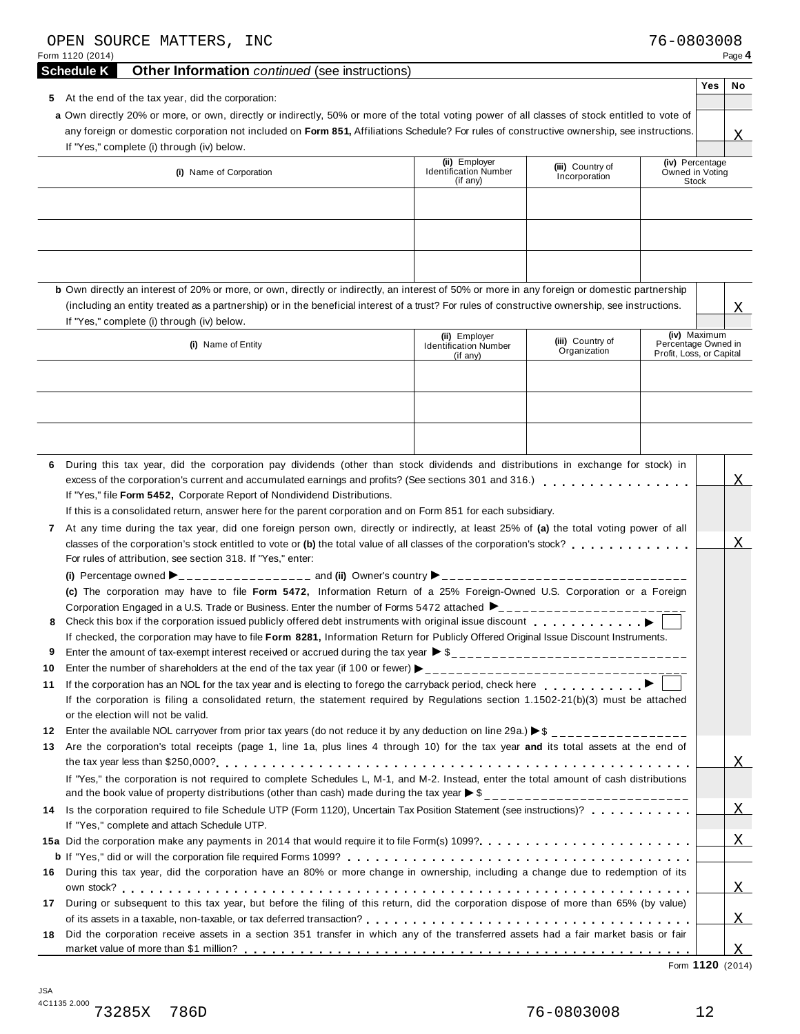| OPEN SOURCE MATTERS, INC<br>Form 1120 (2014)                                                                                                                                                                                                                                                                                                                                                                                                                                                                                                                                                                                                                                                                                                                                                                                                                                                                                                                                                                                                                            |                                                           |                                   | 76-0803008                                                      | Page 4                 |
|-------------------------------------------------------------------------------------------------------------------------------------------------------------------------------------------------------------------------------------------------------------------------------------------------------------------------------------------------------------------------------------------------------------------------------------------------------------------------------------------------------------------------------------------------------------------------------------------------------------------------------------------------------------------------------------------------------------------------------------------------------------------------------------------------------------------------------------------------------------------------------------------------------------------------------------------------------------------------------------------------------------------------------------------------------------------------|-----------------------------------------------------------|-----------------------------------|-----------------------------------------------------------------|------------------------|
| <b>Schedule K</b><br><b>Other Information</b> continued (see instructions)                                                                                                                                                                                                                                                                                                                                                                                                                                                                                                                                                                                                                                                                                                                                                                                                                                                                                                                                                                                              |                                                           |                                   |                                                                 |                        |
| 5 At the end of the tax year, did the corporation:<br>a Own directly 20% or more, or own, directly or indirectly, 50% or more of the total voting power of all classes of stock entitled to vote of<br>any foreign or domestic corporation not included on Form 851, Affiliations Schedule? For rules of constructive ownership, see instructions.<br>If "Yes," complete (i) through (iv) below.                                                                                                                                                                                                                                                                                                                                                                                                                                                                                                                                                                                                                                                                        |                                                           |                                   |                                                                 | Yes<br><b>No</b><br>X. |
| (i) Name of Corporation                                                                                                                                                                                                                                                                                                                                                                                                                                                                                                                                                                                                                                                                                                                                                                                                                                                                                                                                                                                                                                                 | (ii) Employer<br><b>Identification Number</b><br>(if any) | (iii) Country of<br>Incorporation | (iv) Percentage<br>Owned in Voting<br><b>Stock</b>              |                        |
| <b>b</b> Own directly an interest of 20% or more, or own, directly or indirectly, an interest of 50% or more in any foreign or domestic partnership                                                                                                                                                                                                                                                                                                                                                                                                                                                                                                                                                                                                                                                                                                                                                                                                                                                                                                                     |                                                           |                                   |                                                                 |                        |
| (including an entity treated as a partnership) or in the beneficial interest of a trust? For rules of constructive ownership, see instructions.                                                                                                                                                                                                                                                                                                                                                                                                                                                                                                                                                                                                                                                                                                                                                                                                                                                                                                                         |                                                           |                                   |                                                                 | X                      |
| If "Yes," complete (i) through (iv) below.<br>(i) Name of Entity                                                                                                                                                                                                                                                                                                                                                                                                                                                                                                                                                                                                                                                                                                                                                                                                                                                                                                                                                                                                        | (ii) Employer<br><b>Identification Number</b><br>(if any) | (iii) Country of<br>Organization  | (iv) Maximum<br>Percentage Owned in<br>Profit, Loss, or Capital |                        |
| During this tax year, did the corporation pay dividends (other than stock dividends and distributions in exchange for stock) in<br>6<br>excess of the corporation's current and accumulated earnings and profits? (See sections 301 and 316.)<br>If "Yes," file Form 5452, Corporate Report of Nondividend Distributions.<br>If this is a consolidated return, answer here for the parent corporation and on Form 851 for each subsidiary.<br>At any time during the tax year, did one foreign person own, directly or indirectly, at least 25% of (a) the total voting power of all<br>$\mathbf{7}$<br>classes of the corporation's stock entitled to vote or (b) the total value of all classes of the corporation's stock?<br>For rules of attribution, see section 318. If "Yes," enter:<br>(c) The corporation may have to file Form 5472, Information Return of a 25% Foreign-Owned U.S. Corporation or a Foreign<br>Corporation Engaged in a U.S. Trade or Business. Enter the number of Forms 5472 attached $\blacktriangleright$ ________________________<br>8 |                                                           |                                   |                                                                 | X                      |
| If checked, the corporation may have to file Form 8281, Information Return for Publicly Offered Original Issue Discount Instruments.<br>Enter the amount of tax-exempt interest received or accrued during the tax year $\triangleright$ \$<br>9                                                                                                                                                                                                                                                                                                                                                                                                                                                                                                                                                                                                                                                                                                                                                                                                                        |                                                           |                                   |                                                                 |                        |
| 10<br>If the corporation has an NOL for the tax year and is electing to forego the carryback period, check here entitleded as a set of $\blacktriangleright$<br>11<br>If the corporation is filing a consolidated return, the statement required by Regulations section 1.1502-21(b)(3) must be attached<br>or the election will not be valid.<br>12                                                                                                                                                                                                                                                                                                                                                                                                                                                                                                                                                                                                                                                                                                                    |                                                           |                                   |                                                                 |                        |
| Are the corporation's total receipts (page 1, line 1a, plus lines 4 through 10) for the tax year and its total assets at the end of<br>13<br>If "Yes," the corporation is not required to complete Schedules L, M-1, and M-2. Instead, enter the total amount of cash distributions                                                                                                                                                                                                                                                                                                                                                                                                                                                                                                                                                                                                                                                                                                                                                                                     |                                                           |                                   |                                                                 | Χ                      |
| Is the corporation required to file Schedule UTP (Form 1120), Uncertain Tax Position Statement (see instructions)?<br>14<br>If "Yes," complete and attach Schedule UTP.                                                                                                                                                                                                                                                                                                                                                                                                                                                                                                                                                                                                                                                                                                                                                                                                                                                                                                 |                                                           |                                   |                                                                 | $\overline{X}$         |
|                                                                                                                                                                                                                                                                                                                                                                                                                                                                                                                                                                                                                                                                                                                                                                                                                                                                                                                                                                                                                                                                         |                                                           |                                   |                                                                 | X                      |
| During this tax year, did the corporation have an 80% or more change in ownership, including a change due to redemption of its<br>16                                                                                                                                                                                                                                                                                                                                                                                                                                                                                                                                                                                                                                                                                                                                                                                                                                                                                                                                    |                                                           |                                   |                                                                 | X                      |
| During or subsequent to this tax year, but before the filing of this return, did the corporation dispose of more than 65% (by value)<br>17                                                                                                                                                                                                                                                                                                                                                                                                                                                                                                                                                                                                                                                                                                                                                                                                                                                                                                                              |                                                           |                                   |                                                                 | X                      |
| Did the corporation receive assets in a section 351 transfer in which any of the transferred assets had a fair market basis or fair<br>18                                                                                                                                                                                                                                                                                                                                                                                                                                                                                                                                                                                                                                                                                                                                                                                                                                                                                                                               |                                                           |                                   |                                                                 | X                      |

Form **1120** (2014)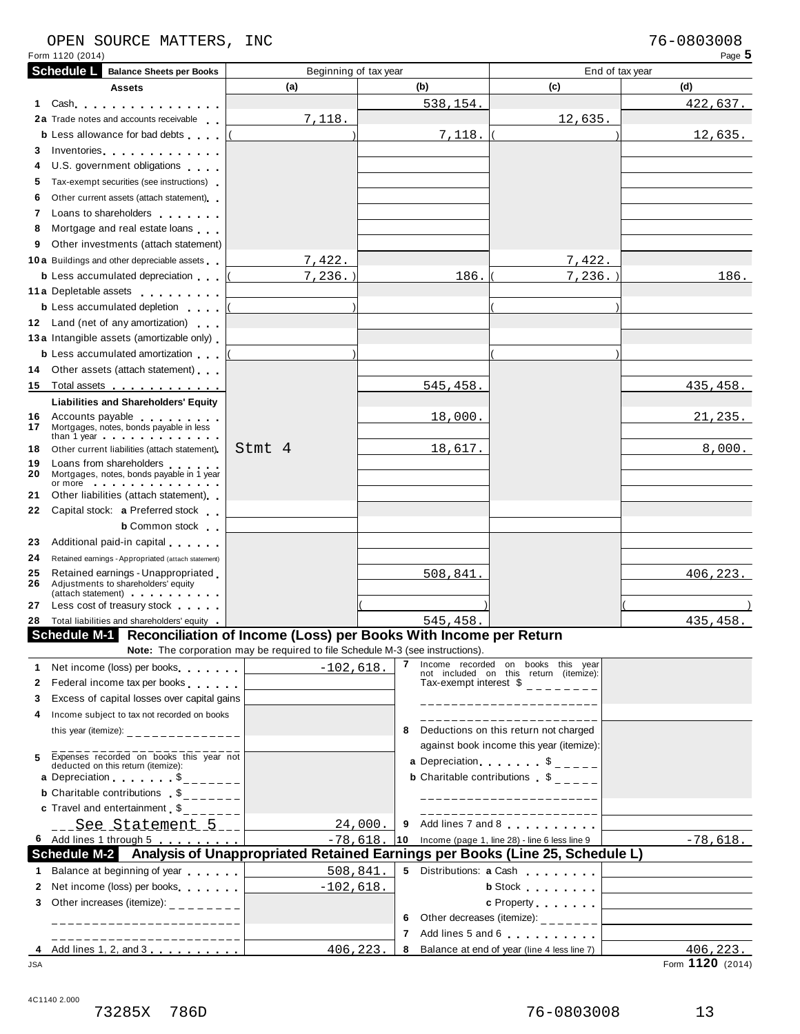# OPEN SOURCE MATTERS, INC<br>Form 1120 (2014) Page 5

| Form 1120 (2014)  |                                                                                                                                                                                                                                                                                                        |                                                                                |              |          |                                                                                             | Page 5                                                                                                 |
|-------------------|--------------------------------------------------------------------------------------------------------------------------------------------------------------------------------------------------------------------------------------------------------------------------------------------------------|--------------------------------------------------------------------------------|--------------|----------|---------------------------------------------------------------------------------------------|--------------------------------------------------------------------------------------------------------|
| <b>Schedule L</b> | <b>Balance Sheets per Books</b>                                                                                                                                                                                                                                                                        | Beginning of tax year                                                          |              |          |                                                                                             | End of tax year                                                                                        |
|                   | <b>Assets</b>                                                                                                                                                                                                                                                                                          | (a)                                                                            | (b)          |          | (c)                                                                                         | (d)                                                                                                    |
| 1.                | Cash experience and the set of the set of the set of the set of the set of the set of the set of the set of the set of the set of the set of the set of the set of the set of the set of the set of the set of the set of the                                                                          |                                                                                |              | 538,154. |                                                                                             | 422,637.                                                                                               |
|                   | 2a Trade notes and accounts receivable                                                                                                                                                                                                                                                                 | 7,118.                                                                         |              |          | 12,635.                                                                                     |                                                                                                        |
|                   | <b>b</b> Less allowance for bad debts                                                                                                                                                                                                                                                                  |                                                                                |              | 7,118.   |                                                                                             | 12,635.                                                                                                |
| 3.                | Inventories                                                                                                                                                                                                                                                                                            |                                                                                |              |          |                                                                                             |                                                                                                        |
| 4                 | U.S. government obligations                                                                                                                                                                                                                                                                            |                                                                                |              |          |                                                                                             |                                                                                                        |
| 5.                | Tax-exempt securities (see instructions)                                                                                                                                                                                                                                                               |                                                                                |              |          |                                                                                             |                                                                                                        |
| 6                 | Other current assets (attach statement)                                                                                                                                                                                                                                                                |                                                                                |              |          |                                                                                             |                                                                                                        |
| 7                 | Loans to shareholders and the state of the state of                                                                                                                                                                                                                                                    |                                                                                |              |          |                                                                                             |                                                                                                        |
| 8                 | Mortgage and real estate loans                                                                                                                                                                                                                                                                         |                                                                                |              |          |                                                                                             |                                                                                                        |
| 9                 | Other investments (attach statement)                                                                                                                                                                                                                                                                   |                                                                                |              |          |                                                                                             |                                                                                                        |
|                   | 10 a Buildings and other depreciable assets                                                                                                                                                                                                                                                            | 7,422.                                                                         |              |          | 7,422.                                                                                      |                                                                                                        |
|                   | <b>b</b> Less accumulated depreciation                                                                                                                                                                                                                                                                 | $7,236.$ )                                                                     |              | 186.     | 7, 236.                                                                                     | 186.                                                                                                   |
|                   | 11 a Depletable assets                                                                                                                                                                                                                                                                                 |                                                                                |              |          |                                                                                             |                                                                                                        |
|                   | <b>b</b> Less accumulated depletion                                                                                                                                                                                                                                                                    |                                                                                |              |          |                                                                                             |                                                                                                        |
|                   | 12 Land (net of any amortization)                                                                                                                                                                                                                                                                      |                                                                                |              |          |                                                                                             |                                                                                                        |
|                   | 13 a Intangible assets (amortizable only)                                                                                                                                                                                                                                                              |                                                                                |              |          |                                                                                             |                                                                                                        |
|                   | <b>b</b> Less accumulated amortization                                                                                                                                                                                                                                                                 |                                                                                |              |          |                                                                                             |                                                                                                        |
| 14                | Other assets (attach statement)                                                                                                                                                                                                                                                                        |                                                                                |              |          |                                                                                             |                                                                                                        |
| 15                | Total assets <u>.</u>                                                                                                                                                                                                                                                                                  |                                                                                |              | 545,458. |                                                                                             | 435,458.                                                                                               |
|                   |                                                                                                                                                                                                                                                                                                        |                                                                                |              |          |                                                                                             |                                                                                                        |
|                   | <b>Liabilities and Shareholders' Equity</b><br>16 Accounts payable                                                                                                                                                                                                                                     |                                                                                |              | 18,000.  |                                                                                             | 21, 235.                                                                                               |
| 17                | Mortgages, notes, bonds payable in less<br>than 1 year and the contract of the contract of the contract of the contract of the contract of the contract of                                                                                                                                             |                                                                                |              |          |                                                                                             |                                                                                                        |
| 18                | Other current liabilities (attach statement)                                                                                                                                                                                                                                                           | Stmt 4                                                                         |              | 18,617.  |                                                                                             | 8,000.                                                                                                 |
| 19<br>20          | Loans from shareholders<br>Mortgages, notes, bonds payable in 1 year<br>or more in the second contract of the second second second second second second second second second second second second second second second second second second second second second second second second second second se |                                                                                |              |          |                                                                                             |                                                                                                        |
| 21                | Other liabilities (attach statement)                                                                                                                                                                                                                                                                   |                                                                                |              |          |                                                                                             |                                                                                                        |
| 22                | Capital stock: a Preferred stock                                                                                                                                                                                                                                                                       |                                                                                |              |          |                                                                                             |                                                                                                        |
|                   | <b>b</b> Common stock                                                                                                                                                                                                                                                                                  |                                                                                |              |          |                                                                                             |                                                                                                        |
| 23                | Additional paid-in capital                                                                                                                                                                                                                                                                             |                                                                                |              |          |                                                                                             |                                                                                                        |
| 24                | Retained earnings - Appropriated (attach statement)                                                                                                                                                                                                                                                    |                                                                                |              |          |                                                                                             |                                                                                                        |
| 25                | Retained earnings - Unappropriated                                                                                                                                                                                                                                                                     |                                                                                |              | 508,841  |                                                                                             | 406, 223.                                                                                              |
| 26                | Adjustments to shareholders' equity                                                                                                                                                                                                                                                                    |                                                                                |              |          |                                                                                             |                                                                                                        |
| 27                | (attach statement) and the contract of the contract of<br>Less cost of treasury stock                                                                                                                                                                                                                  |                                                                                |              |          |                                                                                             |                                                                                                        |
|                   | 28 Total liabilities and shareholders' equity                                                                                                                                                                                                                                                          |                                                                                |              | 545,458. |                                                                                             | 435,458.                                                                                               |
|                   | Schedule M-1 Reconciliation of Income (Loss) per Books With Income per Return                                                                                                                                                                                                                          |                                                                                |              |          |                                                                                             |                                                                                                        |
|                   |                                                                                                                                                                                                                                                                                                        | Note: The corporation may be required to file Schedule M-3 (see instructions). |              |          |                                                                                             |                                                                                                        |
| 1.                | Net income (loss) per books                                                                                                                                                                                                                                                                            | $-102,618.$                                                                    | $\mathbf{7}$ |          | Income recorded on books this year                                                          |                                                                                                        |
| 2                 | Federal income tax per books                                                                                                                                                                                                                                                                           |                                                                                |              |          | not included on this return (itemize):<br>Tax-exempt interest $\frac{1}{2}$ = = = = = = = = |                                                                                                        |
| 3                 | Excess of capital losses over capital gains                                                                                                                                                                                                                                                            |                                                                                |              |          |                                                                                             |                                                                                                        |
|                   | Income subject to tax not recorded on books                                                                                                                                                                                                                                                            |                                                                                |              |          | _____________________                                                                       |                                                                                                        |
| 4                 |                                                                                                                                                                                                                                                                                                        |                                                                                | 8            |          | _____________________<br>Deductions on this return not charged                              |                                                                                                        |
|                   | this year (itemize): _______________                                                                                                                                                                                                                                                                   |                                                                                |              |          |                                                                                             |                                                                                                        |
| 5                 |                                                                                                                                                                                                                                                                                                        |                                                                                |              |          | against book income this year (itemize):                                                    |                                                                                                        |
|                   | Expenses recorded on books this year not<br>deducted on this return (itemize):                                                                                                                                                                                                                         |                                                                                |              |          | <b>a</b> Depreciation $\begin{bmatrix} 1 & 1 \\ 2 & -1 \end{bmatrix}$                       |                                                                                                        |
|                   | a Depreciation $\begin{array}{ccc} \bullet & \bullet & \bullet \\ \bullet & \bullet & \bullet \end{array}$                                                                                                                                                                                             |                                                                                |              |          | <b>b</b> Charitable contributions \$                                                        |                                                                                                        |
|                   | <b>b</b> Charitable contributions $\sum_{n=1}^{\infty}$                                                                                                                                                                                                                                                |                                                                                |              |          | ____________________                                                                        |                                                                                                        |
|                   | <b>c</b> Travel and entertainment $\sum_{n=1}^{\infty}$                                                                                                                                                                                                                                                |                                                                                |              |          |                                                                                             |                                                                                                        |
|                   | <u>See Statement 5 </u>                                                                                                                                                                                                                                                                                |                                                                                | 24,000.      |          | 9 Add lines 7 and 8                                                                         |                                                                                                        |
|                   | 6 Add lines 1 through 5 [10]                                                                                                                                                                                                                                                                           | $-78,618$                                                                      |              |          | 10 Income (page 1, line 28) - line 6 less line 9                                            | $-78,618.$                                                                                             |
|                   | Schedule M-2 Analysis of Unappropriated Retained Earnings per Books (Line 25, Schedule L)                                                                                                                                                                                                              |                                                                                |              |          |                                                                                             |                                                                                                        |
|                   | 1 Balance at beginning of year                                                                                                                                                                                                                                                                         | 508,841.                                                                       |              |          | 5 Distributions: a Cash                                                                     |                                                                                                        |
| $\mathbf{2}$      | Net income (loss) per books                                                                                                                                                                                                                                                                            | $-102,618.$                                                                    |              |          | <b>b</b> Stock <b>and Stock</b>                                                             |                                                                                                        |
| 3                 | Other increases (itemize): $\frac{1}{2}$ = $\frac{1}{2}$ = $\frac{1}{2}$ = $\frac{1}{2}$ = $\frac{1}{2}$                                                                                                                                                                                               |                                                                                |              |          |                                                                                             | c Property $\begin{array}{ c c c }\n\hline\n\end{array}$ . $\begin{array}{ c c }\n\hline\n\end{array}$ |
|                   | -----------------------                                                                                                                                                                                                                                                                                |                                                                                | 6.           |          | Other decreases (itemize): $\frac{1}{2}$ - - - - - - -                                      | the control of the control of the control of the control of the control of                             |
|                   |                                                                                                                                                                                                                                                                                                        |                                                                                |              |          |                                                                                             |                                                                                                        |
|                   | 4 Add lines 1, 2, and 3                                                                                                                                                                                                                                                                                | 406,223.                                                                       | $7^{\circ}$  |          | Add lines 5 and 6                                                                           | 406, 223.                                                                                              |

4C1140 2.000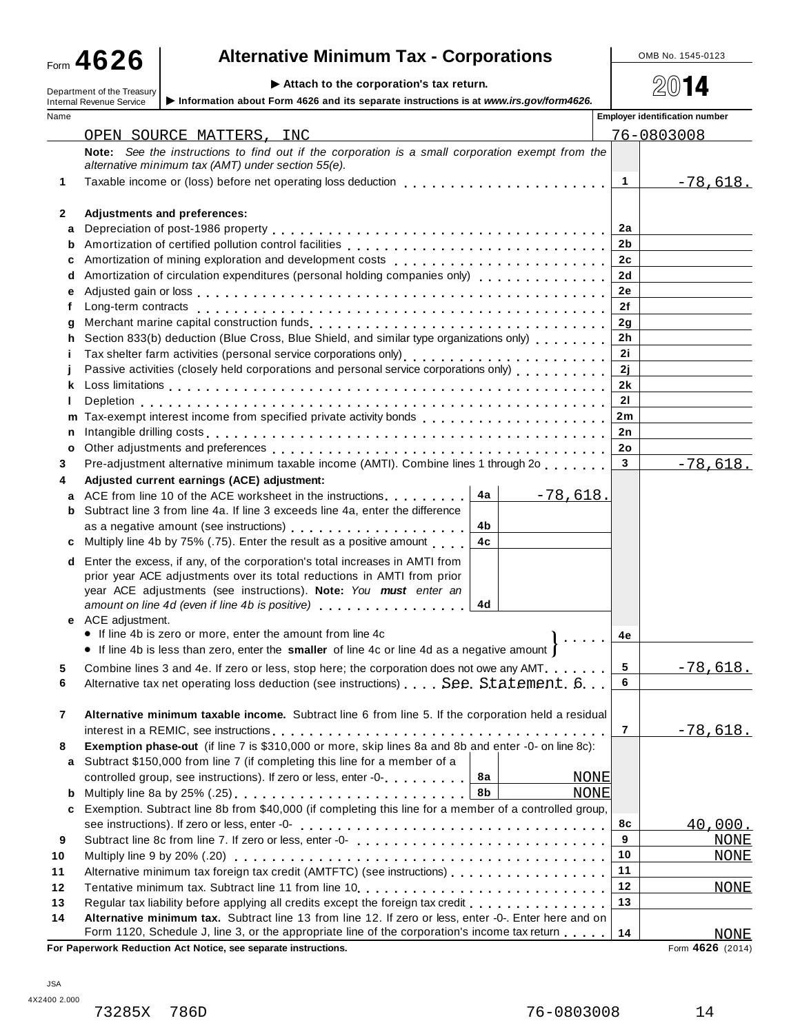# **A**  $\bullet$  26 **a Alternative Minimum Tax - Corporations Alternative Minimum Tax - Corporations**

Department of the Treasury **Attach to the corporation's tax return.** Department of the Treasury **Attach is a set of the Componation's** tax return. <br>Department of the Treasury **Attach is a set of the corporation** is a set

|        | P Allach to the corporation $\mathbf s$ tax return.<br>Department of the Treasury<br>Information about Form 4626 and its separate instructions is at www.irs.gov/form4626.<br><b>Internal Revenue Service</b> |                      | 4U 14                                 |
|--------|---------------------------------------------------------------------------------------------------------------------------------------------------------------------------------------------------------------|----------------------|---------------------------------------|
| Name   |                                                                                                                                                                                                               |                      | <b>Employer identification number</b> |
|        | OPEN SOURCE MATTERS, INC                                                                                                                                                                                      |                      | 76-0803008                            |
|        | Note: See the instructions to find out if the corporation is a small corporation exempt from the                                                                                                              |                      |                                       |
|        | alternative minimum tax (AMT) under section 55(e).                                                                                                                                                            |                      |                                       |
| 1      | Taxable income or (loss) before net operating loss deduction                                                                                                                                                  | $\mathbf 1$          | $-78,618.$                            |
| 2      | Adjustments and preferences:                                                                                                                                                                                  |                      |                                       |
| a      |                                                                                                                                                                                                               | 2a                   |                                       |
| b      |                                                                                                                                                                                                               | 2 <sub>b</sub>       |                                       |
| с      | Amortization of mining exploration and development costs [1] [1] $\ldots$ [1] [1] $\ldots$ [1] $\ldots$ [1] $\ldots$ [1] $\ldots$ [1]                                                                         | 2c                   |                                       |
| d      | Amortization of circulation expenditures (personal holding companies only) [1] [1] [1] [1] [1] [1] [1] [1] [1]                                                                                                | 2d                   |                                       |
| е      |                                                                                                                                                                                                               | 2e                   |                                       |
| t      |                                                                                                                                                                                                               | 2f                   |                                       |
| g      |                                                                                                                                                                                                               | 2q                   |                                       |
|        | Section 833(b) deduction (Blue Cross, Blue Shield, and similar type organizations only)                                                                                                                       | 2 <sub>h</sub>       |                                       |
| Ť      |                                                                                                                                                                                                               | 2i                   |                                       |
|        | Passive activities (closely held corporations and personal service corporations only)                                                                                                                         | 2j                   |                                       |
| ĸ      |                                                                                                                                                                                                               | 2k                   |                                       |
|        |                                                                                                                                                                                                               | 21                   |                                       |
| m      |                                                                                                                                                                                                               | 2m                   |                                       |
| n      |                                                                                                                                                                                                               | 2n                   |                                       |
| o      |                                                                                                                                                                                                               | 2ο<br>3 <sup>1</sup> |                                       |
| 3      | Pre-adjustment alternative minimum taxable income (AMTI). Combine lines 1 through 2o                                                                                                                          |                      | $-78,618.$                            |
| 4      | Adjusted current earnings (ACE) adjustment:<br>4a<br>ACE from line 10 of the ACE worksheet in the instructions<br>$-78,618.$                                                                                  |                      |                                       |
| a<br>b | Subtract line 3 from line 4a. If line 3 exceeds line 4a, enter the difference                                                                                                                                 |                      |                                       |
|        | 4b                                                                                                                                                                                                            |                      |                                       |
| c      | 4c<br>Multiply line 4b by 75% (.75). Enter the result as a positive amount                                                                                                                                    |                      |                                       |
| d      | Enter the excess, if any, of the corporation's total increases in AMTI from                                                                                                                                   |                      |                                       |
|        | prior year ACE adjustments over its total reductions in AMTI from prior                                                                                                                                       |                      |                                       |
|        | year ACE adjustments (see instructions). Note: You must enter an                                                                                                                                              |                      |                                       |
|        | amount on line 4d (even if line 4b is positive)<br>4d                                                                                                                                                         |                      |                                       |
|        | e ACE adjustment.                                                                                                                                                                                             |                      |                                       |
|        | • If line 4b is zero or more, enter the amount from line 4c                                                                                                                                                   | 4e                   |                                       |
|        | • If line 4b is less than zero, enter the smaller of line 4c or line 4d as a negative amount                                                                                                                  |                      |                                       |
|        | Combine lines 3 and 4e. If zero or less, stop here; the corporation does not owe any AMT.                                                                                                                     | 5                    | $-78,618.$                            |
| 6      | Alternative tax net operating loss deduction (see instructions) See Statement 6.                                                                                                                              | 6                    |                                       |
|        |                                                                                                                                                                                                               |                      |                                       |
| 7      | Alternative minimum taxable income. Subtract line 6 from line 5. If the corporation held a residual                                                                                                           | 7                    |                                       |
| 8      | Exemption phase-out (if line 7 is \$310,000 or more, skip lines 8a and 8b and enter -0- on line 8c):                                                                                                          |                      | <u>-78,618.</u>                       |
| а      | Subtract \$150,000 from line 7 (if completing this line for a member of a                                                                                                                                     |                      |                                       |
|        | 8a<br>controlled group, see instructions). If zero or less, enter -0-<br><b>NONE</b>                                                                                                                          |                      |                                       |
| b      | 8b<br><b>NONE</b>                                                                                                                                                                                             |                      |                                       |
| c      | Exemption. Subtract line 8b from \$40,000 (if completing this line for a member of a controlled group,                                                                                                        |                      |                                       |
|        |                                                                                                                                                                                                               | 8с                   | 40,000.                               |
| 9      |                                                                                                                                                                                                               | 9                    | <b>NONE</b>                           |
| 10     |                                                                                                                                                                                                               | 10                   | <b>NONE</b>                           |
| 11     | Alternative minimum tax foreign tax credit (AMTFTC) (see instructions)                                                                                                                                        | 11                   |                                       |
| 12     |                                                                                                                                                                                                               | 12                   | <b>NONE</b>                           |
| 13     | Regular tax liability before applying all credits except the foreign tax credit                                                                                                                               | 13                   |                                       |
| 14     | Alternative minimum tax. Subtract line 13 from line 12. If zero or less, enter -0-. Enter here and on                                                                                                         |                      |                                       |
|        | Form 1120, Schedule J, line 3, or the appropriate line of the corporation's income tax return                                                                                                                 | 14                   | <b>NONE</b>                           |

**For Paperwork Reduction Act Notice, see separate instructions.** 

Form 4626 (2014)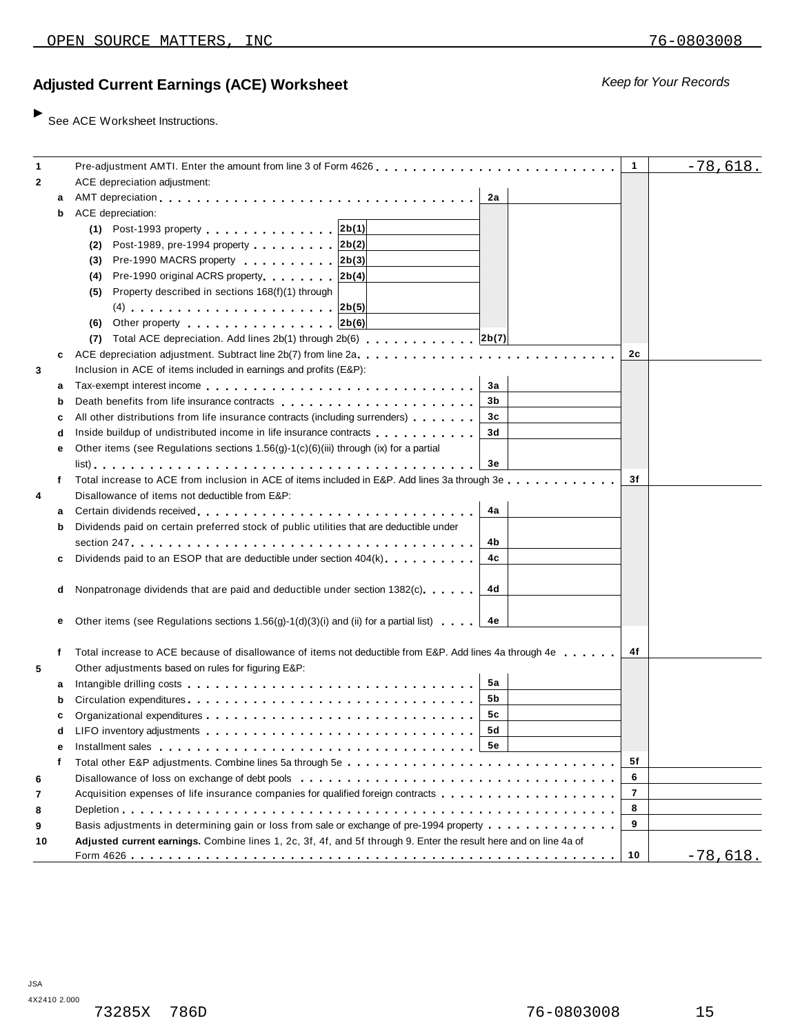## **Ad** *Keep for Your Records* **justed Current Earnings (ACE) Worksheet**

 $\blacktriangleright$  See ACE Worksheet Instructions.

| $\mathbf{1}$ |   | Pre-adjustment AMTI. Enter the amount from line 3 of Form 4626.                                                                                                                                                                      | $\mathbf{1}$   | $-78,618.$      |
|--------------|---|--------------------------------------------------------------------------------------------------------------------------------------------------------------------------------------------------------------------------------------|----------------|-----------------|
| 2            |   | ACE depreciation adjustment:                                                                                                                                                                                                         |                |                 |
|              | a | 2a                                                                                                                                                                                                                                   |                |                 |
|              | b | ACE depreciation:                                                                                                                                                                                                                    |                |                 |
|              |   | (1) Post-1993 property 2b(1)                                                                                                                                                                                                         |                |                 |
|              |   |                                                                                                                                                                                                                                      |                |                 |
|              |   | Post-1989, pre-1994 property 2b(2)<br>(2)                                                                                                                                                                                            |                |                 |
|              |   | Pre-1990 MACRS property 2b(3)<br>(3)                                                                                                                                                                                                 |                |                 |
|              |   | Pre-1990 original ACRS property 2b(4)<br>(4)                                                                                                                                                                                         |                |                 |
|              |   | Property described in sections 168(f)(1) through<br>(5)                                                                                                                                                                              |                |                 |
|              |   | $(4)$ 2b(5)                                                                                                                                                                                                                          |                |                 |
|              |   | (6) Other property $ 2b(6) $                                                                                                                                                                                                         |                |                 |
|              |   |                                                                                                                                                                                                                                      |                |                 |
|              | c |                                                                                                                                                                                                                                      | 2с             |                 |
| 3            |   | Inclusion in ACE of items included in earnings and profits (E&P):                                                                                                                                                                    |                |                 |
|              | а | За                                                                                                                                                                                                                                   |                |                 |
|              | b | Death benefits from life insurance contracts enteries and an article of the set of the set of the set of the set of the set of the set of the set of the set of the set of the set of the set of the set of the set of the set<br>3b |                |                 |
|              | с | All other distributions from life insurance contracts (including surrenders)<br>3c                                                                                                                                                   |                |                 |
|              | d | Inside buildup of undistributed income in life insurance contracts<br>3d                                                                                                                                                             |                |                 |
|              | е | Other items (see Regulations sections 1.56(g)-1(c)(6)(iii) through (ix) for a partial                                                                                                                                                |                |                 |
|              |   | Зе                                                                                                                                                                                                                                   |                |                 |
|              | f | Total increase to ACE from inclusion in ACE of items included in E&P. Add lines 3a through 3e                                                                                                                                        | 3f             |                 |
| 4            |   | Disallowance of items not deductible from E&P:                                                                                                                                                                                       |                |                 |
|              | а | 4a                                                                                                                                                                                                                                   |                |                 |
|              | b | Dividends paid on certain preferred stock of public utilities that are deductible under                                                                                                                                              |                |                 |
|              |   | 4b                                                                                                                                                                                                                                   |                |                 |
|              |   | 4c                                                                                                                                                                                                                                   |                |                 |
|              | c | Dividends paid to an ESOP that are deductible under section $404(k)$                                                                                                                                                                 |                |                 |
|              |   |                                                                                                                                                                                                                                      |                |                 |
|              | d | Nonpatronage dividends that are paid and deductible under section 1382(c).<br>4d                                                                                                                                                     |                |                 |
|              |   |                                                                                                                                                                                                                                      |                |                 |
|              | е | Other items (see Regulations sections 1.56(g)-1(d)(3)(i) and (ii) for a partial list)<br>4e                                                                                                                                          |                |                 |
|              |   |                                                                                                                                                                                                                                      |                |                 |
|              | f | Total increase to ACE because of disallowance of items not deductible from E&P. Add lines 4a through 4e                                                                                                                              | 4f             |                 |
| 5            |   | Other adjustments based on rules for figuring E&P:                                                                                                                                                                                   |                |                 |
|              | а | 5а                                                                                                                                                                                                                                   |                |                 |
|              |   | 5b                                                                                                                                                                                                                                   |                |                 |
|              |   | 5с                                                                                                                                                                                                                                   |                |                 |
|              | d | 5d                                                                                                                                                                                                                                   |                |                 |
|              | е | Installment sales $\ldots \ldots \ldots \ldots \ldots \ldots \ldots \ldots \ldots \ldots \ldots$                                                                                                                                     |                |                 |
|              |   |                                                                                                                                                                                                                                      | 5f             |                 |
| 6            |   |                                                                                                                                                                                                                                      | 6              |                 |
| 7            |   | Acquisition expenses of life insurance companies for qualified foreign contracts                                                                                                                                                     | $\overline{7}$ |                 |
| 8            |   |                                                                                                                                                                                                                                      | 8              |                 |
| 9            |   | Basis adjustments in determining gain or loss from sale or exchange of pre-1994 property                                                                                                                                             | 9              |                 |
| 10           |   | Adjusted current earnings. Combine lines 1, 2c, 3f, 4f, and 5f through 9. Enter the result here and on line 4a of                                                                                                                    |                |                 |
|              |   |                                                                                                                                                                                                                                      | 10             | <u>-78,618.</u> |
|              |   |                                                                                                                                                                                                                                      |                |                 |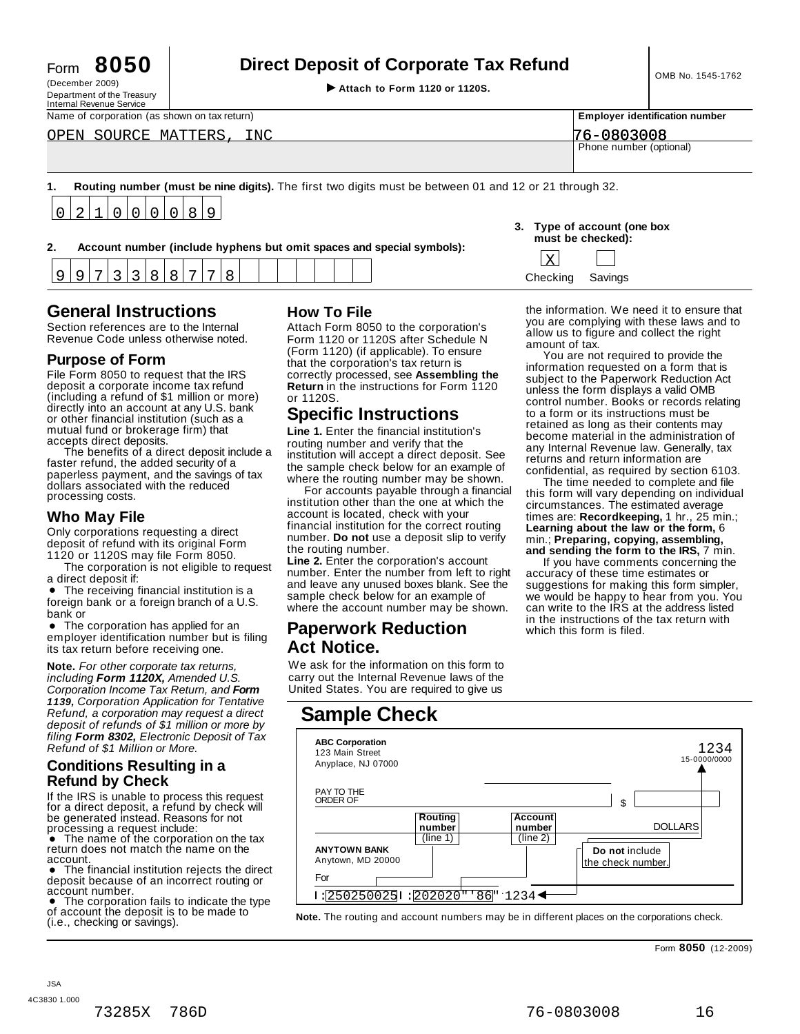| -orm | 8050 |  |
|------|------|--|
|      |      |  |

# Form **8050 Direct Deposit of Corporate Tax Refund**

(December 2009) I **Attach to Form <sup>1120</sup> or 1120S.** Department of the Treasury

| Internal Revenue Service                     |                         |                                       |
|----------------------------------------------|-------------------------|---------------------------------------|
| Name of corporation (as shown on tax return) |                         | <b>Employer identification number</b> |
| OPEN SOURCE MATTERS,<br>INC                  | 76-0803008              |                                       |
|                                              | Phone number (optional) |                                       |
|                                              |                         |                                       |

**1. Routing number (must be nine digits).** The first two digits must be between 01 and 12 or 21 through 32.  $\overline{0}$ 2 1  $\Omega$  $\overline{0}$  $\Omega$  $\overline{0}$ 8  $\mathsf{Q}$ 

|                                                                       | must be checked): |
|-----------------------------------------------------------------------|-------------------|
| Account number (include hyphens but omit spaces and special symbols): |                   |

| 3. Type of account (one box<br>must be checked): |  |
|--------------------------------------------------|--|
| ا ده ا                                           |  |

| --- |  |  |  |  |  |  |  |  |  |        |  |
|-----|--|--|--|--|--|--|--|--|--|--------|--|
|     |  |  |  |  |  |  |  |  |  | ivinas |  |

### **General Instructions How To File**

Section references are to the Internal Section references are to the Internal Attach Form 8050 to the corporation's<br>Revenue Code unless otherwise noted. Form 1120 or 1120S after Schedule N

### **Purpose of Form**

File Form 8050 to request that the IRS deposit a corporate income tax refund (including a refund of \$1 million or more) directly into an account at any U.S. bank or other financial institution (such as a mutual fund or brokerage firm) that<br>accepts direct deposits.

The benefits of a direct deposit include a faster refund, the added security of a paperless payment, and the savings of tax dollars associated with the reduced processing costs.

#### **Who May File**

Only corporations requesting a direct deposit of refund with its original Form 1120 or 1120S may file Form 8050.

The corporation is not eligible to request a direct deposit if:

a direct deposit if:<br>● The receiving financial institution is a<br>ioreign bank or a foreign branch of a LLS foreign bank or a foreign branch of a U.S. bank or

• The corporation has applied for an employer identification number but is filing its tax return before receiving one.

**Note.** *For other corporate tax returns, including Form 1120X, Amended U.S. Corporation Income Tax Return, and Form 1139, Corporation Application for Tentative Refund, a corporation may request a direct deposit of refunds of \$1 million or more by filing Form 8302, Electronic Deposit of Tax Refund of \$1 Million or More.*

### **Conditions Resulting in a Refund by Check**

If the IRS is unable to process this request for a direct deposit, a refund by check will be generated instead. Reasons for not

return does not match the name on the

deposit because of an incorrect routing or

The corporation fails to indicate the type of account the deposit is to be made to (i.e., checking or savings).

Form 1120 or 1120S after Schedule N (Form 1120) (if applicable). To ensure that the corporation's tax return is correctly processed, see **Assembling the Return** in the instructions for Form 1120 or 1120S.

## **Specific Instructions**

**Line 1.** Enter the financial institution's routing number and verify that the institution will accept a direct deposit. See the sample check below for an example of where the routing number may be shown.

For accounts payable through a financial institution other than the one at which the account is located, check with your financial institution for the correct routing number. **Do not** use a deposit slip to verify the routing number.

**Line 2.** Enter the corporation's account number. Enter the number from left to right and leave any unused boxes blank. See the sample check below for an example of where the account number may be shown.

### % **Paperwork Reduction Act Notice.**

We ask for the information on this form to carry out the Internal Revenue laws of the United States. You are required to give us

## **Sample Check**



the information. We need it to ensure that you are complying with these laws and to allow us to figure and collect the right

You are not required to provide the information requested on a form that is subject to the Paperwork Reduction Act unless the form displays a valid OMB control number. Books or records relating to a form or its instructions must be retained as long as their contents may become material in the administration of any Internal Revenue law. Generally, tax returns and return information are confidential, as required by section 6103.

The time needed to complete and file this form will vary depending on individual circumstances. The estimated average times are: **Recordkeeping,** 1 hr., 25 min.; **Learning about the law or the form,** 6 min.; **Preparing, copying, assembling, and sending the form to the IRS,** 7 min.

If you have comments concerning the accuracy of these time estimates or suggestions for making this form simpler, we would be happy to hear from you. You can write to the IRS at the address listed in the instructions of the tax return with which this form is filed.

Form **8050** (12-2009)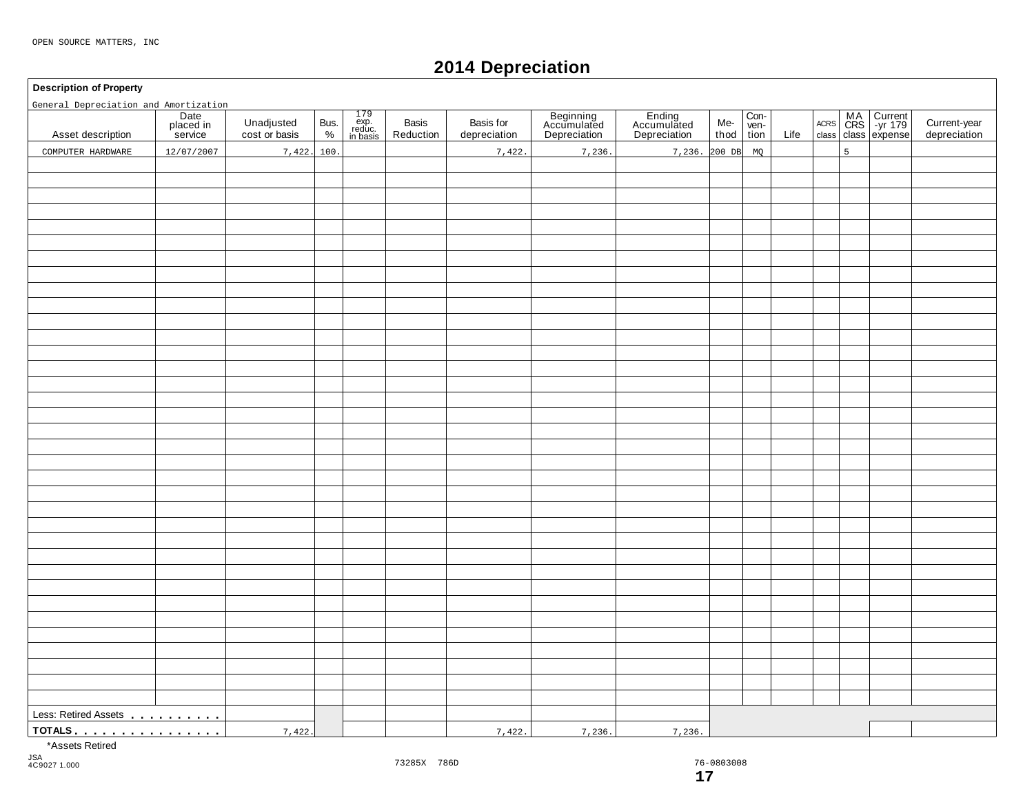## **2014 Depreciation**

#### **Description of Property**

General Depreciation and Amortization

| General Depreciation and Amortization                                                                                                                                                                                            |                              |                             |              |                                                                                        |                    |                           |                                          |                                       |                     |                |      |   |                                        |                              |
|----------------------------------------------------------------------------------------------------------------------------------------------------------------------------------------------------------------------------------|------------------------------|-----------------------------|--------------|----------------------------------------------------------------------------------------|--------------------|---------------------------|------------------------------------------|---------------------------------------|---------------------|----------------|------|---|----------------------------------------|------------------------------|
| Asset description                                                                                                                                                                                                                | Date<br>placed in<br>service | Unadjusted<br>cost or basis | Bus.<br>$\%$ | $\begin{array}{c} 179 \\ \text{exp.} \\ \text{reduce.} \\ \text{in basis} \end{array}$ | Basis<br>Reduction | Basis for<br>depreciation | Beginning<br>Accumulated<br>Depreciation | Ending<br>Accumulated<br>Depreciation | Me-<br>thod $\vert$ | $Con-ven-tion$ | Life |   | ACRS MA Current<br>class class expense | Current-year<br>depreciation |
| COMPUTER HARDWARE                                                                                                                                                                                                                | 12/07/2007                   | 7,422.                      | 100.         |                                                                                        |                    | 7,422                     | 7,236.                                   | 7,236. 200 DB                         |                     | MQ             |      | 5 |                                        |                              |
|                                                                                                                                                                                                                                  |                              |                             |              |                                                                                        |                    |                           |                                          |                                       |                     |                |      |   |                                        |                              |
|                                                                                                                                                                                                                                  |                              |                             |              |                                                                                        |                    |                           |                                          |                                       |                     |                |      |   |                                        |                              |
|                                                                                                                                                                                                                                  |                              |                             |              |                                                                                        |                    |                           |                                          |                                       |                     |                |      |   |                                        |                              |
|                                                                                                                                                                                                                                  |                              |                             |              |                                                                                        |                    |                           |                                          |                                       |                     |                |      |   |                                        |                              |
|                                                                                                                                                                                                                                  |                              |                             |              |                                                                                        |                    |                           |                                          |                                       |                     |                |      |   |                                        |                              |
|                                                                                                                                                                                                                                  |                              |                             |              |                                                                                        |                    |                           |                                          |                                       |                     |                |      |   |                                        |                              |
|                                                                                                                                                                                                                                  |                              |                             |              |                                                                                        |                    |                           |                                          |                                       |                     |                |      |   |                                        |                              |
|                                                                                                                                                                                                                                  |                              |                             |              |                                                                                        |                    |                           |                                          |                                       |                     |                |      |   |                                        |                              |
|                                                                                                                                                                                                                                  |                              |                             |              |                                                                                        |                    |                           |                                          |                                       |                     |                |      |   |                                        |                              |
|                                                                                                                                                                                                                                  |                              |                             |              |                                                                                        |                    |                           |                                          |                                       |                     |                |      |   |                                        |                              |
|                                                                                                                                                                                                                                  |                              |                             |              |                                                                                        |                    |                           |                                          |                                       |                     |                |      |   |                                        |                              |
|                                                                                                                                                                                                                                  |                              |                             |              |                                                                                        |                    |                           |                                          |                                       |                     |                |      |   |                                        |                              |
|                                                                                                                                                                                                                                  |                              |                             |              |                                                                                        |                    |                           |                                          |                                       |                     |                |      |   |                                        |                              |
|                                                                                                                                                                                                                                  |                              |                             |              |                                                                                        |                    |                           |                                          |                                       |                     |                |      |   |                                        |                              |
|                                                                                                                                                                                                                                  |                              |                             |              |                                                                                        |                    |                           |                                          |                                       |                     |                |      |   |                                        |                              |
|                                                                                                                                                                                                                                  |                              |                             |              |                                                                                        |                    |                           |                                          |                                       |                     |                |      |   |                                        |                              |
|                                                                                                                                                                                                                                  |                              |                             |              |                                                                                        |                    |                           |                                          |                                       |                     |                |      |   |                                        |                              |
|                                                                                                                                                                                                                                  |                              |                             |              |                                                                                        |                    |                           |                                          |                                       |                     |                |      |   |                                        |                              |
|                                                                                                                                                                                                                                  |                              |                             |              |                                                                                        |                    |                           |                                          |                                       |                     |                |      |   |                                        |                              |
|                                                                                                                                                                                                                                  |                              |                             |              |                                                                                        |                    |                           |                                          |                                       |                     |                |      |   |                                        |                              |
|                                                                                                                                                                                                                                  |                              |                             |              |                                                                                        |                    |                           |                                          |                                       |                     |                |      |   |                                        |                              |
|                                                                                                                                                                                                                                  |                              |                             |              |                                                                                        |                    |                           |                                          |                                       |                     |                |      |   |                                        |                              |
|                                                                                                                                                                                                                                  |                              |                             |              |                                                                                        |                    |                           |                                          |                                       |                     |                |      |   |                                        |                              |
|                                                                                                                                                                                                                                  |                              |                             |              |                                                                                        |                    |                           |                                          |                                       |                     |                |      |   |                                        |                              |
|                                                                                                                                                                                                                                  |                              |                             |              |                                                                                        |                    |                           |                                          |                                       |                     |                |      |   |                                        |                              |
|                                                                                                                                                                                                                                  |                              |                             |              |                                                                                        |                    |                           |                                          |                                       |                     |                |      |   |                                        |                              |
|                                                                                                                                                                                                                                  |                              |                             |              |                                                                                        |                    |                           |                                          |                                       |                     |                |      |   |                                        |                              |
|                                                                                                                                                                                                                                  |                              |                             |              |                                                                                        |                    |                           |                                          |                                       |                     |                |      |   |                                        |                              |
|                                                                                                                                                                                                                                  |                              |                             |              |                                                                                        |                    |                           |                                          |                                       |                     |                |      |   |                                        |                              |
|                                                                                                                                                                                                                                  |                              |                             |              |                                                                                        |                    |                           |                                          |                                       |                     |                |      |   |                                        |                              |
|                                                                                                                                                                                                                                  |                              |                             |              |                                                                                        |                    |                           |                                          |                                       |                     |                |      |   |                                        |                              |
|                                                                                                                                                                                                                                  |                              |                             |              |                                                                                        |                    |                           |                                          |                                       |                     |                |      |   |                                        |                              |
|                                                                                                                                                                                                                                  |                              |                             |              |                                                                                        |                    |                           |                                          |                                       |                     |                |      |   |                                        |                              |
|                                                                                                                                                                                                                                  |                              |                             |              |                                                                                        |                    |                           |                                          |                                       |                     |                |      |   |                                        |                              |
|                                                                                                                                                                                                                                  |                              |                             |              |                                                                                        |                    |                           |                                          |                                       |                     |                |      |   |                                        |                              |
|                                                                                                                                                                                                                                  |                              |                             |              |                                                                                        |                    |                           |                                          |                                       |                     |                |      |   |                                        |                              |
|                                                                                                                                                                                                                                  |                              |                             |              |                                                                                        |                    |                           |                                          |                                       |                     |                |      |   |                                        |                              |
| Less: Retired Assets<br>1994 - Paris Lessin, Maria Barco, and Maria Barco, and Maria Barco, and Maria Barco, and Maria Barco, and Maria Barco, and Maria Barco, and Maria Barco, and Maria Barco, and Maria Barco, and Maria Bar |                              |                             |              |                                                                                        |                    |                           |                                          |                                       |                     |                |      |   |                                        |                              |
| <u>TOTALS</u>                                                                                                                                                                                                                    |                              | 7,422.                      |              |                                                                                        |                    | 7,422.                    | 7,236.                                   | 7,236.                                |                     |                |      |   |                                        |                              |

\*Assets Retired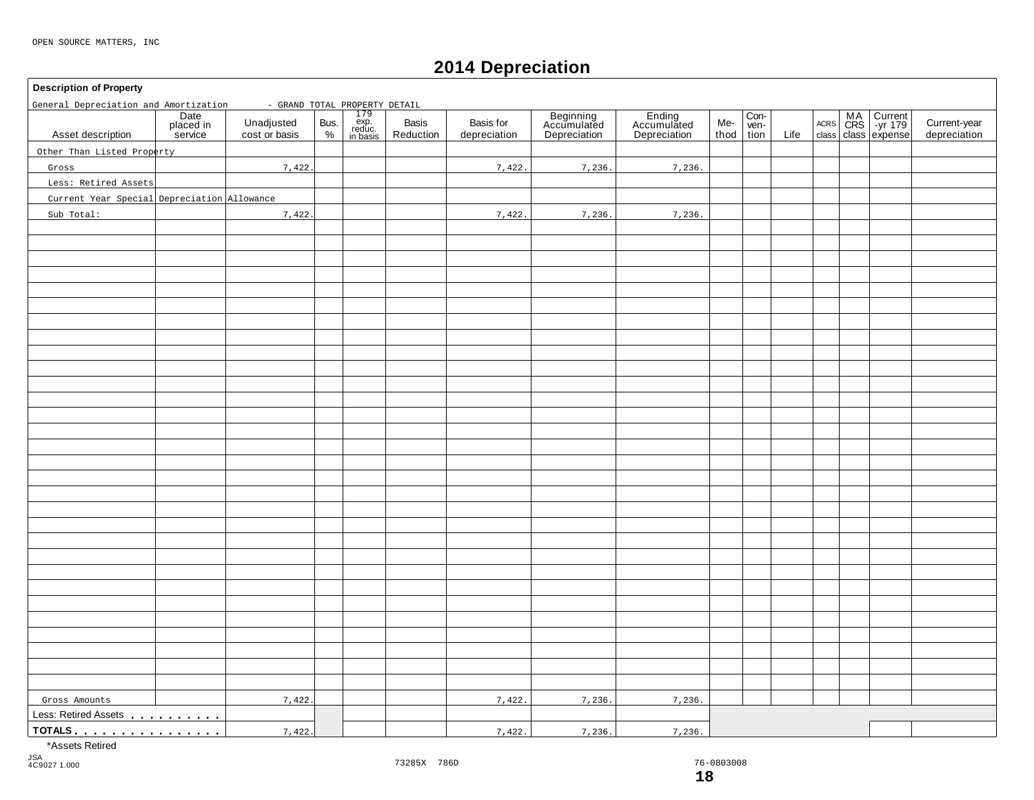### **2014 Depreciation**

### **Description of Property** 179 exp. reduc. in basis Date placed in service Basis | Basis for | Beginning | Ending | Me-<br>Reduction depreciation | Depreciation | Depreciation | thoc Ending Accumulated Depreciation Con- ven-tion MA Current |<br>CRS | -yr 179 | Unadjusted Bus. exp. Basis Basis Basis for Accumulated Accumulated Me- wen- Acres CRS -yr 179 |<br>
cost or basis % | reduction | depreciation | Depreciation | Depreciation | thod tion Life class class expense Unadjusted Bus.<br>cost or basis  $\begin{bmatrix} 8 & 2 \\ 2 & 1 \end{bmatrix}$ Basis<br>Reduction thod ACRS Asset description | placed in Unadjusted Bus. exp. Basis Basis Current-year Accumulated Accumulated Me- Ven- Accumulated Accumulated Accumulated Me- Ven- Accumulated Accumulated Accumulated Accumulated Me- Ven- Accumulated Less: Retired Assets mm m m m m m m m m **TOTALS** m mm m m m m m m m m m m m m m General Depreciation and Amortization - GRAND TOTAL PROPERTY DETAIL Other Than Listed Property Gross Less: Retired Assets Current Year Special Depreciation Allowance Sub Total: 7,422. 7,422. 7,422. 7,422. 7,236. 7,236. 7,236. 7,236. Gross Amounts 1,422 7,422. 7,422. 7,422. 7,236. 7,236. 7,236. 7,236.

\*Assets Retired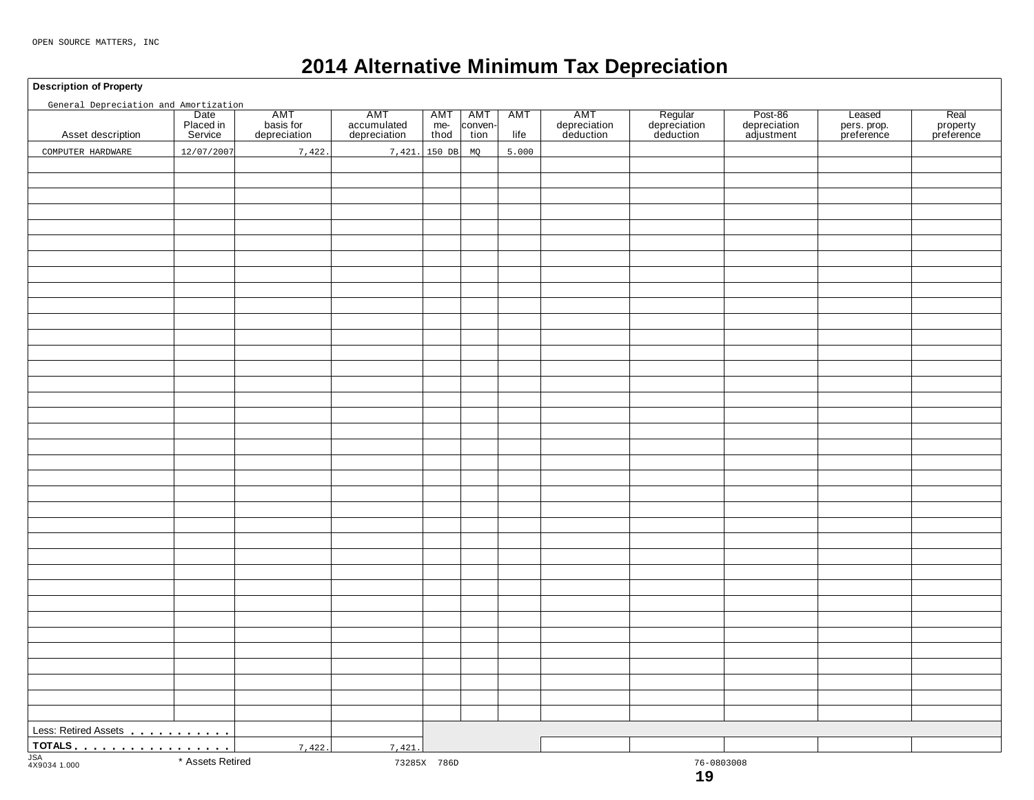## **2014 Alternative Minimum Tax Depreciation**

**Description of Property**

| General Depreciation and Amortization               |                                      |                                  |                                    |                           |                        |             |                                  |                                      |                                       |                                     |                                |
|-----------------------------------------------------|--------------------------------------|----------------------------------|------------------------------------|---------------------------|------------------------|-------------|----------------------------------|--------------------------------------|---------------------------------------|-------------------------------------|--------------------------------|
| Asset description                                   | Date<br>Date<br>Placed in<br>Service | AMT<br>basis for<br>depreciation | AMT<br>accumulated<br>depreciation | <b>AMT</b><br>me-<br>thod | AMT<br>conven-<br>tion | AMT<br>life | AMT<br>depreciation<br>deduction | Regular<br>depreciation<br>deduction | Post-86<br>depreciation<br>adjustment | Leased<br>pers. prop.<br>preference | Real<br>property<br>preference |
| COMPUTER HARDWARE                                   | 12/07/2007                           | 7,422.                           | 7,421. 150 DB                      |                           | MQ                     | 5.000       |                                  |                                      |                                       |                                     |                                |
|                                                     |                                      |                                  |                                    |                           |                        |             |                                  |                                      |                                       |                                     |                                |
|                                                     |                                      |                                  |                                    |                           |                        |             |                                  |                                      |                                       |                                     |                                |
|                                                     |                                      |                                  |                                    |                           |                        |             |                                  |                                      |                                       |                                     |                                |
|                                                     |                                      |                                  |                                    |                           |                        |             |                                  |                                      |                                       |                                     |                                |
|                                                     |                                      |                                  |                                    |                           |                        |             |                                  |                                      |                                       |                                     |                                |
|                                                     |                                      |                                  |                                    |                           |                        |             |                                  |                                      |                                       |                                     |                                |
|                                                     |                                      |                                  |                                    |                           |                        |             |                                  |                                      |                                       |                                     |                                |
|                                                     |                                      |                                  |                                    |                           |                        |             |                                  |                                      |                                       |                                     |                                |
|                                                     |                                      |                                  |                                    |                           |                        |             |                                  |                                      |                                       |                                     |                                |
|                                                     |                                      |                                  |                                    |                           |                        |             |                                  |                                      |                                       |                                     |                                |
|                                                     |                                      |                                  |                                    |                           |                        |             |                                  |                                      |                                       |                                     |                                |
|                                                     |                                      |                                  |                                    |                           |                        |             |                                  |                                      |                                       |                                     |                                |
|                                                     |                                      |                                  |                                    |                           |                        |             |                                  |                                      |                                       |                                     |                                |
|                                                     |                                      |                                  |                                    |                           |                        |             |                                  |                                      |                                       |                                     |                                |
|                                                     |                                      |                                  |                                    |                           |                        |             |                                  |                                      |                                       |                                     |                                |
|                                                     |                                      |                                  |                                    |                           |                        |             |                                  |                                      |                                       |                                     |                                |
|                                                     |                                      |                                  |                                    |                           |                        |             |                                  |                                      |                                       |                                     |                                |
|                                                     |                                      |                                  |                                    |                           |                        |             |                                  |                                      |                                       |                                     |                                |
|                                                     |                                      |                                  |                                    |                           |                        |             |                                  |                                      |                                       |                                     |                                |
|                                                     |                                      |                                  |                                    |                           |                        |             |                                  |                                      |                                       |                                     |                                |
|                                                     |                                      |                                  |                                    |                           |                        |             |                                  |                                      |                                       |                                     |                                |
|                                                     |                                      |                                  |                                    |                           |                        |             |                                  |                                      |                                       |                                     |                                |
|                                                     |                                      |                                  |                                    |                           |                        |             |                                  |                                      |                                       |                                     |                                |
|                                                     |                                      |                                  |                                    |                           |                        |             |                                  |                                      |                                       |                                     |                                |
|                                                     |                                      |                                  |                                    |                           |                        |             |                                  |                                      |                                       |                                     |                                |
|                                                     |                                      |                                  |                                    |                           |                        |             |                                  |                                      |                                       |                                     |                                |
|                                                     |                                      |                                  |                                    |                           |                        |             |                                  |                                      |                                       |                                     |                                |
|                                                     |                                      |                                  |                                    |                           |                        |             |                                  |                                      |                                       |                                     |                                |
|                                                     |                                      |                                  |                                    |                           |                        |             |                                  |                                      |                                       |                                     |                                |
|                                                     |                                      |                                  |                                    |                           |                        |             |                                  |                                      |                                       |                                     |                                |
|                                                     |                                      |                                  |                                    |                           |                        |             |                                  |                                      |                                       |                                     |                                |
|                                                     |                                      |                                  |                                    |                           |                        |             |                                  |                                      |                                       |                                     |                                |
|                                                     |                                      |                                  |                                    |                           |                        |             |                                  |                                      |                                       |                                     |                                |
|                                                     |                                      |                                  |                                    |                           |                        |             |                                  |                                      |                                       |                                     |                                |
|                                                     |                                      |                                  |                                    |                           |                        |             |                                  |                                      |                                       |                                     |                                |
|                                                     |                                      |                                  |                                    |                           |                        |             |                                  |                                      |                                       |                                     |                                |
|                                                     |                                      |                                  |                                    |                           |                        |             |                                  |                                      |                                       |                                     |                                |
| Less: Retired Assets<br><u>Less:</u> Retired Assets |                                      |                                  |                                    |                           |                        |             |                                  |                                      |                                       |                                     |                                |
| TOTALS                                              |                                      | 7,422.                           | 7,421.                             |                           |                        |             |                                  |                                      |                                       |                                     |                                |
| JSA<br>4X9034 1.000                                 | * Assets Retired                     |                                  |                                    | 73285X 786D               |                        |             |                                  | 76-0803008                           |                                       |                                     |                                |
|                                                     |                                      |                                  |                                    |                           |                        |             |                                  | 19                                   |                                       |                                     |                                |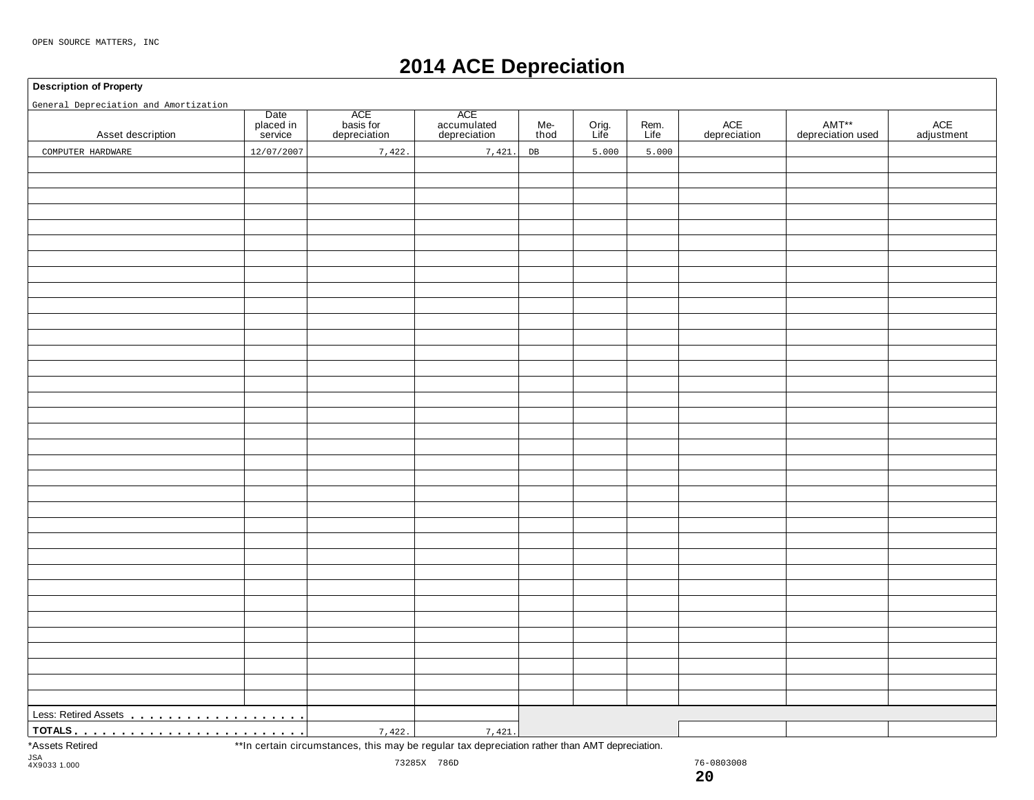## **2014 ACE Depreciation**

#### **Description of Property**

| General Depreciation and Amortization |                              |                                  |                                    |             |                                                                                                                 |              |                     |                            |                   |  |
|---------------------------------------|------------------------------|----------------------------------|------------------------------------|-------------|-----------------------------------------------------------------------------------------------------------------|--------------|---------------------|----------------------------|-------------------|--|
| Asset description                     | Date<br>placed in<br>service | ACE<br>basis for<br>depreciation | ACE<br>accumulated<br>depreciation | Me-<br>thod | Orig.<br>Life                                                                                                   | Rem.<br>Life | ACE<br>depreciation | AMT**<br>depreciation used | ACE<br>adjustment |  |
| COMPUTER HARDWARE                     | 12/07/2007                   | 7,422.                           | 7,421.                             | DB          | 5.000                                                                                                           | 5.000        |                     |                            |                   |  |
|                                       |                              |                                  |                                    |             |                                                                                                                 |              |                     |                            |                   |  |
|                                       |                              |                                  |                                    |             |                                                                                                                 |              |                     |                            |                   |  |
|                                       |                              |                                  |                                    |             |                                                                                                                 |              |                     |                            |                   |  |
|                                       |                              |                                  |                                    |             |                                                                                                                 |              |                     |                            |                   |  |
|                                       |                              |                                  |                                    |             |                                                                                                                 |              |                     |                            |                   |  |
|                                       |                              |                                  |                                    |             |                                                                                                                 |              |                     |                            |                   |  |
|                                       |                              |                                  |                                    |             |                                                                                                                 |              |                     |                            |                   |  |
|                                       |                              |                                  |                                    |             |                                                                                                                 |              |                     |                            |                   |  |
|                                       |                              |                                  |                                    |             |                                                                                                                 |              |                     |                            |                   |  |
|                                       |                              |                                  |                                    |             |                                                                                                                 |              |                     |                            |                   |  |
|                                       |                              |                                  |                                    |             |                                                                                                                 |              |                     |                            |                   |  |
|                                       |                              |                                  |                                    |             |                                                                                                                 |              |                     |                            |                   |  |
|                                       |                              |                                  |                                    |             |                                                                                                                 |              |                     |                            |                   |  |
|                                       |                              |                                  |                                    |             |                                                                                                                 |              |                     |                            |                   |  |
|                                       |                              |                                  |                                    |             |                                                                                                                 |              |                     |                            |                   |  |
|                                       |                              |                                  |                                    |             |                                                                                                                 |              |                     |                            |                   |  |
|                                       |                              |                                  |                                    |             |                                                                                                                 |              |                     |                            |                   |  |
|                                       |                              |                                  |                                    |             |                                                                                                                 |              |                     |                            |                   |  |
|                                       |                              |                                  |                                    |             |                                                                                                                 |              |                     |                            |                   |  |
|                                       |                              |                                  |                                    |             |                                                                                                                 |              |                     |                            |                   |  |
|                                       |                              |                                  |                                    |             |                                                                                                                 |              |                     |                            |                   |  |
|                                       |                              |                                  |                                    |             |                                                                                                                 |              |                     |                            |                   |  |
|                                       |                              |                                  |                                    |             |                                                                                                                 |              |                     |                            |                   |  |
|                                       |                              |                                  |                                    |             |                                                                                                                 |              |                     |                            |                   |  |
|                                       |                              |                                  |                                    |             |                                                                                                                 |              |                     |                            |                   |  |
|                                       |                              |                                  |                                    |             |                                                                                                                 |              |                     |                            |                   |  |
|                                       |                              |                                  |                                    |             |                                                                                                                 |              |                     |                            |                   |  |
|                                       |                              |                                  |                                    |             |                                                                                                                 |              |                     |                            |                   |  |
|                                       |                              |                                  |                                    |             |                                                                                                                 |              |                     |                            |                   |  |
|                                       |                              |                                  |                                    |             |                                                                                                                 |              |                     |                            |                   |  |
|                                       |                              |                                  |                                    |             |                                                                                                                 |              |                     |                            |                   |  |
|                                       |                              |                                  |                                    |             |                                                                                                                 |              |                     |                            |                   |  |
|                                       |                              |                                  |                                    |             |                                                                                                                 |              |                     |                            |                   |  |
|                                       |                              |                                  |                                    |             |                                                                                                                 |              |                     |                            |                   |  |
|                                       |                              |                                  |                                    |             |                                                                                                                 |              |                     |                            |                   |  |
|                                       |                              |                                  |                                    |             |                                                                                                                 |              |                     |                            |                   |  |
|                                       |                              |                                  |                                    |             |                                                                                                                 |              |                     |                            |                   |  |
|                                       |                              |                                  | 7,421.                             |             | the contract of the contract of the contract of the contract of the contract of the contract of the contract of |              |                     |                            |                   |  |

\*Assets Retired \*\*In certain circumstances, this may be regular tax depreciation rather than AMT depreciation.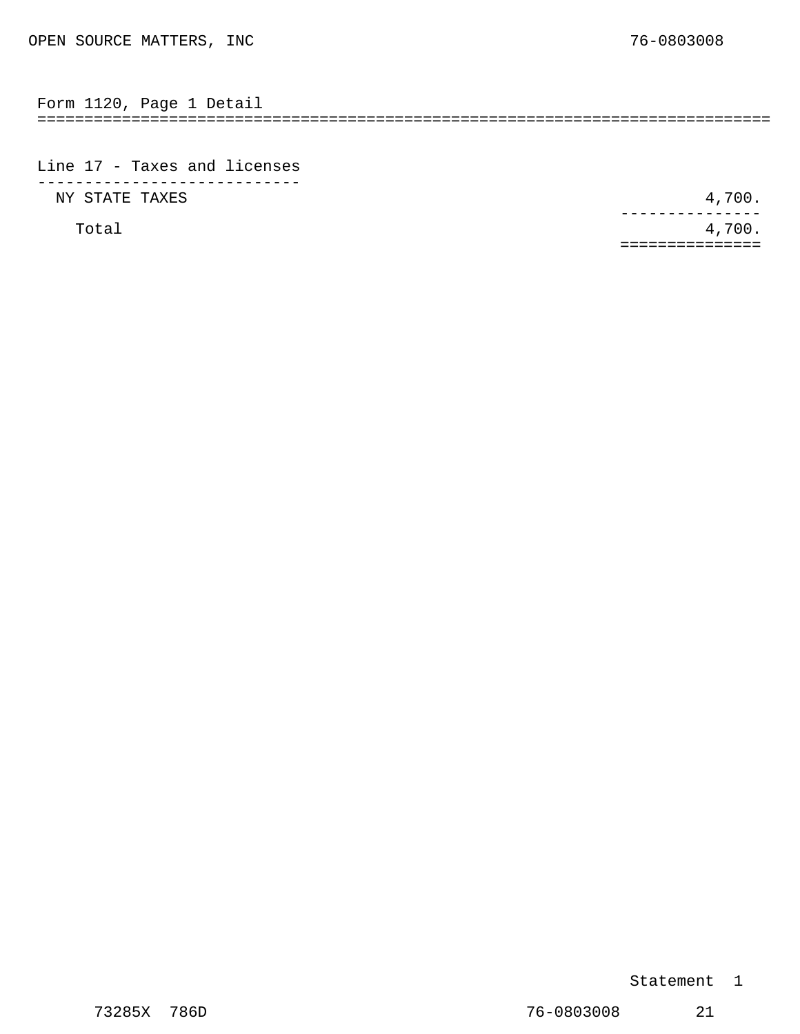<span id="page-12-0"></span>

| $\overline{\phantom{0}}$ | . ٻر، |  |  |
|--------------------------|-------|--|--|
|                          |       |  |  |

Line 17 - Taxes and licenses ---------------------------- NY STATE TAXES 4,700.

Total  $4,700$ . --------------- ===============

#### Statement 1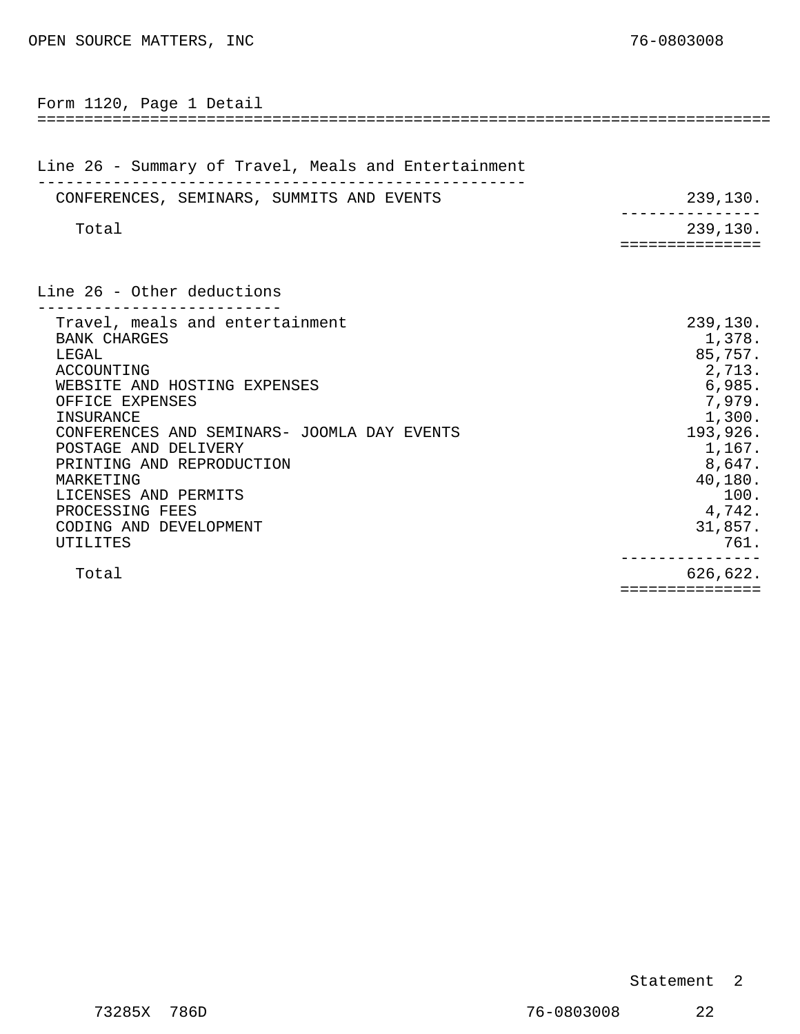<span id="page-13-0"></span>

| Form 1120, Page 1 Detail                                                                                                                                                                                                                                                                                                                        |                                                                                                                                                       |
|-------------------------------------------------------------------------------------------------------------------------------------------------------------------------------------------------------------------------------------------------------------------------------------------------------------------------------------------------|-------------------------------------------------------------------------------------------------------------------------------------------------------|
| Line 26 - Summary of Travel, Meals and Entertainment                                                                                                                                                                                                                                                                                            |                                                                                                                                                       |
| CONFERENCES, SEMINARS, SUMMITS AND EVENTS                                                                                                                                                                                                                                                                                                       | 239,130.                                                                                                                                              |
| Total                                                                                                                                                                                                                                                                                                                                           | 239,130.<br>==========                                                                                                                                |
| Line 26 - Other deductions                                                                                                                                                                                                                                                                                                                      |                                                                                                                                                       |
| Travel, meals and entertainment<br><b>BANK CHARGES</b><br>LEGAL<br>ACCOUNTING<br>WEBSITE AND HOSTING EXPENSES<br>OFFICE EXPENSES<br>INSURANCE<br>CONFERENCES AND SEMINARS- JOOMLA DAY EVENTS<br>POSTAGE AND DELIVERY<br>PRINTING AND REPRODUCTION<br>MARKETING<br>LICENSES AND PERMITS<br>PROCESSING FEES<br>CODING AND DEVELOPMENT<br>UTILITES | 239,130.<br>1,378.<br>85,757.<br>2,713.<br>6,985.<br>7,979.<br>1,300.<br>193,926.<br>1,167.<br>8,647.<br>40,180.<br>100.<br>4,742.<br>31,857.<br>761. |
| Total                                                                                                                                                                                                                                                                                                                                           | 626,622.<br>===============                                                                                                                           |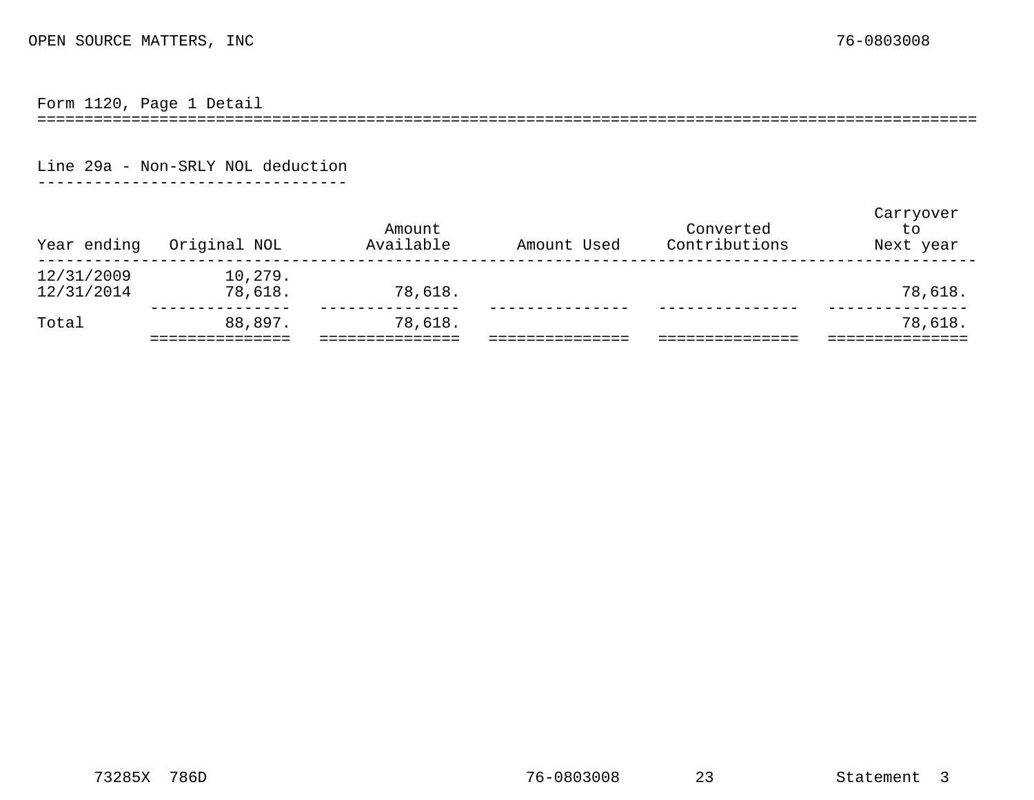Form 1120, Page 1 Detail

====================================================================================================

Line 29a - Non-SRLY NOL deduction

---------------------------------

<span id="page-14-0"></span>

| Year ending              | Original NOL       | Amount<br>Available | Amount Used | Converted<br>Contributions | Carryover<br>to<br>Next year |
|--------------------------|--------------------|---------------------|-------------|----------------------------|------------------------------|
| 12/31/2009<br>12/31/2014 | 10,279.<br>78,618. | 78,618.             |             |                            | 78,618.                      |
| Total                    | 88,897.            | 78,618.             |             |                            | 78,618.                      |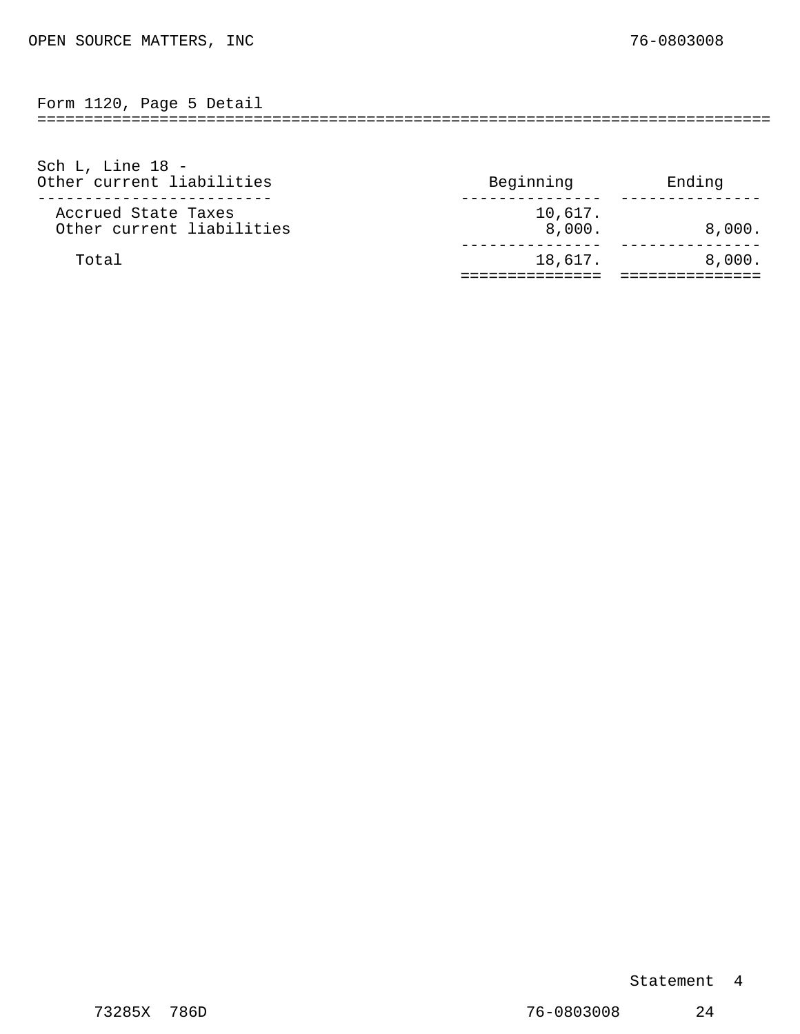<span id="page-15-0"></span>

| ຳາາດ<br>the contract of the contract of the contract of the contract of the contract of the contract of the contract of<br>$\sim$ $\sim$<br><br>$+ + 20$ | Page | Detail |
|----------------------------------------------------------------------------------------------------------------------------------------------------------|------|--------|
| --                                                                                                                                                       |      |        |

| Sch L, Line $18 -$<br>Other current liabilities  | Beginning         | Ending |
|--------------------------------------------------|-------------------|--------|
| Accrued State Taxes<br>Other current liabilities | 10,617.<br>8,000. | 8,000. |
| Total                                            | 18,617.           | 8,000. |

Statement 4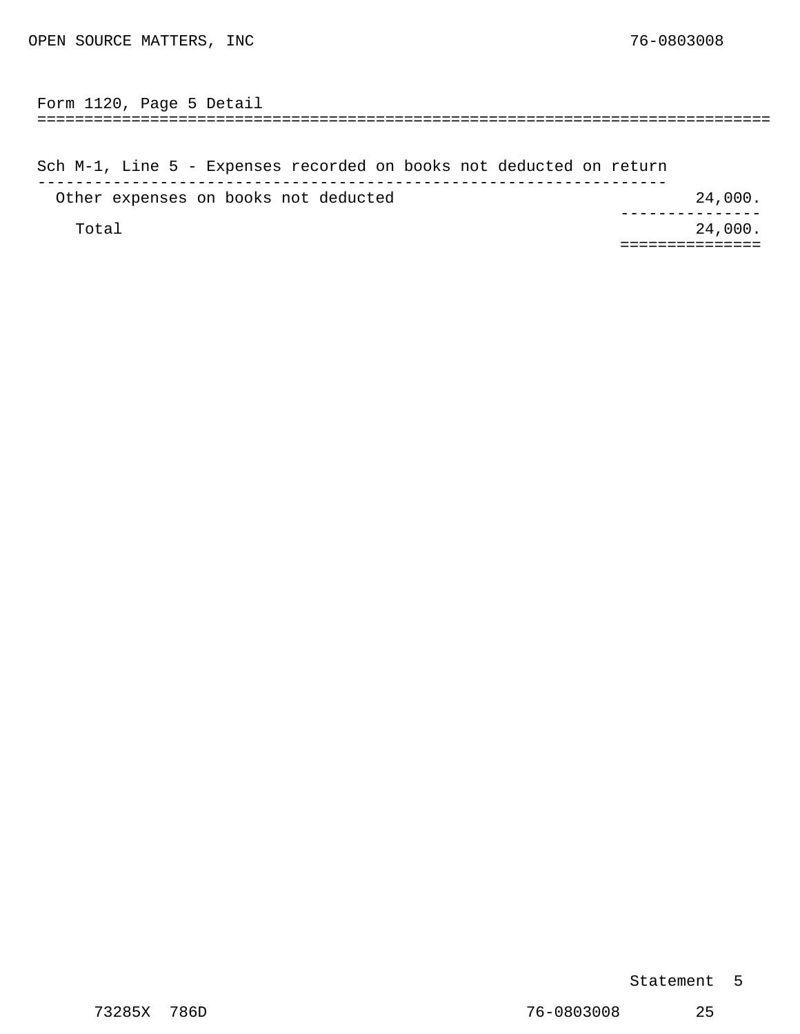<span id="page-16-0"></span>============================================================================== Form 1120, Page 5 Detail

Sch M-1, Line 5 - Expenses recorded on books not deducted on return ------------------------------------------------------------------- Other expenses on books not deducted 24,000. Total 24,000. --------------- ===============

#### Statement 5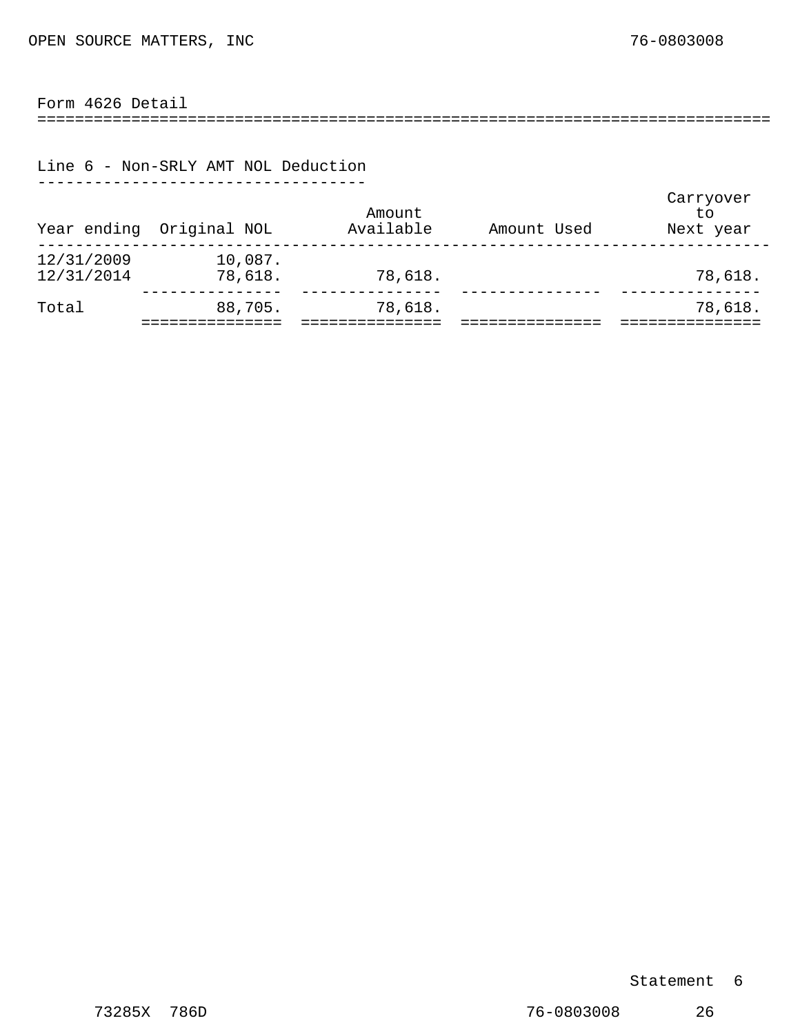#### <span id="page-17-0"></span>Form 4626 Detail

==============================================================================

#### Line 6 - Non-SRLY AMT NOL Deduction -----------------------------------

| Year ending              | Original NOL       | Amount<br>Available | Amount Used | Carryover<br>to<br>Next year |
|--------------------------|--------------------|---------------------|-------------|------------------------------|
| 12/31/2009<br>12/31/2014 | 10,087.<br>78,618. | 78,618.             |             | 78,618.                      |
| Total                    | 88,705.            | 78,618.             |             | 78,618.                      |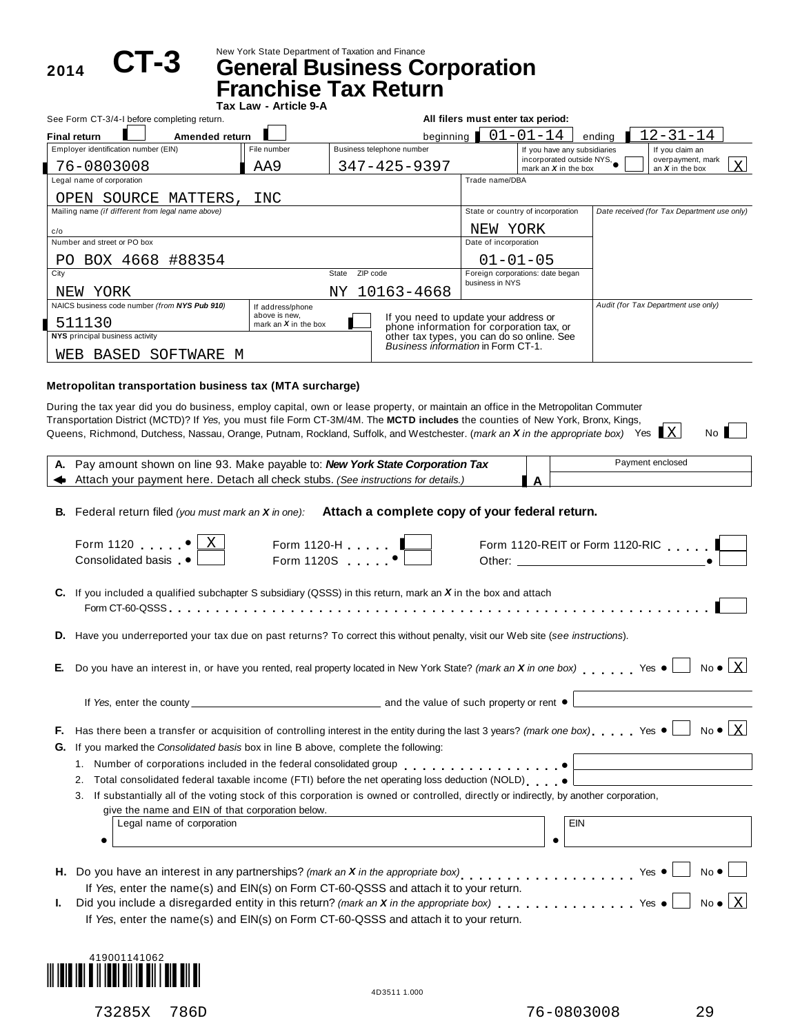2014 **CT-3** 

New York State Department of Taxation and Finance **CT-3 General Business Corporation**

|                                                   | <b>Franchise Tax Return</b><br>Tax Law - Article 9-A |                                    |                                                                                    |                       |                                                     |                                             |              |  |
|---------------------------------------------------|------------------------------------------------------|------------------------------------|------------------------------------------------------------------------------------|-----------------------|-----------------------------------------------------|---------------------------------------------|--------------|--|
| See Form CT-3/4-I before completing return.       |                                                      |                                    | All filers must enter tax period:                                                  |                       |                                                     |                                             |              |  |
| <b>Final return</b><br>Amended return             |                                                      |                                    | beginning                                                                          |                       | $01 - 01 - 14$                                      | $12 - 31 - 14$<br>ending                    |              |  |
| Employer identification number (EIN)              | File number                                          |                                    | Business telephone number                                                          |                       | If you have any subsidiaries                        | If you claim an                             |              |  |
| 76-0803008                                        | AA9                                                  |                                    | $347 - 425 - 9397$                                                                 |                       | incorporated outside NYS,<br>mark an $X$ in the box | overpayment, mark<br>an $X$ in the box      | $\mathbf{X}$ |  |
| Legal name of corporation                         |                                                      |                                    |                                                                                    | Trade name/DBA        |                                                     |                                             |              |  |
| OPEN SOURCE MATTERS,                              | INC                                                  |                                    |                                                                                    |                       |                                                     |                                             |              |  |
| Mailing name (if different from legal name above) |                                                      |                                    |                                                                                    |                       | State or country of incorporation                   | Date received (for Tax Department use only) |              |  |
| c/o                                               |                                                      |                                    |                                                                                    | NEW                   | YORK                                                |                                             |              |  |
| Number and street or PO box                       |                                                      |                                    |                                                                                    | Date of incorporation |                                                     |                                             |              |  |
| BOX 4668 #88354<br>PO.                            |                                                      |                                    |                                                                                    |                       | $01 - 01 - 05$                                      |                                             |              |  |
| City                                              |                                                      | ZIP code<br>State                  |                                                                                    | business in NYS       | Foreign corporations: date began                    |                                             |              |  |
| YORK<br>NEW                                       |                                                      |                                    | NY 10163-4668                                                                      |                       |                                                     |                                             |              |  |
| NAICS business code number (from NYS Pub 910)     | If address/phone                                     |                                    |                                                                                    |                       |                                                     | Audit (for Tax Department use only)         |              |  |
| 511130                                            | above is new.<br>mark an $X$ in the box              |                                    | If you need to update your address or<br>phone information for corporation tax, or |                       |                                                     |                                             |              |  |
| NYS principal business activity                   |                                                      |                                    | other tax types, you can do so online. See                                         |                       |                                                     |                                             |              |  |
| SOFTWARE M<br>BASED<br>WEB                        |                                                      | Business information in Form CT-1. |                                                                                    |                       |                                                     |                                             |              |  |
|                                                   |                                                      |                                    |                                                                                    |                       |                                                     |                                             |              |  |

#### **Metropolitan transportation business tax (MTA surcharge)**

During the tax year did you do business, employ capital, own or lease property, or maintain an office in the Metropolitan Commuter Transportation District (MCTD)? If*Yes*, you must file Form CT-3M/4M. The **MCTD includes** the counties of New York, Bronx, Kings, Transportation District (MCTD)? If *Ye*s, you must file Form CT-3M/4M. The **MCTD includes** the counties of New York, Bronx, Kings,<br>Queens, Richmond, Dutchess, Nassau, Orange, Putnam, Rockland, Suffolk, and Westchester. (*m* 

|    | A. Pay amount shown on line 93. Make payable to: New York State Corporation Tax                                                                                                                                                                                                 | Payment enclosed |                                 |
|----|---------------------------------------------------------------------------------------------------------------------------------------------------------------------------------------------------------------------------------------------------------------------------------|------------------|---------------------------------|
|    | Attach your payment here. Detach all check stubs. (See instructions for details.)                                                                                                                                                                                               | $\Delta$         |                                 |
|    | B. Federal return filed (you must mark an X in one): Attach a complete copy of your federal return.<br>Form 1120 $\bullet$<br>Form 1120-H $\ldots$ $\begin{array}{ c c }\n\hline\n\end{array}$ Form 1120S $\begin{array}{ c c }\n\hline\n\end{array}$<br>Consolidated basis •   |                  | Form 1120-REIT or Form 1120-RIC |
|    | C. If you included a qualified subchapter S subsidiary (QSSS) in this return, mark an $X$ in the box and attach                                                                                                                                                                 |                  |                                 |
|    | D. Have you underreported your tax due on past returns? To correct this without penalty, visit our Web site (see instructions).                                                                                                                                                 |                  |                                 |
| Е. | Do you have an interest in, or have you rented, real property located in New York State? (mark an X in one box) Yes $\bullet$                                                                                                                                                   |                  | $No \bullet   X$                |
|    | If Yes, enter the county <u>enter the county</u> and the value of such property or rent ●                                                                                                                                                                                       |                  |                                 |
| Е. | Has there been a transfer or acquisition of controlling interest in the entity during the last 3 years? (mark one box) Yes $\bullet$                                                                                                                                            |                  | $No \bullet   X$                |
| G. | If you marked the Consolidated basis box in line B above, complete the following:                                                                                                                                                                                               |                  |                                 |
|    | Total consolidated federal taxable income (FTI) before the net operating loss deduction (NOLD)<br>2.                                                                                                                                                                            |                  |                                 |
|    | 3. If substantially all of the voting stock of this corporation is owned or controlled, directly or indirectly, by another corporation,<br>give the name and EIN of that corporation below.<br>Legal name of corporation                                                        |                  | <b>EIN</b>                      |
|    |                                                                                                                                                                                                                                                                                 |                  |                                 |
|    | H. Do you have an interest in any partnerships? (mark an X in the appropriate box) $\cdot$ Yes $\bullet$                                                                                                                                                                        |                  | $No$ $\bullet$                  |
| L. | If Yes, enter the name(s) and EIN(s) on Form CT-60-QSSS and attach it to your return.<br>Did you include a disregarded entity in this return? (mark an X in the appropriate box) Yes .<br>If Yes, enter the name(s) and EIN(s) on Form CT-60-QSSS and attach it to your return. |                  | $No \bullet   X$                |

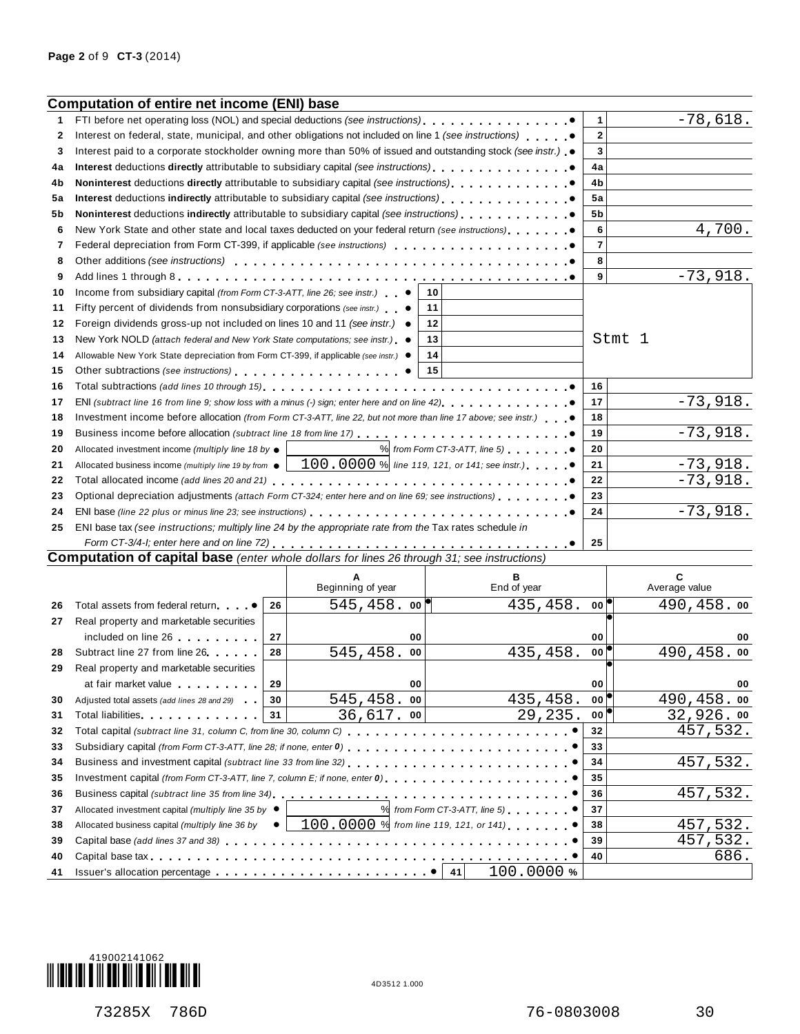|          | <b>Computation of entire net income (ENI) base</b>                                                                                                                                                                             |    |                   |                                                 |                |                    |
|----------|--------------------------------------------------------------------------------------------------------------------------------------------------------------------------------------------------------------------------------|----|-------------------|-------------------------------------------------|----------------|--------------------|
| 1        | FTI before net operating loss (NOL) and special deductions (see instructions).                                                                                                                                                 |    |                   |                                                 | 1              | $-78,618.$         |
| 2        | Interest on federal, state, municipal, and other obligations not included on line 1 (see instructions)                                                                                                                         |    |                   |                                                 | $\mathbf{2}$   |                    |
| 3        | Interest paid to a corporate stockholder owning more than 50% of issued and outstanding stock (see instr.) $\bullet$                                                                                                           |    |                   |                                                 | 3              |                    |
| 4a       | Interest deductions directly attributable to subsidiary capital (see instructions) quantum and $\bullet$                                                                                                                       |    |                   |                                                 | 4a             |                    |
| 4b       |                                                                                                                                                                                                                                |    |                   |                                                 | 4b             |                    |
| 5а       | Interest deductions indirectly attributable to subsidiary capital (see instructions).                                                                                                                                          |    |                   |                                                 | 5a             |                    |
| 5b       | Noninterest deductions indirectly attributable to subsidiary capital (see instructions)                                                                                                                                        |    |                   |                                                 | 5b             |                    |
| 6        | New York State and other state and local taxes deducted on your federal return (see instructions)                                                                                                                              |    |                   |                                                 | 6              | 4,700.             |
| 7        | Federal depreciation from Form CT-399, if applicable (see instructions)                                                                                                                                                        |    |                   |                                                 | $\overline{7}$ |                    |
| 8        |                                                                                                                                                                                                                                |    |                   |                                                 | 8              |                    |
| 9        |                                                                                                                                                                                                                                |    |                   |                                                 | 9              | $-73,918.$         |
| 10       | Income from subsidiary capital (from Form CT-3-ATT, line 26; see instr.) $\bullet$                                                                                                                                             |    |                   | 10                                              |                |                    |
| 11       | Fifty percent of dividends from nonsubsidiary corporations (see instr.) $\bullet$                                                                                                                                              |    |                   | 11                                              |                |                    |
| 12       | Foreign dividends gross-up not included on lines 10 and 11 (see instr.)                                                                                                                                                        |    |                   | 12                                              |                |                    |
| 13       | New York NOLD (attach federal and New York State computations; see instr.) ●                                                                                                                                                   |    |                   | 13                                              |                | Stmt 1             |
| 14       | Allowable New York State depreciation from Form CT-399, if applicable (see instr.) ●                                                                                                                                           |    |                   | 14                                              |                |                    |
| 15       | Other subtractions (see instructions) entering the set of the set of the set of the set of the set of the set of the set of the set of the set of the set of the set of the set of the set of the set of the set of the set of |    |                   | 15                                              |                |                    |
| 16       | Total subtractions (add lines 10 through 15) contained a subtraction of the set of the set of the set of the set of the set of the set of the set of the set of the set of the set of the set of the set of the set of the set |    |                   | . 0                                             | 16             |                    |
| 17       | ENI (subtract line 16 from line 9; show loss with a minus (-) sign; enter here and on line 42), $\ldots$ , , , , , , , , , , .                                                                                                 |    |                   |                                                 | 17             | $-73,918.$         |
| 18       | Investment income before allocation (from Form CT-3-ATT, line 22, but not more than line 17 above; see instr.)                                                                                                                 |    |                   |                                                 | 18             |                    |
| 19       | Business income before allocation (subtract line 18 from line 17)                                                                                                                                                              |    |                   |                                                 | 19             | $-73,918.$         |
| 20       | Allocated investment income (multiply line 18 by $\bullet$                                                                                                                                                                     |    |                   | $%$ from Form CT-3-ATT, line 5)                 | 20             |                    |
| 21       | Allocated business income (multiply line 19 by from $\bullet$                                                                                                                                                                  |    |                   | $100.0000$ % line 119, 121, or 141; see instr.) | 21             | $-73,918.$         |
| 22       |                                                                                                                                                                                                                                |    |                   |                                                 | 22             | $-73,918.$         |
| 23       | Optional depreciation adjustments (attach Form CT-324; enter here and on line 69; see instructions)                                                                                                                            |    |                   |                                                 | 23             |                    |
| 24       |                                                                                                                                                                                                                                |    |                   |                                                 | 24             | $-73,918.$         |
| 25       | ENI base tax (see instructions; multiply line 24 by the appropriate rate from the Tax rates schedule in                                                                                                                        |    |                   |                                                 |                |                    |
|          | Form CT-3/4-I; enter here and on line 72) $\ldots \ldots \ldots \ldots \ldots \ldots \ldots \ldots \ldots \ldots \ldots$<br><b>Computation of capital base</b> (enter whole dollars for lines 26 through 31; see instructions) |    |                   |                                                 | 25             |                    |
|          |                                                                                                                                                                                                                                |    |                   |                                                 |                |                    |
|          |                                                                                                                                                                                                                                |    | Beginning of year | в<br>End of year                                |                | C<br>Average value |
| 26       | Total assets from federal return                                                                                                                                                                                               | 26 | $545, 458.$ 00    | 435,458.                                        | 00             | 490,458.00         |
| 27       | Real property and marketable securities                                                                                                                                                                                        |    |                   |                                                 |                |                    |
|          | included on line 26                                                                                                                                                                                                            | 27 | 00                |                                                 | 00             | 00                 |
| 28       | Subtract line 27 from line 26                                                                                                                                                                                                  | 28 | 545,458.<br>00    | 435,458.                                        | $00^{\circ}$   | 490,458.00         |
| 29       | Real property and marketable securities                                                                                                                                                                                        |    |                   |                                                 |                |                    |
|          | at fair market value                                                                                                                                                                                                           | 29 | 00                |                                                 | <b>00</b> l    | 00                 |
| 30       | Adjusted total assets (add lines 28 and 29)                                                                                                                                                                                    | 30 | $545, 458.$ 00    | 435,458.                                        | 00             | 490,458.00         |
| 31       | Total liabilities experience and the control of the control of the control of the control of the control of the                                                                                                                | 31 | $36,617.$ 00      | 29,235.                                         | 00             | 32,926.00          |
| 32       |                                                                                                                                                                                                                                |    |                   |                                                 | 32             | 457,532.           |
| 33       |                                                                                                                                                                                                                                |    |                   |                                                 | 33<br>34       | 457,532.           |
| 34<br>35 |                                                                                                                                                                                                                                |    |                   |                                                 | 35             |                    |
|          |                                                                                                                                                                                                                                |    |                   |                                                 |                | 457,532.           |
| 36       | Allocated investment capital (multiply line 35 by ●                                                                                                                                                                            |    |                   | $\%$ from Form CT-3-ATT, line 5)                | 36<br>37       |                    |
| 37<br>38 | Allocated business capital (multiply line 36 by $\bullet$                                                                                                                                                                      |    |                   | 100.0000 % from line 119, 121, or 141)          | 38             | 457,532.           |
| 39       |                                                                                                                                                                                                                                |    |                   |                                                 | 39             | 457,532.           |
| 40       |                                                                                                                                                                                                                                |    |                   |                                                 | 40             | 686.               |
| 41       |                                                                                                                                                                                                                                |    |                   | 100.0000%<br>41                                 |                |                    |
|          |                                                                                                                                                                                                                                |    |                   |                                                 |                |                    |

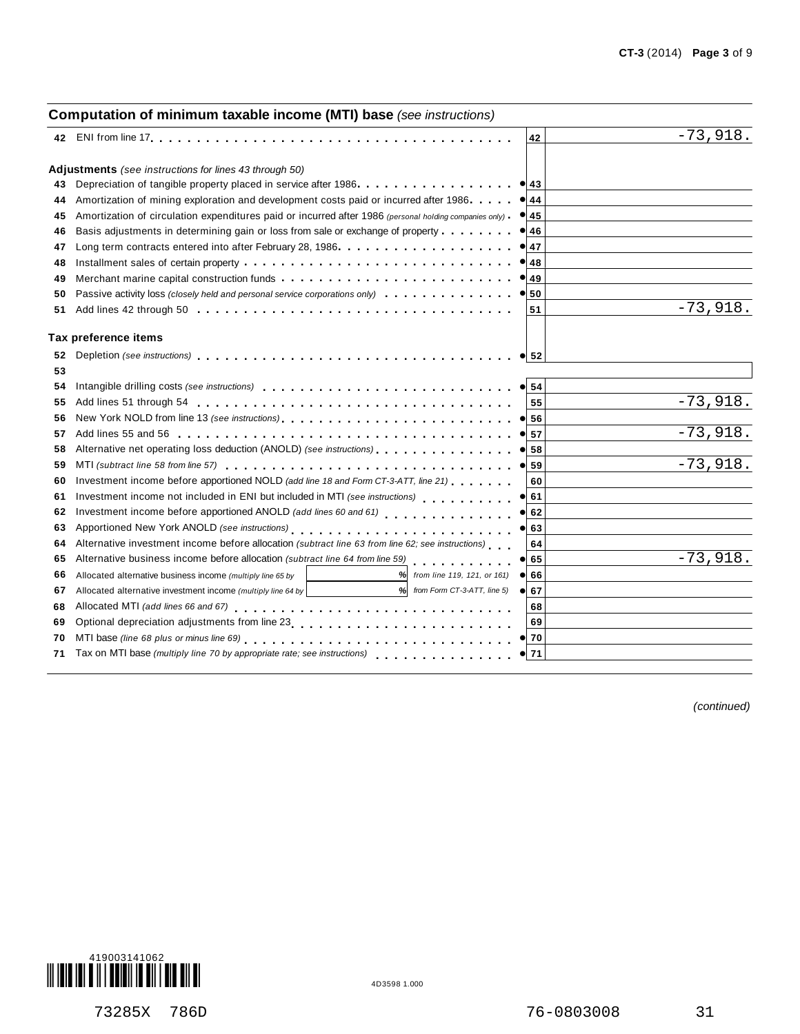#### **Computation of minimum taxable income (MTI) base** *(see instructions)* **<sup>42</sup>** ENI from line <sup>17</sup>m m m m m m m m m m m m m m m m m m m m m m m m m m m m m m m m m m m m m m m **<sup>42</sup> Adjustments** *(see instructions for lines 43 through 50)*<br>43 Depreciation of tangible property placed in service after 1986.  $\begin{array}{c|c}\n\bullet & 43 \\
\hline\n44\n\end{array}$  $\begin{array}{c} \bullet \ \hline 45 \ \hline \end{array}$  $\begin{array}{c|c}\n\hline\n\bullet & 46 \\
\hline\n\end{array}$  $\begin{array}{c} \bullet \ \hline 47 \ \hline \end{array}$  $\begin{array}{c} \bullet \ \hline 48 \ \hline \end{array}$ **a**<sup>48</sup><br><u>49</u>  $\frac{49}{50}$ % **52**  $\begin{array}{|c|c|}\n\hline\n54 \\
\hline\n\end{array}$  $\frac{35}{56}$  $\frac{36}{57}$  $\frac{58}{58}$  $\frac{38}{59}$  $\frac{60}{61}$  $\frac{61}{62}$  $\frac{62}{63}$  $\frac{64}{65}$  $\frac{66}{66}$  $\frac{88}{67}$  $\frac{6}{70}$  $\frac{70}{71}$ **43 44 45 46 47 48 49 50** Merchant marine capital construction funds **maturity in matter interval**  $\sim$  **personal** *service corporations only*) **maturity interval component interval component interval interval interval interval interva 51** Depreciation of tangible property placed in service after 1986.<br>Amortization of mining exploration and development costs paid or incurred after 1986. . . . . . Amortization of mining exploration and development costs paid or incurred after 1986<br>Amortization of circulation expenditures paid or incurred after 1986 *(personal holding companies only)* Basis adjustments in determining gain or loss from sale or exchange of property .......<br>Long term contracts entered into after February 28, 1986.................... Long term contracts entered into after February 28, 1986 . . . . . . . . . . . . Installment sales of certain property m m m m m m m m m m m m m m m m m m m m m m m m m m m m m Merchant marine capital construction funds m m m m m m m m m m m m m m m m m m m m m m m m m Add lines 42 through 50 . . . . . . . . . . . . . . . . . . m m m m m m m m m m m m m m m m m **<sup>43</sup> 51** ng companies only)<br>. m m m m m m m m m m m m m m m m m m m m m m m m m m m m m m m m m m **Tax preference items 52 53 54 55** Add lines 51 through 54 m m m m m m m m m m m m m m m m m m m m m m m m m m m m m m m m m m **56 57** Add lines 55 and 56 m m m m m m m m m m m m m m m m m m m m m m m m m m m m m m m m m m m m **58 59 60** Investment income before apportioned NOLD *(add line 18 and Form CT-3-ATT, line 21)* **61 62** Investment income before apportioned ANOLD *(add lines 60 and 61)* **63** Investment income not included in ENI but included in MTI *(see instructions)*<br>**62** Investment income before apportioned ANOLD *(add lines 60 and 61)*<br>**63** Apportioned New York ANOLD *(see instructions)* **64** Alternative investment income before allocation *(subtract line 63 from line 62; see instructions)*<br>**65** Alternative business income before allocation *(subtract line 64 from line 59)* **65** Depletion *(see instructions)* Intangible drilling costs *(see instructions)* m m m m m m m m m m m m m m m m m m m m m m m m m m m New York NOLD from line 13 *(see instructions)* Alternative net operating loss deduction (ANOLD) *(see instructions)* m m m m m m m m m m m m m m m MTI *(subtract line 58 from line 57)* m m m m m m m m m m m m m m m m m m m m m m m m m m m m m m m Investment income not included in ENI but included in MTI *(see instructions)* Alternative business income before allocation *(subtract line 64 from line 59)* **55 60 64 68 69** m m m m m m m m m m m m m m m m m m m m m m m m m m m m m m m m m m m m m m m m m m m m m m m m m m m m m m m m m m m m m m m m m m ne 21)<br>. . . . . . . . . . . . m m m m m m m m m m m m m m m m m m m m m m m m m m m **66 67** Allocated alternative business income *(multiply line 65 by from line 119, 121, or 161)* Allocated alternative investment income *(multiply line <sup>64</sup> by % % from Form CT-3-ATT, line 5)* Allocated alternative investment income *(multiply line 64 by* | \_\_\_\_\_\_\_\_\_\_\_\_\_\_\_\_\_\_\_\_\_\_% *from Form CT-3-ATT, line 5)*<br>Allocated MTI *(add lines 66 and 67)*<br>-Optional depreciation adjustments from line 23 **69** m m m m m m m m m m m m m m m m m m m m m m m m MTI base *(line 68 plus or minus line 69)* m m m m m m m m m m m m m m m m m m m m m m m m m m m m m Tax on MTI base *(multiply line 70 by appropriate rate; see instructions)* **68 70 71** m m m m m m m m m m m m m m m -73,918. -73,918. -73,918. -73,918. -73,918. -73,918.

*(continued)*

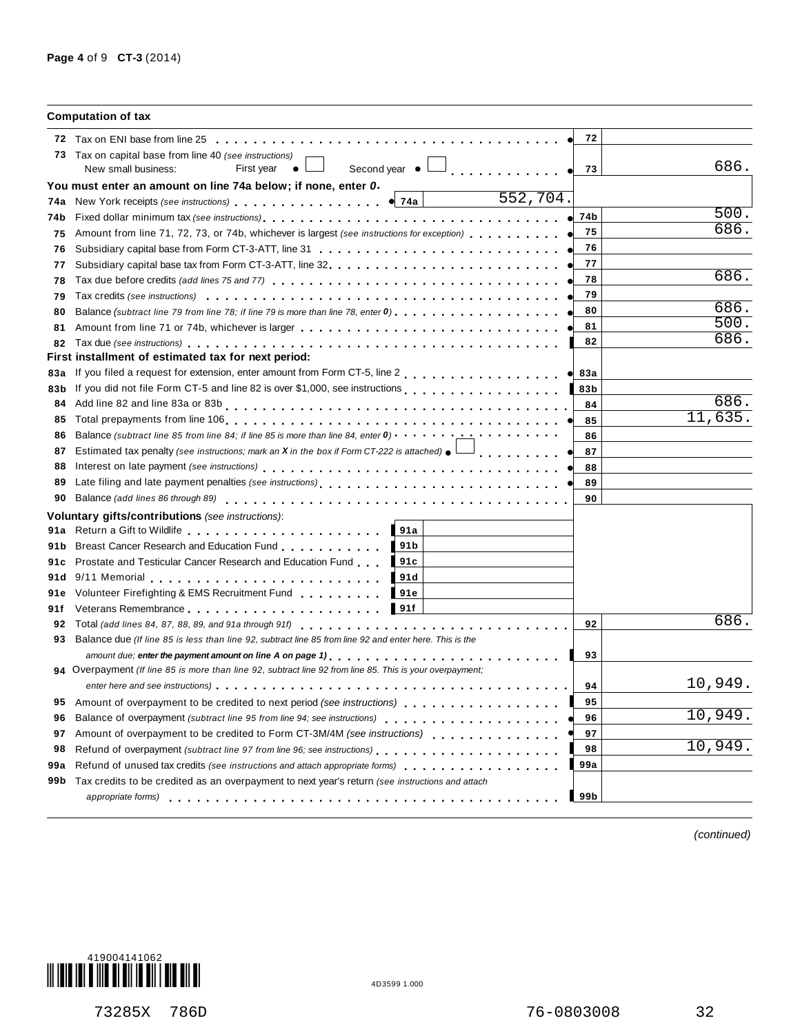|       | <b>Computation of tax</b>                                                                                                                                                                                                                  |          |         |
|-------|--------------------------------------------------------------------------------------------------------------------------------------------------------------------------------------------------------------------------------------------|----------|---------|
|       |                                                                                                                                                                                                                                            | 72       |         |
|       | 73 Tax on capital base from line 40 (see instructions)<br>Second year $\bullet$ $\Box$<br>New small business:<br>First year $\bullet$ L                                                                                                    | 73       | 686.    |
|       | You must enter an amount on line 74a below; if none, enter 0.                                                                                                                                                                              |          |         |
| 74a   | 552,704.<br>New York receipts (see instructions) example and the vertex of the set of the vertex of the vertex of the vertex of the vertex of the vertex of the vertex of the vertex of the vertex of the vertex of the vertex of the vert |          |         |
| 74b   |                                                                                                                                                                                                                                            | 74b      | 500.    |
| 75    | Amount from line 71, 72, 73, or 74b, whichever is largest (see instructions for exception) ●                                                                                                                                               | 75       | 686.    |
| 76    |                                                                                                                                                                                                                                            | 76       |         |
| 77    |                                                                                                                                                                                                                                            | 77       |         |
| 78    |                                                                                                                                                                                                                                            | 78       | 686.    |
| 79    |                                                                                                                                                                                                                                            | 79       |         |
| 80    | Balance (subtract line 79 from line 78; if line 79 is more than line 78, enter 0)                                                                                                                                                          | 80       | 686.    |
| 81    | Amount from line 71 or 74b, whichever is larger                                                                                                                                                                                            | 81       | 500.    |
| 82    | Tax due (see instructions) enterpreteration of the enterpreteration of the enterpreteration of the enterpreteration of the enterpreteration of the enterpreteration of the enterpreteration of the enterpreteration of the ent             | 82       | 686.    |
|       | First installment of estimated tax for next period:                                                                                                                                                                                        |          |         |
| 83а   | If you filed a request for extension, enter amount from Form CT-5, line 2                                                                                                                                                                  | 83a<br>۰ |         |
| 83b   | If you did not file Form CT-5 and line 82 is over \$1,000, see instructions                                                                                                                                                                | 83b      |         |
| 84    |                                                                                                                                                                                                                                            | 84       | 686.    |
| 85    |                                                                                                                                                                                                                                            | 85       | 11,635. |
| 86    | Balance (subtract line 85 from line 84; if line 85 is more than line 84, enter 0) $\cdots$ $\cdots$                                                                                                                                        | 86       |         |
| 87    | Estimated tax penalty (see instructions; mark an <b>X</b> in the box if Form CT-222 is attached) $\bullet$<br>____________                                                                                                                 | 87       |         |
| 88    |                                                                                                                                                                                                                                            | 88       |         |
| 89    |                                                                                                                                                                                                                                            | 89       |         |
| 90    | Balance (add lines 86 through 89)                                                                                                                                                                                                          | 90       |         |
|       | Voluntary gifts/contributions (see instructions):                                                                                                                                                                                          |          |         |
| 91a   | 191a<br>Return a Gift to Wildlife entries and a series are a series and a series and a series of the Return and Series                                                                                                                     |          |         |
| 91 b  | Breast Cancer Research and Education Fund<br>191 <sub>b</sub>                                                                                                                                                                              |          |         |
| 91 c  | Prostate and Testicular Cancer Research and Education Fund<br>$\blacksquare$ 91c                                                                                                                                                           |          |         |
| 91 d  | $9/11$ Memorial $\ldots$ , $\ldots$ , $\ldots$ , $\ldots$ , $\ldots$ , $\ldots$ , $\ldots$<br>191d                                                                                                                                         |          |         |
| 91e   | Volunteer Firefighting & EMS Recruitment Fund<br>191e                                                                                                                                                                                      |          |         |
| 91f   | Veterans Remembrance entering the set of the set of the set of the set of the set of the set of the set of the set of the set of the set of the set of the set of the set of the set of the set of the set of the set of the s             |          | 686.    |
| 92    |                                                                                                                                                                                                                                            | 92       |         |
| 93    | Balance due (If line 85 is less than line 92, subtract line 85 from line 92 and enter here. This is the                                                                                                                                    |          |         |
|       |                                                                                                                                                                                                                                            | 93       |         |
|       | 94 Overpayment (If line 85 is more than line 92, subtract line 92 from line 85. This is your overpayment;                                                                                                                                  |          | 10,949. |
|       |                                                                                                                                                                                                                                            | 94       |         |
| 95    |                                                                                                                                                                                                                                            | 95       | 10,949. |
| 96    |                                                                                                                                                                                                                                            | 96       |         |
| 97    | Amount of overpayment to be credited to Form CT-3M/4M (see instructions)                                                                                                                                                                   | 97       | 10,949. |
| 98    | Refund of overpayment (subtract line 97 from line 96; see instructions).                                                                                                                                                                   | 98       |         |
| 99a   | Refund of unused tax credits (see instructions and attach appropriate forms)                                                                                                                                                               | 99a      |         |
| 99b l | Tax credits to be credited as an overpayment to next year's return (see instructions and attach                                                                                                                                            |          |         |
|       | appropriate forms)                                                                                                                                                                                                                         | 99 b     |         |

*(continued)*

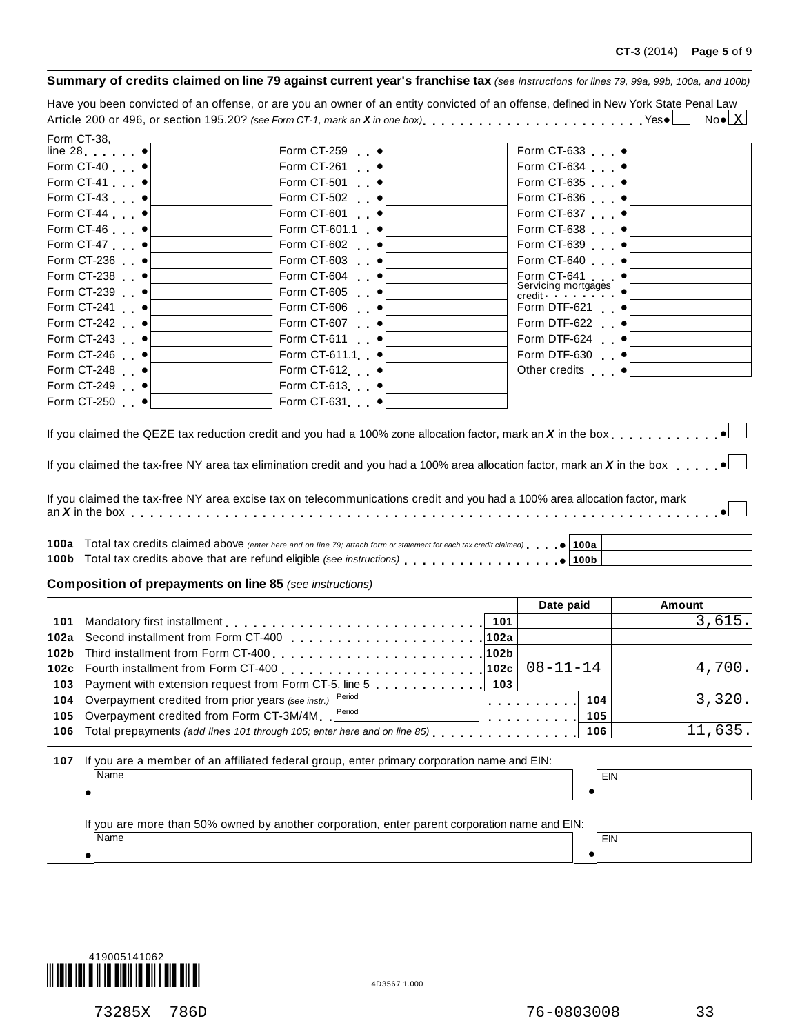|      |                                                    | Summary of credits claimed on line 79 against current year's franchise tax (see instructions for lines 79, 99a, 99b, 100a, and 100b)                                                                                                                                                                                                                                                                                                                                                                                        |      |                     |                        |
|------|----------------------------------------------------|-----------------------------------------------------------------------------------------------------------------------------------------------------------------------------------------------------------------------------------------------------------------------------------------------------------------------------------------------------------------------------------------------------------------------------------------------------------------------------------------------------------------------------|------|---------------------|------------------------|
|      |                                                    | Have you been convicted of an offense, or are you an owner of an entity convicted of an offense, defined in New York State Penal Law                                                                                                                                                                                                                                                                                                                                                                                        |      |                     |                        |
|      |                                                    | Article 200 or 496, or section 195.20? (see Form CT-1, mark an X in one box) Yes.                                                                                                                                                                                                                                                                                                                                                                                                                                           |      |                     | $No \bullet \boxed{X}$ |
|      | Form CT-38,                                        |                                                                                                                                                                                                                                                                                                                                                                                                                                                                                                                             |      |                     |                        |
|      | line $28 \bullet$                                  | Form CT-259 •                                                                                                                                                                                                                                                                                                                                                                                                                                                                                                               |      | Form CT-633 ·       |                        |
|      | Form CT-40 •                                       | Form CT-261 •                                                                                                                                                                                                                                                                                                                                                                                                                                                                                                               |      | Form CT-634 •       |                        |
|      | Form CT-41 •                                       | Form CT-501 .                                                                                                                                                                                                                                                                                                                                                                                                                                                                                                               |      | Form CT-635 •       |                        |
|      | Form CT-43 •                                       | Form CT-502 •                                                                                                                                                                                                                                                                                                                                                                                                                                                                                                               |      | Form CT-636 •       |                        |
|      | Form CT-44 •                                       | Form CT-601                                                                                                                                                                                                                                                                                                                                                                                                                                                                                                                 |      | Form CT-637 •       |                        |
|      | Form CT-46 •                                       | Form CT-601.1 •                                                                                                                                                                                                                                                                                                                                                                                                                                                                                                             |      | Form CT-638 •       |                        |
|      | Form CT-47 •                                       | Form CT-602 •                                                                                                                                                                                                                                                                                                                                                                                                                                                                                                               |      | Form CT-639 •       |                        |
|      | Form CT-236 •                                      | Form CT-603 •                                                                                                                                                                                                                                                                                                                                                                                                                                                                                                               |      | Form CT-640 •       |                        |
|      | Form CT-238 •                                      | Form CT-604 •                                                                                                                                                                                                                                                                                                                                                                                                                                                                                                               |      | Form CT-641 •       |                        |
|      | Form CT-239 •                                      | Form CT-605 .                                                                                                                                                                                                                                                                                                                                                                                                                                                                                                               |      | Servicing mortgages |                        |
|      | Form CT-241 •                                      | Form CT-606 •                                                                                                                                                                                                                                                                                                                                                                                                                                                                                                               |      | Form DTF-621 •      |                        |
|      | Form CT-242 $\bullet$                              | Form CT-607 •                                                                                                                                                                                                                                                                                                                                                                                                                                                                                                               |      | Form DTF-622 •      |                        |
|      | Form CT-243 $\bullet$                              | Form CT-611 •                                                                                                                                                                                                                                                                                                                                                                                                                                                                                                               |      | Form DTF-624 •      |                        |
|      | Form CT-246 •                                      | Form CT-611.1 •                                                                                                                                                                                                                                                                                                                                                                                                                                                                                                             |      | Form DTF-630 •      |                        |
|      | Form CT-248 •                                      | Form CT-612 •                                                                                                                                                                                                                                                                                                                                                                                                                                                                                                               |      | Other credits •     |                        |
|      | Form CT-249 ·                                      | Form CT-613 •                                                                                                                                                                                                                                                                                                                                                                                                                                                                                                               |      |                     |                        |
|      | Form CT-250 $\bullet$                              | Form CT-631 ·                                                                                                                                                                                                                                                                                                                                                                                                                                                                                                               |      |                     |                        |
|      |                                                    | If you claimed the QEZE tax reduction credit and you had a 100% zone allocation factor, mark an X in the box $\ldots$ , $\cdot$<br>If you claimed the tax-free NY area tax elimination credit and you had a 100% area allocation factor, mark an X in the box<br>If you claimed the tax-free NY area excise tax on telecommunications credit and you had a 100% area allocation factor, mark<br>100a Total tax credits claimed above (enter here and on line 79; attach form or statement for each tax credit claimed) 100a |      |                     |                        |
|      |                                                    | <b>Composition of prepayments on line 85</b> (see instructions)                                                                                                                                                                                                                                                                                                                                                                                                                                                             |      |                     |                        |
|      |                                                    |                                                                                                                                                                                                                                                                                                                                                                                                                                                                                                                             |      | Date paid           | Amount                 |
| 101  |                                                    |                                                                                                                                                                                                                                                                                                                                                                                                                                                                                                                             | 101  |                     | 3,615.                 |
|      |                                                    |                                                                                                                                                                                                                                                                                                                                                                                                                                                                                                                             |      |                     |                        |
|      |                                                    |                                                                                                                                                                                                                                                                                                                                                                                                                                                                                                                             |      |                     |                        |
| 102c | Fourth installment from Form CT-400                |                                                                                                                                                                                                                                                                                                                                                                                                                                                                                                                             | 102c | $08 - 11 - 14$      | 4,700.                 |
| 103  |                                                    | Payment with extension request from Form CT-5, line 5                                                                                                                                                                                                                                                                                                                                                                                                                                                                       | 103  |                     |                        |
| 104  | Overpayment credited from prior years (see instr.) | Period                                                                                                                                                                                                                                                                                                                                                                                                                                                                                                                      |      | 104                 | 3,320.                 |
| 105  | Overpayment credited from Form CT-3M/4M            | Period                                                                                                                                                                                                                                                                                                                                                                                                                                                                                                                      |      | 105                 |                        |
| 106  |                                                    | Total prepayments (add lines 101 through 105; enter here and on line 85)                                                                                                                                                                                                                                                                                                                                                                                                                                                    |      | 106                 | 11,635.                |
|      |                                                    |                                                                                                                                                                                                                                                                                                                                                                                                                                                                                                                             |      |                     |                        |
| 107  |                                                    | If you are a member of an affiliated federal group, enter primary corporation name and EIN:                                                                                                                                                                                                                                                                                                                                                                                                                                 |      |                     |                        |
|      | Name                                               |                                                                                                                                                                                                                                                                                                                                                                                                                                                                                                                             |      | EIN                 |                        |
|      |                                                    |                                                                                                                                                                                                                                                                                                                                                                                                                                                                                                                             |      |                     |                        |
|      | Name                                               | If you are more than 50% owned by another corporation, enter parent corporation name and EIN:                                                                                                                                                                                                                                                                                                                                                                                                                               |      |                     |                        |
|      |                                                    |                                                                                                                                                                                                                                                                                                                                                                                                                                                                                                                             |      | EIN                 |                        |
|      | ٠                                                  |                                                                                                                                                                                                                                                                                                                                                                                                                                                                                                                             |      | $\bullet$           |                        |
|      |                                                    |                                                                                                                                                                                                                                                                                                                                                                                                                                                                                                                             |      |                     |                        |

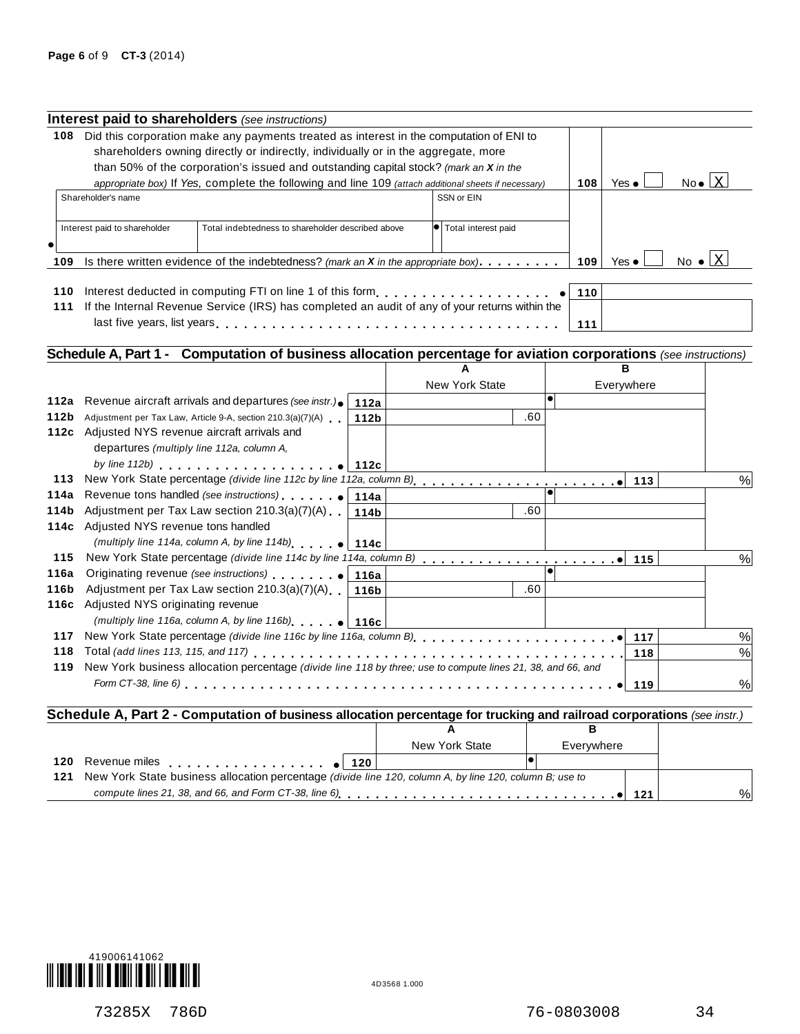|                                             | Interest paid to shareholders (see instructions)                                                                |      |                       |           |                      |     |                                  |                                |
|---------------------------------------------|-----------------------------------------------------------------------------------------------------------------|------|-----------------------|-----------|----------------------|-----|----------------------------------|--------------------------------|
| 108                                         | Did this corporation make any payments treated as interest in the computation of ENI to                         |      |                       |           |                      |     |                                  |                                |
|                                             | shareholders owning directly or indirectly, individually or in the aggregate, more                              |      |                       |           |                      |     |                                  |                                |
|                                             | than 50% of the corporation's issued and outstanding capital stock? (mark an X in the                           |      |                       |           |                      |     |                                  |                                |
|                                             | appropriate box) If Yes, complete the following and line 109 (attach additional sheets if necessary)            |      |                       |           | 108<br>Yes $\bullet$ |     | $No \bullet \boxed{X}$           |                                |
|                                             | Shareholder's name                                                                                              |      | SSN or EIN            |           |                      |     |                                  |                                |
|                                             |                                                                                                                 |      |                       |           |                      |     |                                  |                                |
|                                             | Interest paid to shareholder<br>Total indebtedness to shareholder described above                               |      | · Total interest paid |           |                      |     |                                  |                                |
| $\epsilon$                                  |                                                                                                                 |      |                       |           |                      |     |                                  |                                |
| 109                                         | Is there written evidence of the indebtedness? (mark an $X$ in the appropriate box) $\dots \dots$               |      |                       |           | 109<br>Yes $\bullet$ |     | No $\bullet$ $\lfloor x \rfloor$ |                                |
|                                             |                                                                                                                 |      |                       |           |                      |     |                                  |                                |
| 110                                         | Interest deducted in computing FTI on line 1 of this form                                                       |      |                       |           | 110                  |     |                                  |                                |
|                                             | 111 If the Internal Revenue Service (IRS) has completed an audit of any of your returns within the              |      |                       |           |                      |     |                                  |                                |
|                                             | last five years, list years enterpreen product in the case of the contract in the contract in the contract of   |      |                       |           | 111                  |     |                                  |                                |
|                                             |                                                                                                                 |      |                       |           |                      |     |                                  |                                |
|                                             | Schedule A, Part 1 - Computation of business allocation percentage for aviation corporations (see instructions) |      |                       |           |                      |     |                                  |                                |
|                                             |                                                                                                                 |      |                       |           | R                    |     |                                  |                                |
|                                             |                                                                                                                 |      | New York State        |           | Everywhere           |     |                                  |                                |
| 112a                                        | Revenue aircraft arrivals and departures (see instr.).                                                          | 112a |                       | $\bullet$ |                      |     |                                  |                                |
| 112b                                        | Adjustment per Tax Law, Article 9-A, section 210.3(a)(7)(A)                                                     | 112b | .60                   |           |                      |     |                                  |                                |
|                                             |                                                                                                                 |      |                       |           |                      |     |                                  |                                |
|                                             | 112c Adjusted NYS revenue aircraft arrivals and                                                                 |      |                       |           |                      |     |                                  |                                |
|                                             | departures (multiply line 112a, column A,                                                                       |      |                       |           |                      |     |                                  |                                |
|                                             | by line 112b) $\qquad \qquad$ 112c                                                                              |      |                       |           |                      |     |                                  |                                |
|                                             |                                                                                                                 |      |                       |           |                      | 113 |                                  |                                |
| 113                                         |                                                                                                                 |      |                       |           |                      |     |                                  |                                |
|                                             | Adjustment per Tax Law section 210.3(a)(7)(A)                                                                   | 114b | .60                   |           |                      |     |                                  |                                |
|                                             | 114c Adjusted NYS revenue tons handled                                                                          |      |                       |           |                      |     |                                  |                                |
|                                             | (multiply line 114a, column A, by line 114b) $\bullet$ 114c                                                     |      |                       |           |                      |     |                                  |                                |
|                                             |                                                                                                                 |      |                       |           |                      |     |                                  |                                |
| 115                                         |                                                                                                                 |      |                       |           |                      |     |                                  |                                |
|                                             | Adjustment per Tax Law section $210.3(a)(7)(A)$   116b                                                          |      | .60                   |           |                      |     |                                  |                                |
|                                             | Adjusted NYS originating revenue                                                                                |      |                       |           |                      |     |                                  |                                |
|                                             | (multiply line 116a, column A, by line 116b) $ 116c $                                                           |      |                       |           |                      |     |                                  |                                |
|                                             | 117 New York State percentage (divide line 116c by line 116a, column B)                                         |      |                       |           |                      | 117 |                                  |                                |
| 118                                         |                                                                                                                 |      |                       |           |                      | 118 |                                  |                                |
| 114a<br>114b<br>116a<br>116b<br>116c<br>119 | New York business allocation percentage (divide line 118 by three; use to compute lines 21, 38, and 66, and     |      |                       |           |                      |     |                                  | $\%$<br>%<br>$\%$<br>$\%$<br>% |

|     |                                                                                                             | New York State | Everywhere |     |      |
|-----|-------------------------------------------------------------------------------------------------------------|----------------|------------|-----|------|
| 120 |                                                                                                             |                |            |     |      |
|     | 121 New York State business allocation percentage (divide line 120, column A, by line 120, column B; use to |                |            |     |      |
|     |                                                                                                             |                |            | 121 | $\%$ |

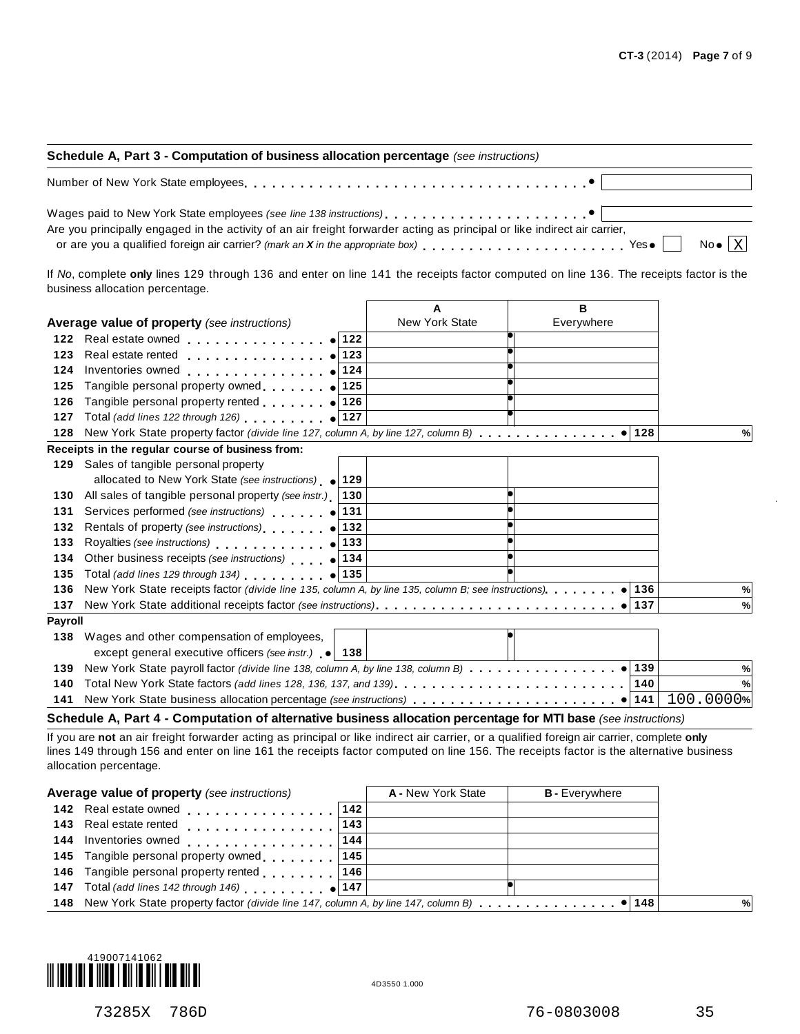| Schedule A, Part 3 - Computation of business allocation percentage (see instructions)                                                                                                                                                                                                                        |  |  |  |  |
|--------------------------------------------------------------------------------------------------------------------------------------------------------------------------------------------------------------------------------------------------------------------------------------------------------------|--|--|--|--|
| Number of New York State employees enterprise respectively respectively and the content of New York State employees                                                                                                                                                                                          |  |  |  |  |
| Are you principally engaged in the activity of an air freight forwarder acting as principal or like indirect air carrier,<br>or are you a qualified foreign air carrier? (mark an X in the appropriate box) $\ldots \ldots \ldots \ldots \ldots \ldots$ Yes $\bullet$ $\Box$ No $\bullet$ $\boxed{\text{X}}$ |  |  |  |  |

If *No*, complete **only** lines 129 through 136 and enter on line 141 the receipts factor computed on line 136. The receipts factor is the business allocation percentage.

|                |                                                                                                                           | A                     | в          |           |
|----------------|---------------------------------------------------------------------------------------------------------------------------|-----------------------|------------|-----------|
|                | <b>Average value of property</b> (see instructions)                                                                       | <b>New York State</b> | Everywhere |           |
| 122            | Real estate owned example 122                                                                                             |                       |            |           |
| 123            | Real estate rented example 123                                                                                            |                       |            |           |
| 124            | 124<br>Inventories owned <b>All According to the Contract Oriental</b>                                                    |                       |            |           |
| 125            | Tangible personal property owned $\bullet$ 125                                                                            |                       |            |           |
| 126            | Tangible personal property rented   126                                                                                   |                       |            |           |
| 127            | Total (add lines 122 through 126) $\bullet$ 127                                                                           |                       |            |           |
| 128            |                                                                                                                           |                       |            | %         |
|                | Receipts in the regular course of business from:                                                                          |                       |            |           |
|                | 129 Sales of tangible personal property                                                                                   |                       |            |           |
|                | allocated to New York State (see instructions) $\bullet$ 129                                                              |                       |            |           |
| 130            | All sales of tangible personal property (see instr.)  <br>130                                                             |                       |            |           |
| 131            | Services performed (see instructions) e<br>131                                                                            |                       |            |           |
| 132            | Rentals of property (see instructions) $ 132 $                                                                            |                       |            |           |
| 133            | Royalties (see instructions) (133                                                                                         |                       |            |           |
| 134            | Other business receipts (see instructions)     134                                                                        |                       |            |           |
| 135            |                                                                                                                           |                       |            |           |
| 136            |                                                                                                                           |                       |            | %         |
| 137            |                                                                                                                           |                       |            | %         |
| <b>Payroll</b> |                                                                                                                           |                       |            |           |
| 138            | Wages and other compensation of employees,                                                                                |                       |            |           |
|                | except general executive officers (see instr.) • 138                                                                      |                       |            |           |
| 139            |                                                                                                                           |                       |            | %         |
| 140            | Total New York State factors (add lines 128, 136, 137, and 139) $\ldots \ldots \ldots \ldots \ldots \ldots \ldots \ldots$ |                       |            | %         |
| 141            |                                                                                                                           |                       |            | 100.0000% |
|                |                                                                                                                           |                       |            |           |

**Schedule A, Part 4 - Computation of alternative business allocation percentage for MTI base** *(see instructions)*

If you are **not** an air freight forwarder acting as principal or like indirect air carrier, or a qualified foreign air carrier, complete **only** lines 149 through 156 and enter on line 161 the receipts factor computed on line 156. The receipts factor is the alternative business allocation percentage.

| <b>Average value of property</b> (see instructions)                                                                                                                                                                                  |               | A - New York State | <b>B</b> - Everywhere |  |
|--------------------------------------------------------------------------------------------------------------------------------------------------------------------------------------------------------------------------------------|---------------|--------------------|-----------------------|--|
| 142 Real estate owned 7                                                                                                                                                                                                              | $ 142\rangle$ |                    |                       |  |
| 143 Real estate rented <b>container and all the set of the set of the set of the set of the set of the set of the set of the set of the set of the set of the set of the set of the set of the set of the set of the set of the </b> | 143           |                    |                       |  |
| 144 Inventories owned 1                                                                                                                                                                                                              | 144           |                    |                       |  |
| 145 Tangible personal property owned 145                                                                                                                                                                                             |               |                    |                       |  |
| 146 Tangible personal property rented [1, 1, 1, 146]                                                                                                                                                                                 |               |                    |                       |  |
| <b>147</b> Total (add lines 142 through 146) $\bullet$ <b>147</b>                                                                                                                                                                    |               |                    |                       |  |
|                                                                                                                                                                                                                                      |               |                    |                       |  |
|                                                                                                                                                                                                                                      |               |                    |                       |  |

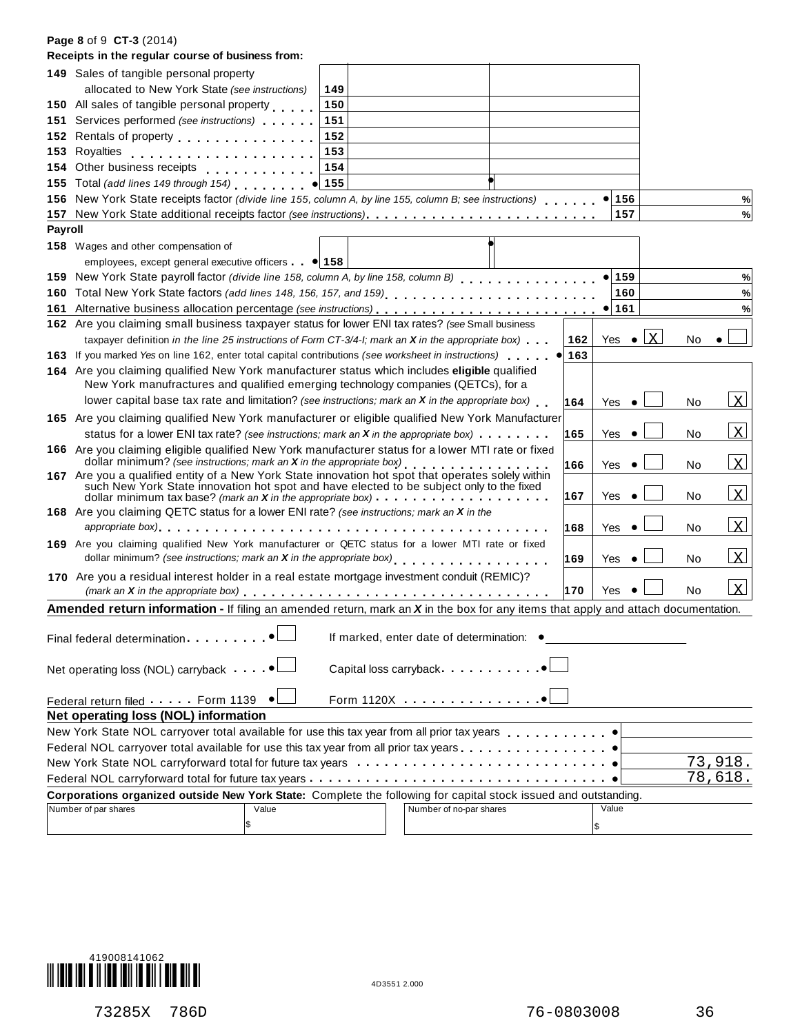#### **Page 8** of 9 **CT-3** (2014)

|                | Receipts in the regular course of business from:                                                                                                                                                                                  |     |       |                  |    |                |
|----------------|-----------------------------------------------------------------------------------------------------------------------------------------------------------------------------------------------------------------------------------|-----|-------|------------------|----|----------------|
|                | 149 Sales of tangible personal property                                                                                                                                                                                           |     |       |                  |    |                |
|                | allocated to New York State (see instructions)<br>149                                                                                                                                                                             |     |       |                  |    |                |
|                | 150 All sales of tangible personal property<br>150                                                                                                                                                                                |     |       |                  |    |                |
|                | 151<br>151 Services performed (see instructions)                                                                                                                                                                                  |     |       |                  |    |                |
|                | 152 Rentals of property entertainment of the state of the state of the state of the state of the state of the<br>152                                                                                                              |     |       |                  |    |                |
|                | 153                                                                                                                                                                                                                               |     |       |                  |    |                |
|                | 154<br>154 Other business receipts                                                                                                                                                                                                |     |       |                  |    |                |
|                | 155 Total (add lines 149 through 154) • 155                                                                                                                                                                                       |     |       |                  |    |                |
|                | 156 New York State receipts factor (divide line 155, column A, by line 155, column B; see instructions)                                                                                                                           |     |       | $\bullet$ 156    |    | $\%$           |
|                |                                                                                                                                                                                                                                   |     |       | 157              |    | %              |
| <b>Payroll</b> |                                                                                                                                                                                                                                   |     |       |                  |    |                |
|                | 158 Wages and other compensation of                                                                                                                                                                                               |     |       |                  |    |                |
|                | employees, except general executive officers $\bullet$ 158                                                                                                                                                                        |     |       |                  |    |                |
|                | 159 New York State payroll factor (divide line 158, column A, by line 158, column B)                                                                                                                                              |     |       | $\bullet$ 159    |    | %              |
|                | 160 Total New York State factors (add lines 148, 156, 157, and 159)                                                                                                                                                               |     |       | 160              |    | %              |
|                |                                                                                                                                                                                                                                   |     |       | $\bullet$ 161    |    | %              |
|                | 162 Are you claiming small business taxpayer status for lower ENI tax rates? (see Small business                                                                                                                                  |     |       |                  |    |                |
|                | taxpayer definition in the line 25 instructions of Form CT-3/4-l; mark an $X$ in the appropriate box) $\ldots$                                                                                                                    | 162 |       | Yes $\bullet$ X  | No |                |
|                | 163 If you marked Yes on line 162, enter total capital contributions (see worksheet in instructions)<br>$\bullet$                                                                                                                 | 163 |       |                  |    |                |
|                | 164 Are you claiming qualified New York manufacturer status which includes eligible qualified                                                                                                                                     |     |       |                  |    |                |
|                | New York manufractures and qualified emerging technology companies (QETCs), for a                                                                                                                                                 |     |       |                  |    |                |
|                | lower capital base tax rate and limitation? (see instructions; mark an $X$ in the appropriate box)                                                                                                                                | 164 |       | Yes<br>$\bullet$ | No | $\mathbf{x}$   |
|                | 165 Are you claiming qualified New York manufacturer or eligible qualified New York Manufacturer<br>status for a lower ENI tax rate? (see instructions; mark an X in the appropriate box) $\dots \dots$                           | 165 | Yes   | $\bullet$        | No | <u>Ix</u>      |
|                | 166 Are you claiming eligible qualified New York manufacturer status for a lower MTI rate or fixed                                                                                                                                |     |       |                  |    |                |
|                | dollar minimum? (see instructions; mark an $X$ in the appropriate box) $\cdots$ , $\cdots$ , $\cdots$ , $\cdots$ , $\cdots$<br>167 Are you a qualified entity of a New York State innovation hot spot that operates solely within | 166 | Yes   | $\bullet$        | No | <u>lx</u>      |
|                | such New York State innovation hot spot and have elected to be subject only to the fixed                                                                                                                                          | 167 | Yes   | ٠                | No | <u>lx</u>      |
|                | 168 Are you claiming QETC status for a lower ENI rate? (see instructions; mark an X in the                                                                                                                                        |     |       |                  |    |                |
|                | appropriate box) enterpreteration and the contract of the contract of the contract of the contract of the contr                                                                                                                   | 168 | Yes   |                  | No | <u>lx</u>      |
|                | 169 Are you claiming qualified New York manufacturer or QETC status for a lower MTI rate or fixed                                                                                                                                 |     |       |                  |    |                |
|                |                                                                                                                                                                                                                                   | 169 | Yes   | $\bullet$        | No | <u>lx</u>      |
|                | 170 Are you a residual interest holder in a real estate mortgage investment conduit (REMIC)?                                                                                                                                      |     |       |                  |    |                |
|                |                                                                                                                                                                                                                                   | 170 | Yes   |                  | No | x              |
|                | <b>Amended return information - If filing an amended return, mark an <math>X</math> in the box for any items that apply and attach documentation.</b>                                                                             |     |       |                  |    |                |
|                | If marked, enter date of determination: •                                                                                                                                                                                         |     |       |                  |    |                |
|                | Capital loss carryback                                                                                                                                                                                                            |     |       |                  |    |                |
|                | Form 1120X<br>Federal return filed Form 1139                                                                                                                                                                                      |     |       |                  |    |                |
|                | Net operating loss (NOL) information                                                                                                                                                                                              |     |       |                  |    |                |
|                |                                                                                                                                                                                                                                   |     |       |                  |    |                |
|                |                                                                                                                                                                                                                                   |     |       |                  |    |                |
|                |                                                                                                                                                                                                                                   |     |       |                  |    | 73,918.        |
|                | Federal NOL carryforward total for future tax years $\ldots \ldots \ldots \ldots \ldots \ldots \ldots \ldots \ldots \ldots$                                                                                                       |     |       |                  |    | <u>78,618.</u> |
|                | Corporations organized outside New York State: Complete the following for capital stock issued and outstanding.                                                                                                                   |     |       |                  |    |                |
|                | Number of par shares<br>Number of no-par shares<br>Value                                                                                                                                                                          |     | Value |                  |    |                |
|                | \$                                                                                                                                                                                                                                |     | \$    |                  |    |                |

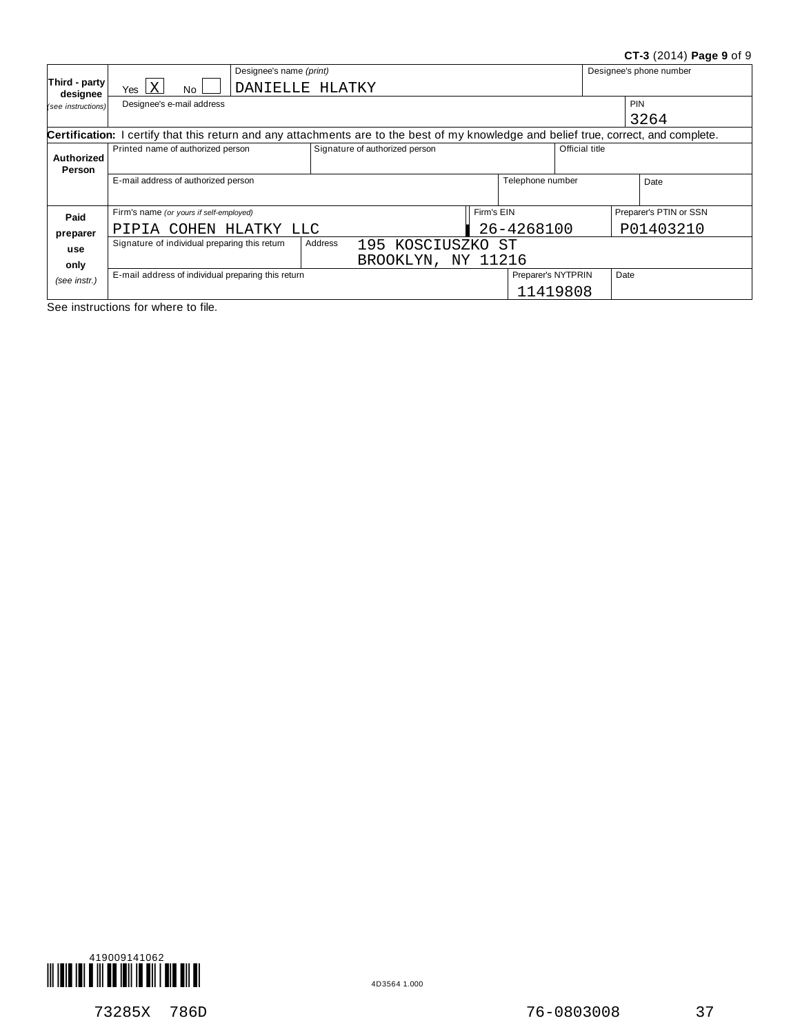#### **CT-3** (2014) **Page 9** of 9

|                           | Designee's name (print)                                                                                                               |         |                                |            |                    |                |      | Designee's phone number |
|---------------------------|---------------------------------------------------------------------------------------------------------------------------------------|---------|--------------------------------|------------|--------------------|----------------|------|-------------------------|
| Third - party<br>designee | Yes $ X $<br>DANIELLE HLATKY<br>No                                                                                                    |         |                                |            |                    |                |      |                         |
| (see instructions)        | Designee's e-mail address                                                                                                             |         |                                |            |                    |                |      | <b>PIN</b>              |
|                           |                                                                                                                                       |         |                                |            |                    |                |      | 3264                    |
|                           | Certification: I certify that this return and any attachments are to the best of my knowledge and belief true, correct, and complete. |         |                                |            |                    |                |      |                         |
| <b>Authorized</b>         | Printed name of authorized person                                                                                                     |         | Signature of authorized person |            |                    | Official title |      |                         |
| Person                    |                                                                                                                                       |         |                                |            |                    |                |      |                         |
|                           | E-mail address of authorized person                                                                                                   |         |                                |            | Telephone number   |                |      | Date                    |
|                           |                                                                                                                                       |         |                                |            |                    |                |      |                         |
| Paid                      | Firm's name (or yours if self-employed)                                                                                               |         |                                | Firm's EIN |                    |                |      | Preparer's PTIN or SSN  |
| preparer                  | PIPIA COHEN HLATKY LLC                                                                                                                |         |                                |            | 26-4268100         |                |      | P01403210               |
| use                       | Signature of individual preparing this return                                                                                         | Address | 195 KOSCIUSZKO ST              |            |                    |                |      |                         |
| only                      |                                                                                                                                       |         | BROOKLYN, NY 11216             |            |                    |                |      |                         |
| (see instr.)              | E-mail address of individual preparing this return                                                                                    |         |                                |            | Preparer's NYTPRIN |                | Date |                         |
|                           |                                                                                                                                       |         |                                |            | 11419808           |                |      |                         |

See instructions for where to file.



73285X 786D 76-0803008 37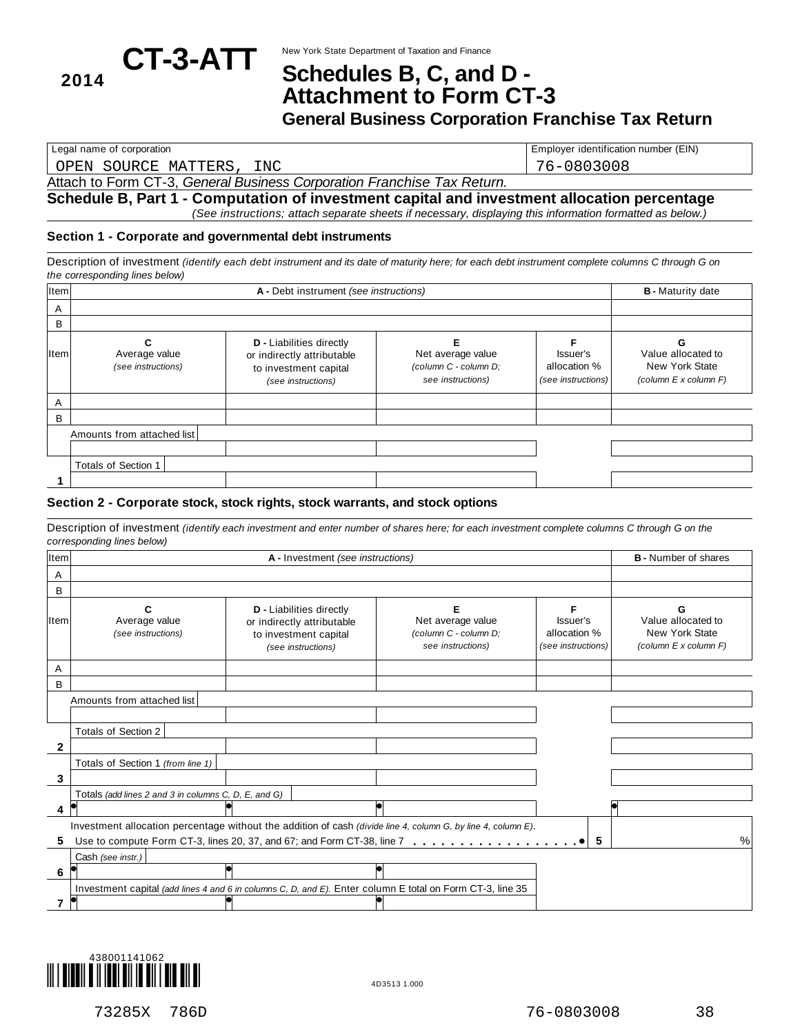# CT-3-ATT New York State Department of Taxation and Finance **CT-3-ATT** Schedules B, C, and D-**<sup>2014</sup> Schedules B, C, and <sup>D</sup> - Attachment to Form CT-3**

**General Business Corporation Franchise Tax Return**

OPEN SOURCE MATTERS, INC 76-0803008

Legal name of corporation **Employer identification number (EIN)** Employer identification number (EIN)

### Attach to Form CT-3, *General Business Corporation Franchise Tax Return.*

**Schedule B, Part 1 - Computation of investment capital and investment allocation percentage** *(See instructions; attach separate sheets if necessary, displaying this information formatted as below.)*

#### **Section 1 - Corporate and governmental debt instruments**

Description of investment (identify each debt instrument and its date of maturity here; for each debt instrument complete columns C through G on *the corresponding lines below)*

| Item         |                                     |                                                                                                              | <b>B</b> - Maturity date                                        |                                                |                                                               |
|--------------|-------------------------------------|--------------------------------------------------------------------------------------------------------------|-----------------------------------------------------------------|------------------------------------------------|---------------------------------------------------------------|
| A            |                                     |                                                                                                              |                                                                 |                                                |                                                               |
| B            |                                     |                                                                                                              |                                                                 |                                                |                                                               |
| <b>I</b> tem | Average value<br>(see instructions) | <b>D</b> - Liabilities directly<br>or indirectly attributable<br>to investment capital<br>(see instructions) | Net average value<br>(column C - column D;<br>see instructions) | Issuer's<br>allocation %<br>(see instructions) | Value allocated to<br>New York State<br>(column E x column F) |
| A            |                                     |                                                                                                              |                                                                 |                                                |                                                               |
| B            |                                     |                                                                                                              |                                                                 |                                                |                                                               |
|              | Amounts from attached list          |                                                                                                              |                                                                 |                                                |                                                               |
|              |                                     |                                                                                                              |                                                                 |                                                |                                                               |
|              | Totals of Section 1                 |                                                                                                              |                                                                 |                                                |                                                               |
|              |                                     |                                                                                                              |                                                                 |                                                |                                                               |

#### **Section 2 - Corporate stock, stock rights, stock warrants, and stock options**

Description of investment (identify each investment and enter number of shares here; for each investment complete columns C through G on the *corresponding lines below)*

| Item         |                                                      | A - Investment (see instructions)                                                                             |                                                                 |                                                | <b>B</b> - Number of shares                                   |
|--------------|------------------------------------------------------|---------------------------------------------------------------------------------------------------------------|-----------------------------------------------------------------|------------------------------------------------|---------------------------------------------------------------|
| A            |                                                      |                                                                                                               |                                                                 |                                                |                                                               |
| B            |                                                      |                                                                                                               |                                                                 |                                                |                                                               |
| ltem         | Average value<br>(see instructions)                  | <b>D</b> - Liabilities directly<br>or indirectly attributable<br>to investment capital<br>(see instructions)  | Net average value<br>(column C - column D;<br>see instructions) | Issuer's<br>allocation %<br>(see instructions) | Value allocated to<br>New York State<br>(column E x column F) |
| A            |                                                      |                                                                                                               |                                                                 |                                                |                                                               |
| B            |                                                      |                                                                                                               |                                                                 |                                                |                                                               |
|              | Amounts from attached list                           |                                                                                                               |                                                                 |                                                |                                                               |
|              |                                                      |                                                                                                               |                                                                 |                                                |                                                               |
|              | Totals of Section 2                                  |                                                                                                               |                                                                 |                                                |                                                               |
| $\mathbf{2}$ |                                                      |                                                                                                               |                                                                 |                                                |                                                               |
|              | Totals of Section 1 (from line 1)                    |                                                                                                               |                                                                 |                                                |                                                               |
| 3            |                                                      |                                                                                                               |                                                                 |                                                |                                                               |
|              | Totals (add lines 2 and 3 in columns C, D, E, and G) |                                                                                                               |                                                                 |                                                |                                                               |
| 4            |                                                      |                                                                                                               |                                                                 |                                                |                                                               |
|              |                                                      | Investment allocation percentage without the addition of cash (divide line 4, column G, by line 4, column E). |                                                                 |                                                |                                                               |
| 5            |                                                      |                                                                                                               |                                                                 | 5                                              | %                                                             |
|              | Cash (see instr.)                                    |                                                                                                               |                                                                 |                                                |                                                               |
| 6            |                                                      |                                                                                                               |                                                                 |                                                |                                                               |
|              |                                                      | Investment capital (add lines 4 and 6 in columns C, D, and E). Enter column E total on Form CT-3, line 35     |                                                                 |                                                |                                                               |
|              |                                                      |                                                                                                               |                                                                 |                                                |                                                               |

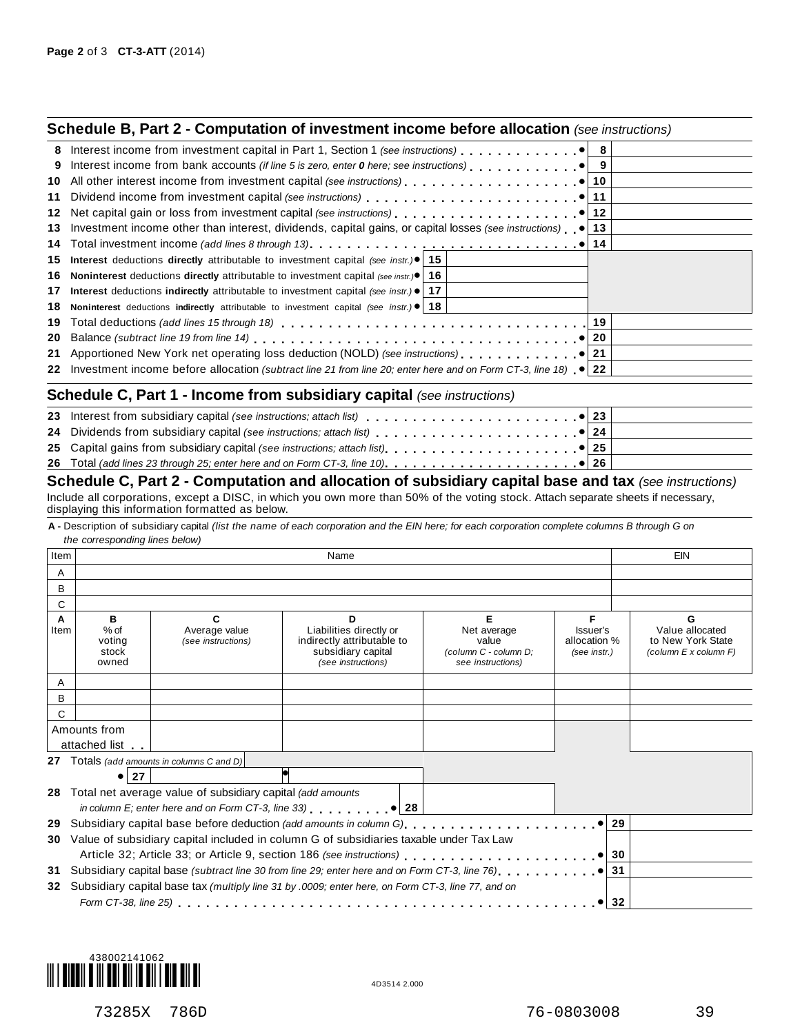|     | <b>Schedule B, Part 2 - Computation of investment income before allocation</b> (see instructions)                         |  |
|-----|---------------------------------------------------------------------------------------------------------------------------|--|
|     |                                                                                                                           |  |
| 9   |                                                                                                                           |  |
| 10  |                                                                                                                           |  |
| 11  |                                                                                                                           |  |
| 12  |                                                                                                                           |  |
| 13  | Investment income other than interest, dividends, capital gains, or capital losses (see instructions) $\bullet$ 13        |  |
| 14  |                                                                                                                           |  |
| 15. | <b>Interest</b> deductions <b>directly</b> attributable to investment capital (see instr.) <sup>•</sup> 15                |  |
| 16. | <b>Noninterest</b> deductions <b>directly</b> attributable to investment capital (see instr.) $\bullet$   16              |  |
| 17  | Interest deductions indirectly attributable to investment capital (see instr.) $\bullet$   17                             |  |
| 18  | Noninterest deductions indirectly attributable to investment capital (see instr.) $\bullet$   18                          |  |
| 19  |                                                                                                                           |  |
| 20  |                                                                                                                           |  |
|     |                                                                                                                           |  |
|     | 22 Investment income before allocation (subtract line 21 from line 20; enter here and on Form CT-3, line 18) $\bullet$ 22 |  |
|     | <b>Schedule C, Part 1 - Income from subsidiary capital (see instructions)</b>                                             |  |
|     |                                                                                                                           |  |
|     |                                                                                                                           |  |
|     |                                                                                                                           |  |
|     |                                                                                                                           |  |

#### $\frac{25}{26}$ **26** Total *(add lines 23 through 25; enter here and on Form CT-3, line 10)* m m m m m m m m m m m m m m m m m m m m m **Schedule C, Part 2 - Computation and allocation of subsidiary capital base and tax** *(see instructions)* Include all corporations, except a DISC, in which you own more than 50% of the voting stock. Attach separate sheets if necessary, displaying this information formatted as below.

A - Description of subsidiary capital (list the name of each corporation and the EIN here; for each corporation complete columns B through G on *the corresponding lines below)*

| . Item |                      |                                                               | Name                                                                                                   |                       |                          | EIN                                  |
|--------|----------------------|---------------------------------------------------------------|--------------------------------------------------------------------------------------------------------|-----------------------|--------------------------|--------------------------------------|
| A      |                      |                                                               |                                                                                                        |                       |                          |                                      |
| B      |                      |                                                               |                                                                                                        |                       |                          |                                      |
| С      |                      |                                                               |                                                                                                        |                       |                          |                                      |
| A      | в                    | C                                                             | D                                                                                                      | Е                     | F                        | G                                    |
| Item   | $%$ of<br>voting     | Average value<br>(see instructions)                           | Liabilities directly or<br>indirectly attributable to                                                  | Net average<br>value  | Issuer's<br>allocation % | Value allocated<br>to New York State |
|        | stock                |                                                               | subsidiary capital                                                                                     | (column C - column D; | (see instr.)             | (column E x column F)                |
|        | owned                |                                                               | (see instructions)                                                                                     | see instructions)     |                          |                                      |
| A      |                      |                                                               |                                                                                                        |                       |                          |                                      |
| B      |                      |                                                               |                                                                                                        |                       |                          |                                      |
| C      |                      |                                                               |                                                                                                        |                       |                          |                                      |
|        | Amounts from         |                                                               |                                                                                                        |                       |                          |                                      |
|        | attached list        |                                                               |                                                                                                        |                       |                          |                                      |
|        |                      | 27 Totals (add amounts in columns C and D)                    |                                                                                                        |                       |                          |                                      |
|        | $\bullet$ 27         |                                                               |                                                                                                        |                       |                          |                                      |
|        |                      | 28 Total net average value of subsidiary capital (add amounts |                                                                                                        |                       |                          |                                      |
|        |                      |                                                               | in column E; enter here and on Form CT-3, line 33) $ 28 $                                              |                       |                          |                                      |
| 29     |                      |                                                               |                                                                                                        |                       | 29                       |                                      |
| 30     |                      |                                                               | Value of subsidiary capital included in column G of subsidiaries taxable under Tax Law                 |                       |                          |                                      |
|        |                      |                                                               |                                                                                                        |                       | 30                       |                                      |
| 31     |                      |                                                               | Subsidiary capital base (subtract line 30 from line 29; enter here and on Form CT-3, line 76) $\ldots$ |                       | 31                       |                                      |
|        |                      |                                                               | 32 Subsidiary capital base tax (multiply line 31 by .0009; enter here, on Form CT-3, line 77, and on   |                       |                          |                                      |
|        | Form CT-38, line 25) |                                                               |                                                                                                        |                       | 32                       |                                      |
|        |                      |                                                               |                                                                                                        |                       |                          |                                      |

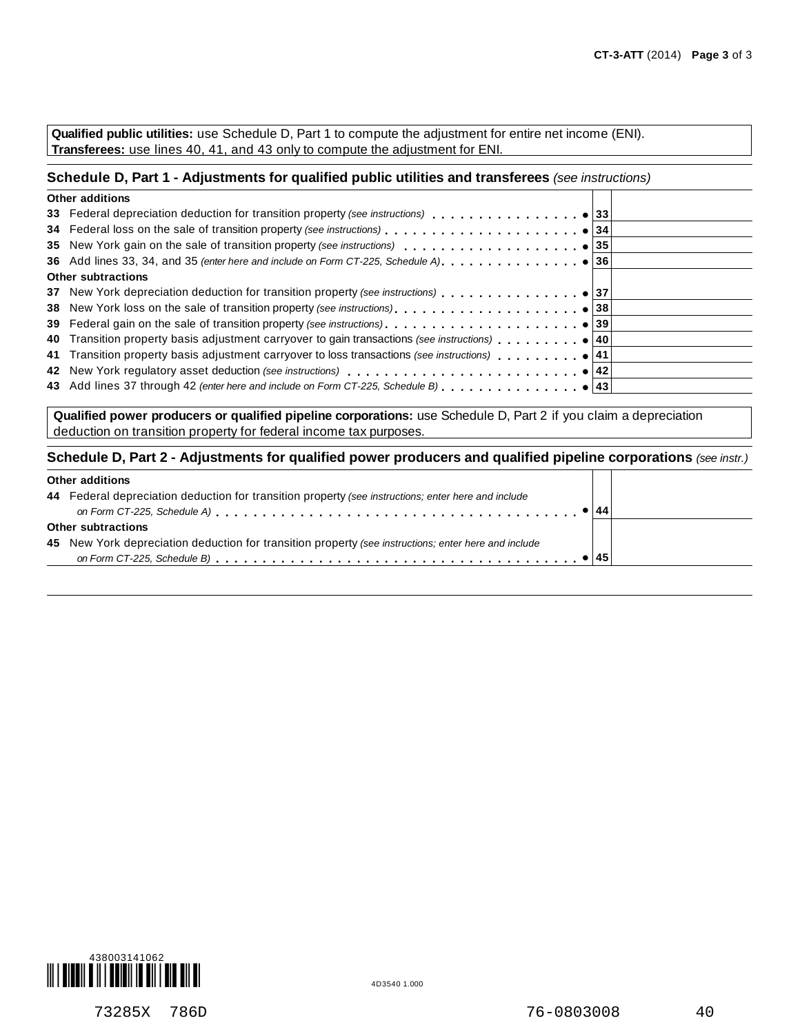**Qualified public utilities:** use Schedule D, Part 1 to compute the adjustment for entire net income (ENI). **Transferees:** use lines 40, 41, and 43 only to compute the adjustment for ENI.

#### **Schedule D, Part 1 - Adjustments for qualified public utilities and transferees** *(see instructions)*

| <b>Other additions</b>                                                             |  |
|------------------------------------------------------------------------------------|--|
|                                                                                    |  |
|                                                                                    |  |
|                                                                                    |  |
|                                                                                    |  |
| <b>Other subtractions</b>                                                          |  |
| 37 New York depreciation deduction for transition property (see instructions) 9 37 |  |
|                                                                                    |  |
|                                                                                    |  |
|                                                                                    |  |
|                                                                                    |  |
|                                                                                    |  |
|                                                                                    |  |
|                                                                                    |  |

**Qualified power producers or qualified pipeline corporations:** use Schedule D, Part 2 if you claim a depreciation deduction on transition property for federal income tax purposes.

#### **Schedule D, Part 2 - Adjustments for qualified power producers and qualified pipeline corporations** *(see instr.)*

| Other additions |
|-----------------|
|-----------------|

| <b>Uther additions</b>                                                                               |  |
|------------------------------------------------------------------------------------------------------|--|
| 44 Federal depreciation deduction for transition property (see instructions; enter here and include  |  |
|                                                                                                      |  |
| Other subtractions                                                                                   |  |
| 45 New York depreciation deduction for transition property (see instructions; enter here and include |  |
|                                                                                                      |  |
|                                                                                                      |  |



ℸ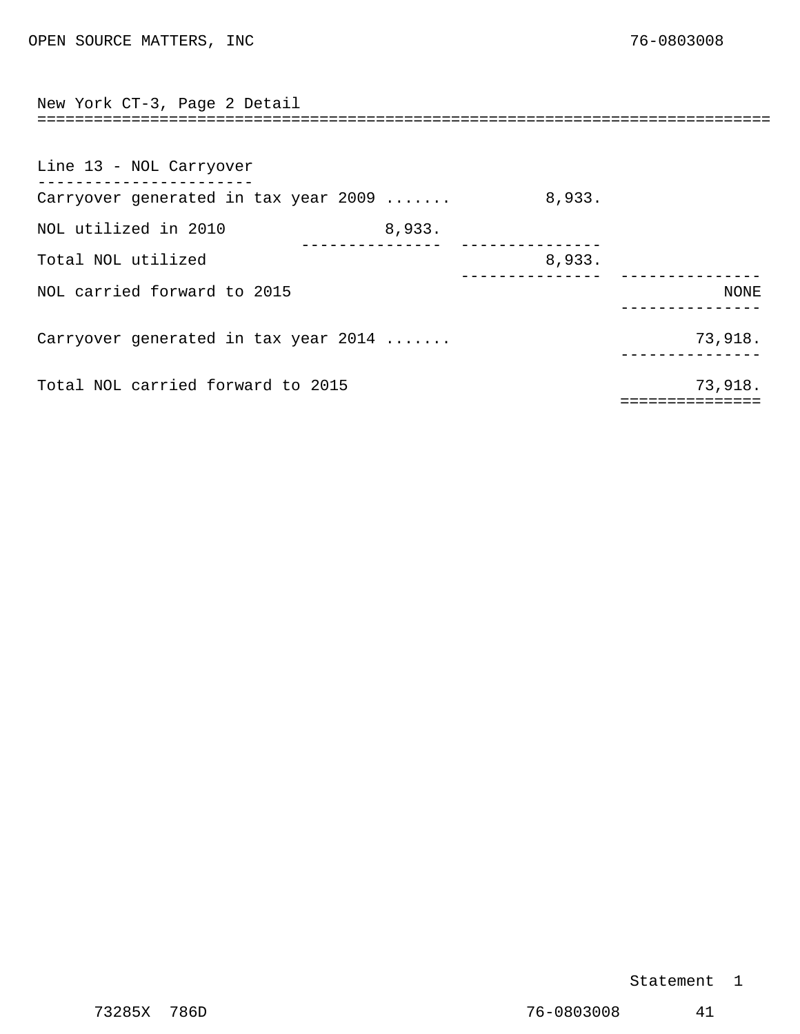<span id="page-30-0"></span>

| New York CT-3, Page 2 Detail         |        |        |                     |
|--------------------------------------|--------|--------|---------------------|
|                                      |        |        |                     |
| Line 13 - NOL Carryover              |        |        |                     |
| Carryover generated in tax year 2009 |        | 8,933. |                     |
| NOL utilized in 2010                 | 8,933. |        |                     |
| Total NOL utilized                   |        | 8,933. |                     |
| NOL carried forward to 2015          |        |        | NONE                |
| Carryover generated in tax year 2014 |        |        | 73,918.             |
| Total NOL carried forward to 2015    |        |        | 73,918.<br>-------- |

#### Statement 1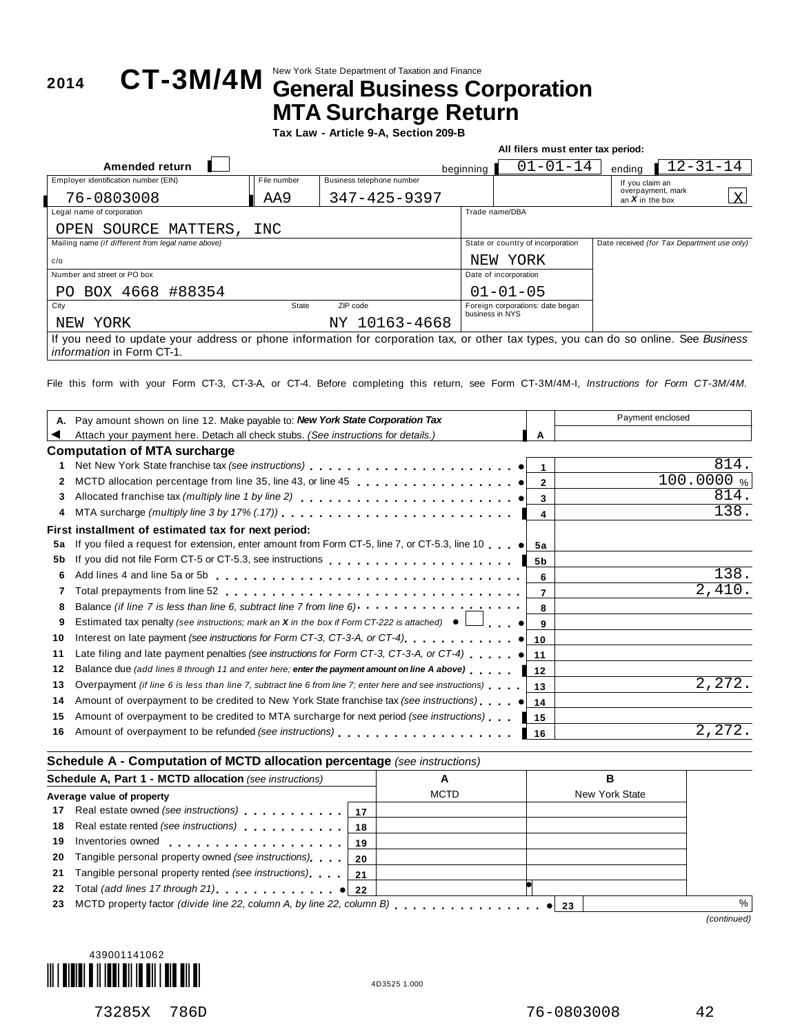## New York State Department of Taxation and Finance **<sup>2014</sup> CT-3M/4M General Business Corporation MTA Surcharge Return**

**Tax Law - Article 9-A, Section 209-B**

|                                                                                                                                     |             |                           |                 | All filers must enter tax period: |                                             |                |   |
|-------------------------------------------------------------------------------------------------------------------------------------|-------------|---------------------------|-----------------|-----------------------------------|---------------------------------------------|----------------|---|
| Amended return                                                                                                                      |             |                           | beginning       | $01 - 01 - 14$                    | endina                                      | $12 - 31 - 14$ |   |
| Employer identification number (EIN)                                                                                                | File number | Business telephone number |                 |                                   | If you claim an                             |                |   |
| 76-0803008                                                                                                                          | AA9         | $347 - 425 - 9397$        |                 |                                   | overpayment, mark<br>an $X$ in the box      |                | X |
| Legal name of corporation                                                                                                           |             |                           |                 | Trade name/DBA                    |                                             |                |   |
| SOURCE<br>MATTERS,<br>OPEN                                                                                                          | INC         |                           |                 |                                   |                                             |                |   |
| Mailing name (if different from legal name above)                                                                                   |             |                           |                 | State or country of incorporation | Date received (for Tax Department use only) |                |   |
| c/o                                                                                                                                 |             |                           | NEW             | YORK                              |                                             |                |   |
| Number and street or PO box                                                                                                         |             |                           |                 | Date of incorporation             |                                             |                |   |
| BOX 4668 #88354<br>PO.                                                                                                              |             |                           |                 | $01 - 01 - 05$                    |                                             |                |   |
| City                                                                                                                                | State       | ZIP code                  | business in NYS | Foreign corporations: date began  |                                             |                |   |
| YORK<br>NEW                                                                                                                         |             | NY 10163-4668             |                 |                                   |                                             |                |   |
| If you need to update your address or phone information for corporation tax, or other tax types, you can do so online. See Business |             |                           |                 |                                   |                                             |                |   |
| <i>information</i> in Form CT-1.                                                                                                    |             |                           |                 |                                   |                                             |                |   |

File this form with your Form CT-3, CT-3-A, or CT-4. Before completing this return, see Form CT-3M/4M-I, *Instructions for Form CT-3M/4M.*

|    | Pay amount shown on line 12. Make payable to: New York State Corporation Tax                                                    |      | Payment enclosed |
|----|---------------------------------------------------------------------------------------------------------------------------------|------|------------------|
|    | Attach your payment here. Detach all check stubs. (See instructions for details.)                                               | А    |                  |
|    | <b>Computation of MTA surcharge</b>                                                                                             |      |                  |
|    |                                                                                                                                 |      | 814              |
| 2  | MCTD allocation percentage from line 35, line 43, or line 45 $\ldots$ , $\ldots$ , $\ldots$ , $\bullet$                         |      | 100.0000 %       |
| 3  | Allocated franchise tax (multiply line 1 by line 2) $\ldots$ , $\ldots$ , $\ldots$ , $\ldots$ , $\ldots$ , $\ldots$ , $\bullet$ |      | 814.             |
| 4  |                                                                                                                                 | 4    | 138.             |
|    | First installment of estimated tax for next period:                                                                             |      |                  |
| 5a | If you filed a request for extension, enter amount from Form CT-5, line 7, or CT-5.3, line 10 $\bullet$ 5a                      |      |                  |
| 5b |                                                                                                                                 |      |                  |
| 6  |                                                                                                                                 |      | 138.             |
|    |                                                                                                                                 |      | 2,410            |
| 8  | Balance (if line 7 is less than line 6, subtract line 7 from line 6) <b>Alance 1.1 Container 1.1 Alance 1.1 Container</b>       |      |                  |
| 9  | Estimated tax penalty (see instructions; mark an X in the box if Form CT-222 is attached) $\bullet$                             |      |                  |
| 10 | Interest on late payment (see instructions for Form CT-3, CT-3-A, or CT-4) $\ldots$ , $\ldots$ , $\bullet$ 10                   |      |                  |
| 11 | Late filing and late payment penalties (see instructions for Form CT-3, CT-3-A, or CT-4) $\bullet$ 11                           |      |                  |
| 12 | Balance due (add lines 8 through 11 and enter here; enter the payment amount on line A above)                                   | 12   |                  |
| 13 | Overpayment (if line 6 is less than line 7, subtract line 6 from line 7; enter here and see instructions)                       | ∣ 13 | 2,272.           |
| 14 |                                                                                                                                 |      |                  |
| 15 | Amount of overpayment to be credited to MTA surcharge for next period (see instructions)                                        | 15   |                  |
| 16 | Amount of overpayment to be refunded (see instructions)                                                                         | 16   | 2,272            |

#### **Schedule A - Computation of MCTD allocation percentage** *(see instructions)*

|    | Schedule A, Part 1 - MCTD allocation (see instructions)                                                        |     | A           |     | в              |             |
|----|----------------------------------------------------------------------------------------------------------------|-----|-------------|-----|----------------|-------------|
|    | Average value of property                                                                                      |     | <b>MCTD</b> |     | New York State |             |
|    | 17 Real estate owned (see instructions)                                                                        | -17 |             |     |                |             |
|    | 18 Real estate rented (see instructions)                                                                       | 18  |             |     |                |             |
| 19 | Inventories owned expansion of the state of the state of the state of the state of the state of the state of t | 19  |             |     |                |             |
|    | 20 Tangible personal property owned (see instructions)                                                         | 20  |             |     |                |             |
| 21 | Tangible personal property rented (see instructions)                                                           | 21  |             |     |                |             |
| 22 | Total (add lines 17 through 21) example 122                                                                    |     |             |     |                |             |
| 23 |                                                                                                                |     |             | -23 |                | $\%$        |
|    |                                                                                                                |     |             |     |                | (continued) |



73285X 786D 76-0803008 42